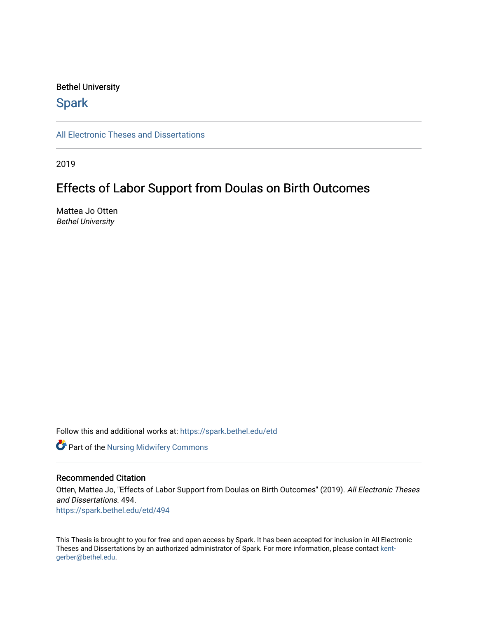# Bethel University

# **Spark**

[All Electronic Theses and Dissertations](https://spark.bethel.edu/etd) 

2019

# Effects of Labor Support from Doulas on Birth Outcomes

Mattea Jo Otten Bethel University

Follow this and additional works at: [https://spark.bethel.edu/etd](https://spark.bethel.edu/etd?utm_source=spark.bethel.edu%2Fetd%2F494&utm_medium=PDF&utm_campaign=PDFCoverPages)

**Part of the Nursing Midwifery Commons** 

# Recommended Citation

Otten, Mattea Jo, "Effects of Labor Support from Doulas on Birth Outcomes" (2019). All Electronic Theses and Dissertations. 494. [https://spark.bethel.edu/etd/494](https://spark.bethel.edu/etd/494?utm_source=spark.bethel.edu%2Fetd%2F494&utm_medium=PDF&utm_campaign=PDFCoverPages)

This Thesis is brought to you for free and open access by Spark. It has been accepted for inclusion in All Electronic Theses and Dissertations by an authorized administrator of Spark. For more information, please contact [kent](mailto:kent-gerber@bethel.edu)[gerber@bethel.edu.](mailto:kent-gerber@bethel.edu)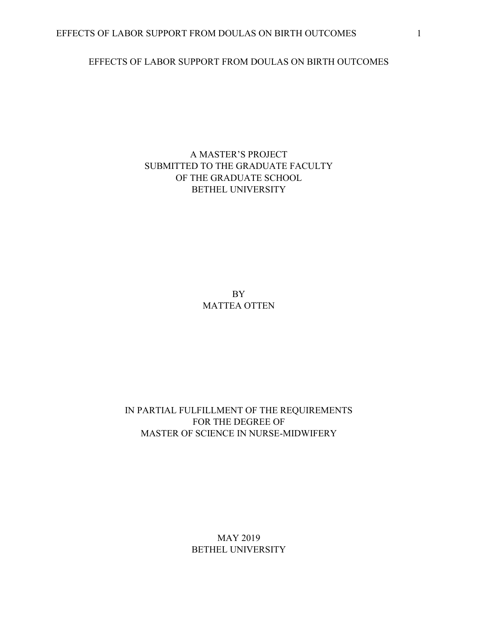# EFFECTS OF LABOR SUPPORT FROM DOULAS ON BIRTH OUTCOMES

# A MASTER'S PROJECT SUBMITTED TO THE GRADUATE FACULTY OF THE GRADUATE SCHOOL BETHEL UNIVERSITY

BY MATTEA OTTEN

IN PARTIAL FULFILLMENT OF THE REQUIREMENTS FOR THE DEGREE OF MASTER OF SCIENCE IN NURSE-MIDWIFERY

> MAY 2019 BETHEL UNIVERSITY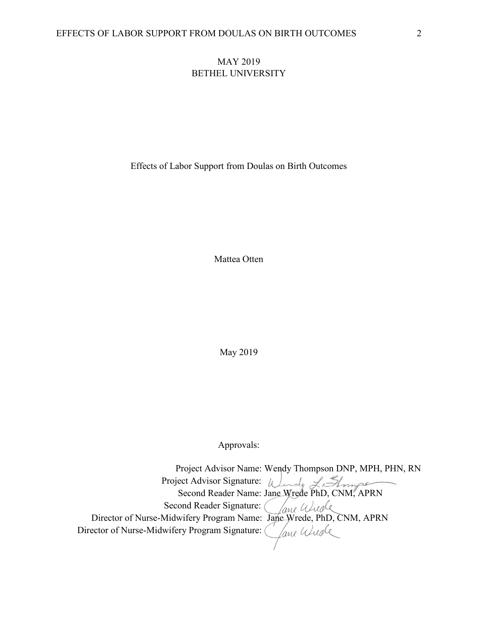# MAY 2019 BETHEL UNIVERSITY

Effects of Labor Support from Doulas on Birth Outcomes

Mattea Otten

May 2019

Approvals:

 Project Advisor Name: Wendy Thompson DNP, MPH, PHN, RN Project Advisor Signature: Second Reader Name: Jane Wrede PhD, CNM, APRN Second Reader Signature: Director of Nurse-Midwifery Program Name: Jane-Wrede, PhD, CNM, APRN Director of Nurse-Midwifery Program Signature: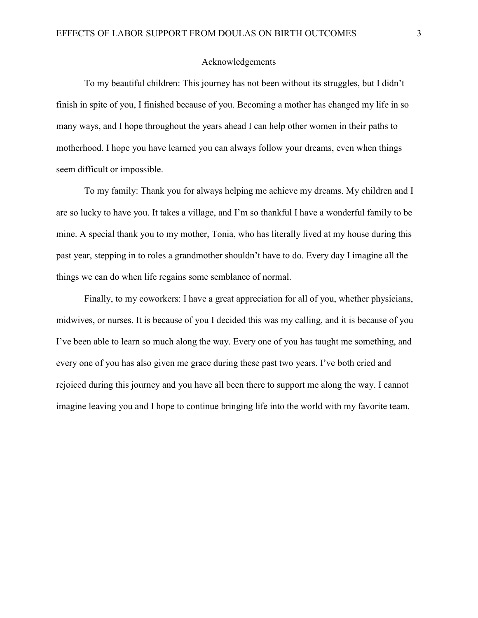# Acknowledgements

To my beautiful children: This journey has not been without its struggles, but I didn't finish in spite of you, I finished because of you. Becoming a mother has changed my life in so many ways, and I hope throughout the years ahead I can help other women in their paths to motherhood. I hope you have learned you can always follow your dreams, even when things seem difficult or impossible.

To my family: Thank you for always helping me achieve my dreams. My children and I are so lucky to have you. It takes a village, and I'm so thankful I have a wonderful family to be mine. A special thank you to my mother, Tonia, who has literally lived at my house during this past year, stepping in to roles a grandmother shouldn't have to do. Every day I imagine all the things we can do when life regains some semblance of normal.

Finally, to my coworkers: I have a great appreciation for all of you, whether physicians, midwives, or nurses. It is because of you I decided this was my calling, and it is because of you I've been able to learn so much along the way. Every one of you has taught me something, and every one of you has also given me grace during these past two years. I've both cried and rejoiced during this journey and you have all been there to support me along the way. I cannot imagine leaving you and I hope to continue bringing life into the world with my favorite team.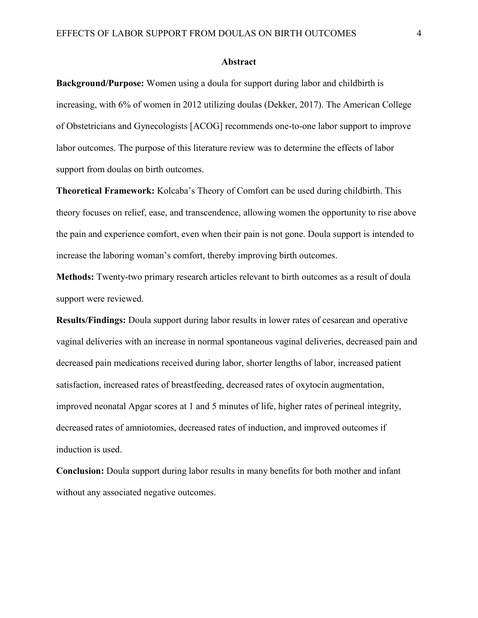#### **Abstract**

**Background/Purpose:** Women using a doula for support during labor and childbirth is increasing, with 6% of women in 2012 utilizing doulas (Dekker, 2017). The American College of Obstetricians and Gynecologists [ACOG] recommends one-to-one labor support to improve labor outcomes. The purpose of this literature review was to determine the effects of labor support from doulas on birth outcomes.

**Theoretical Framework:** Kolcaba's Theory of Comfort can be used during childbirth. This theory focuses on relief, ease, and transcendence, allowing women the opportunity to rise above the pain and experience comfort, even when their pain is not gone. Doula support is intended to increase the laboring woman's comfort, thereby improving birth outcomes.

**Methods:** Twenty-two primary research articles relevant to birth outcomes as a result of doula support were reviewed.

**Results/Findings:** Doula support during labor results in lower rates of cesarean and operative vaginal deliveries with an increase in normal spontaneous vaginal deliveries, decreased pain and decreased pain medications received during labor, shorter lengths of labor, increased patient satisfaction, increased rates of breastfeeding, decreased rates of oxytocin augmentation, improved neonatal Apgar scores at 1 and 5 minutes of life, higher rates of perineal integrity, decreased rates of amniotomies, decreased rates of induction, and improved outcomes if induction is used.

**Conclusion:** Doula support during labor results in many benefits for both mother and infant without any associated negative outcomes.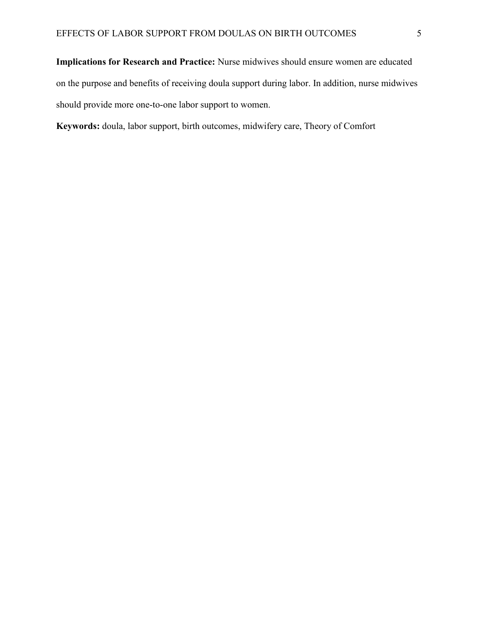**Implications for Research and Practice:** Nurse midwives should ensure women are educated on the purpose and benefits of receiving doula support during labor. In addition, nurse midwives should provide more one-to-one labor support to women.

**Keywords:** doula, labor support, birth outcomes, midwifery care, Theory of Comfort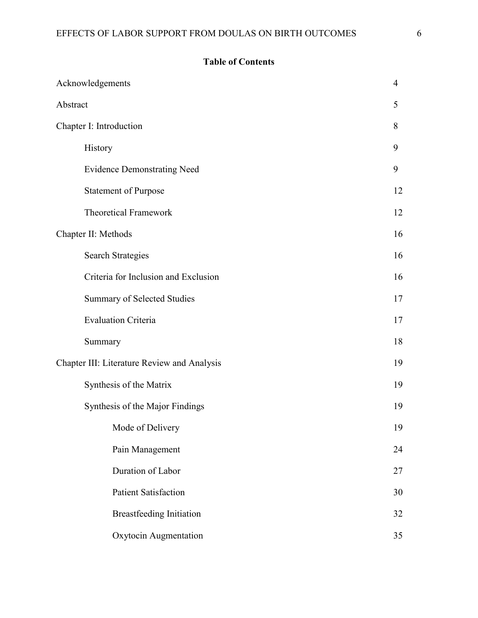# **Table of Contents**

|                                             | Acknowledgements                     | $\overline{4}$ |
|---------------------------------------------|--------------------------------------|----------------|
| Abstract                                    |                                      | 5              |
| Chapter I: Introduction                     |                                      | 8              |
|                                             | History                              | 9              |
|                                             | <b>Evidence Demonstrating Need</b>   | 9              |
|                                             | <b>Statement of Purpose</b>          | 12             |
|                                             | <b>Theoretical Framework</b>         | 12             |
| Chapter II: Methods                         |                                      | 16             |
|                                             | <b>Search Strategies</b>             | 16             |
|                                             | Criteria for Inclusion and Exclusion | 16             |
|                                             | <b>Summary of Selected Studies</b>   | 17             |
|                                             | <b>Evaluation Criteria</b>           | 17             |
|                                             | Summary                              | 18             |
| Chapter III: Literature Review and Analysis |                                      | 19             |
|                                             | Synthesis of the Matrix              | 19             |
|                                             | Synthesis of the Major Findings      | 19             |
|                                             | Mode of Delivery                     | 19             |
|                                             | Pain Management                      | 24             |
|                                             | Duration of Labor                    | 27             |
|                                             | <b>Patient Satisfaction</b>          | 30             |
|                                             | <b>Breastfeeding Initiation</b>      | 32             |
|                                             | Oxytocin Augmentation                | 35             |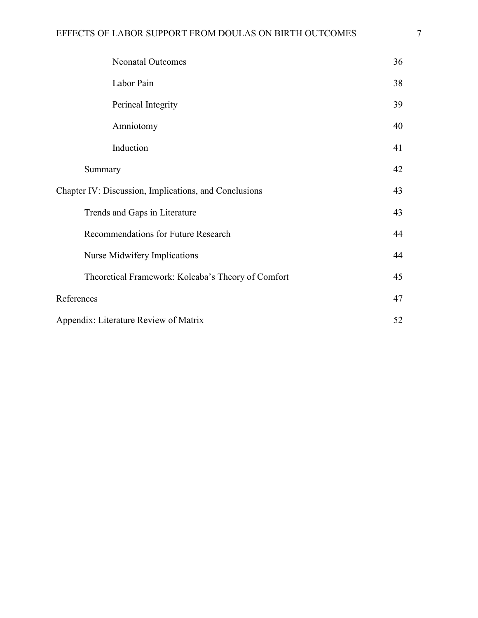| <b>Neonatal Outcomes</b>                              | 36 |
|-------------------------------------------------------|----|
| Labor Pain                                            | 38 |
| Perineal Integrity                                    | 39 |
| Amniotomy                                             | 40 |
| Induction                                             | 41 |
| Summary                                               | 42 |
| Chapter IV: Discussion, Implications, and Conclusions | 43 |
| Trends and Gaps in Literature                         | 43 |
| Recommendations for Future Research                   | 44 |
| Nurse Midwifery Implications                          | 44 |
| Theoretical Framework: Kolcaba's Theory of Comfort    | 45 |
| References                                            |    |
| Appendix: Literature Review of Matrix                 |    |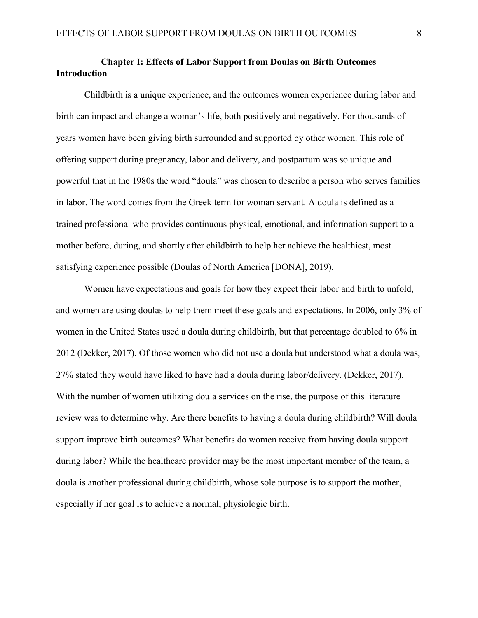# **Chapter I: Effects of Labor Support from Doulas on Birth Outcomes Introduction**

Childbirth is a unique experience, and the outcomes women experience during labor and birth can impact and change a woman's life, both positively and negatively. For thousands of years women have been giving birth surrounded and supported by other women. This role of offering support during pregnancy, labor and delivery, and postpartum was so unique and powerful that in the 1980s the word "doula" was chosen to describe a person who serves families in labor. The word comes from the Greek term for woman servant. A doula is defined as a trained professional who provides continuous physical, emotional, and information support to a mother before, during, and shortly after childbirth to help her achieve the healthiest, most satisfying experience possible (Doulas of North America [DONA], 2019).

Women have expectations and goals for how they expect their labor and birth to unfold, and women are using doulas to help them meet these goals and expectations. In 2006, only 3% of women in the United States used a doula during childbirth, but that percentage doubled to 6% in 2012 (Dekker, 2017). Of those women who did not use a doula but understood what a doula was, 27% stated they would have liked to have had a doula during labor/delivery. (Dekker, 2017). With the number of women utilizing doula services on the rise, the purpose of this literature review was to determine why. Are there benefits to having a doula during childbirth? Will doula support improve birth outcomes? What benefits do women receive from having doula support during labor? While the healthcare provider may be the most important member of the team, a doula is another professional during childbirth, whose sole purpose is to support the mother, especially if her goal is to achieve a normal, physiologic birth.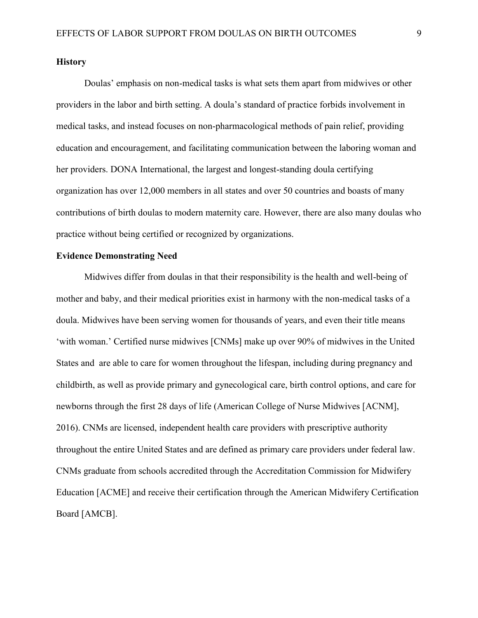## **History**

Doulas' emphasis on non-medical tasks is what sets them apart from midwives or other providers in the labor and birth setting. A doula's standard of practice forbids involvement in medical tasks, and instead focuses on non-pharmacological methods of pain relief, providing education and encouragement, and facilitating communication between the laboring woman and her providers. DONA International, the largest and longest-standing doula certifying organization has over 12,000 members in all states and over 50 countries and boasts of many contributions of birth doulas to modern maternity care. However, there are also many doulas who practice without being certified or recognized by organizations.

## **Evidence Demonstrating Need**

Midwives differ from doulas in that their responsibility is the health and well-being of mother and baby, and their medical priorities exist in harmony with the non-medical tasks of a doula. Midwives have been serving women for thousands of years, and even their title means 'with woman.' Certified nurse midwives [CNMs] make up over 90% of midwives in the United States and are able to care for women throughout the lifespan, including during pregnancy and childbirth, as well as provide primary and gynecological care, birth control options, and care for newborns through the first 28 days of life (American College of Nurse Midwives [ACNM], 2016). CNMs are licensed, independent health care providers with prescriptive authority throughout the entire United States and are defined as primary care providers under federal law. CNMs graduate from schools accredited through the Accreditation Commission for Midwifery Education [ACME] and receive their certification through the American Midwifery Certification Board [AMCB].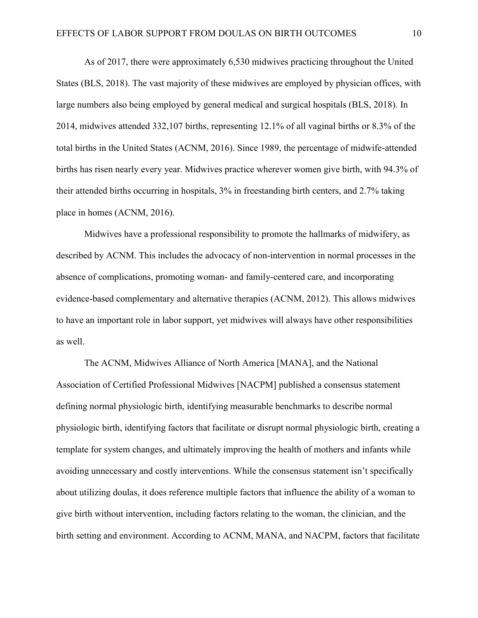As of 2017, there were approximately 6,530 midwives practicing throughout the United States (BLS, 2018). The vast majority of these midwives are employed by physician offices, with large numbers also being employed by general medical and surgical hospitals (BLS, 2018). In 2014, midwives attended 332,107 births, representing 12.1% of all vaginal births or 8.3% of the total births in the United States (ACNM, 2016). Since 1989, the percentage of midwife-attended births has risen nearly every year. Midwives practice wherever women give birth, with 94.3% of their attended births occurring in hospitals, 3% in freestanding birth centers, and 2.7% taking place in homes (ACNM, 2016).

Midwives have a professional responsibility to promote the hallmarks of midwifery, as described by ACNM. This includes the advocacy of non-intervention in normal processes in the absence of complications, promoting woman- and family-centered care, and incorporating evidence-based complementary and alternative therapies (ACNM, 2012). This allows midwives to have an important role in labor support, yet midwives will always have other responsibilities as well.

The ACNM, Midwives Alliance of North America [MANA], and the National Association of Certified Professional Midwives [NACPM] published a consensus statement defining normal physiologic birth, identifying measurable benchmarks to describe normal physiologic birth, identifying factors that facilitate or disrupt normal physiologic birth, creating a template for system changes, and ultimately improving the health of mothers and infants while avoiding unnecessary and costly interventions. While the consensus statement isn't specifically about utilizing doulas, it does reference multiple factors that influence the ability of a woman to give birth without intervention, including factors relating to the woman, the clinician, and the birth setting and environment. According to ACNM, MANA, and NACPM, factors that facilitate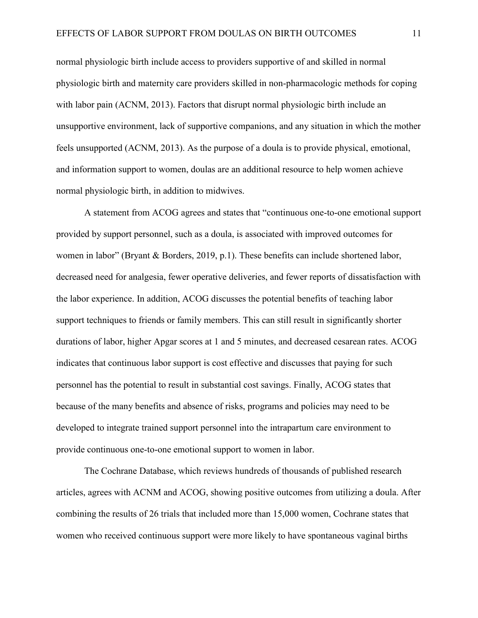normal physiologic birth include access to providers supportive of and skilled in normal physiologic birth and maternity care providers skilled in non-pharmacologic methods for coping with labor pain (ACNM, 2013). Factors that disrupt normal physiologic birth include an unsupportive environment, lack of supportive companions, and any situation in which the mother feels unsupported (ACNM, 2013). As the purpose of a doula is to provide physical, emotional, and information support to women, doulas are an additional resource to help women achieve normal physiologic birth, in addition to midwives.

A statement from ACOG agrees and states that "continuous one-to-one emotional support provided by support personnel, such as a doula, is associated with improved outcomes for women in labor" (Bryant & Borders, 2019, p.1). These benefits can include shortened labor, decreased need for analgesia, fewer operative deliveries, and fewer reports of dissatisfaction with the labor experience. In addition, ACOG discusses the potential benefits of teaching labor support techniques to friends or family members. This can still result in significantly shorter durations of labor, higher Apgar scores at 1 and 5 minutes, and decreased cesarean rates. ACOG indicates that continuous labor support is cost effective and discusses that paying for such personnel has the potential to result in substantial cost savings. Finally, ACOG states that because of the many benefits and absence of risks, programs and policies may need to be developed to integrate trained support personnel into the intrapartum care environment to provide continuous one-to-one emotional support to women in labor.

The Cochrane Database, which reviews hundreds of thousands of published research articles, agrees with ACNM and ACOG, showing positive outcomes from utilizing a doula. After combining the results of 26 trials that included more than 15,000 women, Cochrane states that women who received continuous support were more likely to have spontaneous vaginal births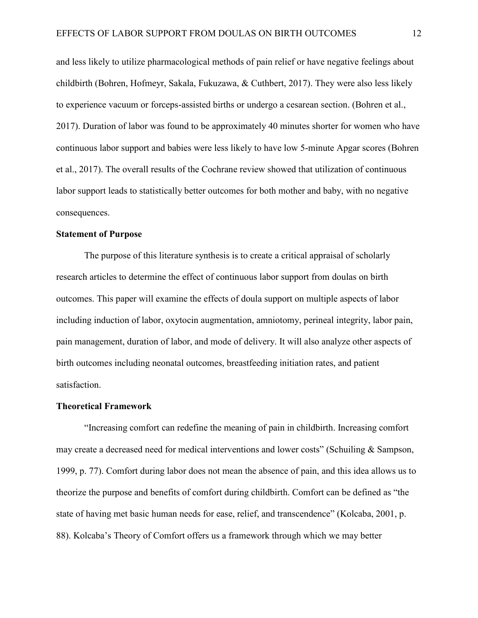and less likely to utilize pharmacological methods of pain relief or have negative feelings about childbirth (Bohren, Hofmeyr, Sakala, Fukuzawa, & Cuthbert, 2017). They were also less likely to experience vacuum or forceps-assisted births or undergo a cesarean section. (Bohren et al., 2017). Duration of labor was found to be approximately 40 minutes shorter for women who have continuous labor support and babies were less likely to have low 5-minute Apgar scores (Bohren et al., 2017). The overall results of the Cochrane review showed that utilization of continuous labor support leads to statistically better outcomes for both mother and baby, with no negative consequences.

#### **Statement of Purpose**

The purpose of this literature synthesis is to create a critical appraisal of scholarly research articles to determine the effect of continuous labor support from doulas on birth outcomes. This paper will examine the effects of doula support on multiple aspects of labor including induction of labor, oxytocin augmentation, amniotomy, perineal integrity, labor pain, pain management, duration of labor, and mode of delivery. It will also analyze other aspects of birth outcomes including neonatal outcomes, breastfeeding initiation rates, and patient satisfaction.

#### **Theoretical Framework**

"Increasing comfort can redefine the meaning of pain in childbirth. Increasing comfort may create a decreased need for medical interventions and lower costs" (Schuiling & Sampson, 1999, p. 77). Comfort during labor does not mean the absence of pain, and this idea allows us to theorize the purpose and benefits of comfort during childbirth. Comfort can be defined as "the state of having met basic human needs for ease, relief, and transcendence" (Kolcaba, 2001, p. 88). Kolcaba's Theory of Comfort offers us a framework through which we may better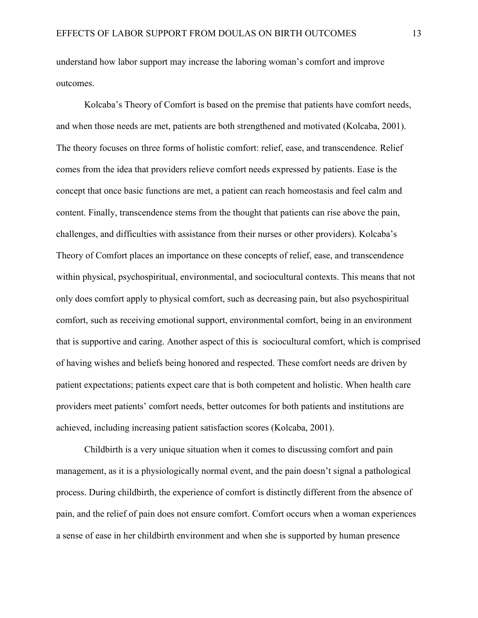understand how labor support may increase the laboring woman's comfort and improve outcomes.

Kolcaba's Theory of Comfort is based on the premise that patients have comfort needs, and when those needs are met, patients are both strengthened and motivated (Kolcaba, 2001). The theory focuses on three forms of holistic comfort: relief, ease, and transcendence. Relief comes from the idea that providers relieve comfort needs expressed by patients. Ease is the concept that once basic functions are met, a patient can reach homeostasis and feel calm and content. Finally, transcendence stems from the thought that patients can rise above the pain, challenges, and difficulties with assistance from their nurses or other providers). Kolcaba's Theory of Comfort places an importance on these concepts of relief, ease, and transcendence within physical, psychospiritual, environmental, and sociocultural contexts. This means that not only does comfort apply to physical comfort, such as decreasing pain, but also psychospiritual comfort, such as receiving emotional support, environmental comfort, being in an environment that is supportive and caring. Another aspect of this is sociocultural comfort, which is comprised of having wishes and beliefs being honored and respected. These comfort needs are driven by patient expectations; patients expect care that is both competent and holistic. When health care providers meet patients' comfort needs, better outcomes for both patients and institutions are achieved, including increasing patient satisfaction scores (Kolcaba, 2001).

Childbirth is a very unique situation when it comes to discussing comfort and pain management, as it is a physiologically normal event, and the pain doesn't signal a pathological process. During childbirth, the experience of comfort is distinctly different from the absence of pain, and the relief of pain does not ensure comfort. Comfort occurs when a woman experiences a sense of ease in her childbirth environment and when she is supported by human presence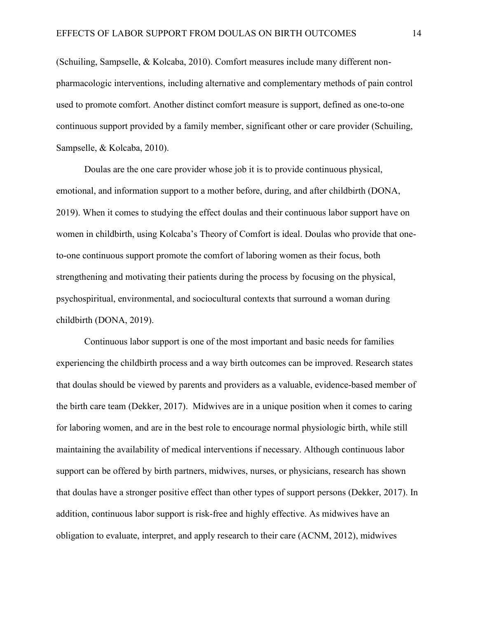(Schuiling, Sampselle, & Kolcaba, 2010). Comfort measures include many different nonpharmacologic interventions, including alternative and complementary methods of pain control used to promote comfort. Another distinct comfort measure is support, defined as one-to-one continuous support provided by a family member, significant other or care provider (Schuiling, Sampselle, & Kolcaba, 2010).

Doulas are the one care provider whose job it is to provide continuous physical, emotional, and information support to a mother before, during, and after childbirth (DONA, 2019). When it comes to studying the effect doulas and their continuous labor support have on women in childbirth, using Kolcaba's Theory of Comfort is ideal. Doulas who provide that oneto-one continuous support promote the comfort of laboring women as their focus, both strengthening and motivating their patients during the process by focusing on the physical, psychospiritual, environmental, and sociocultural contexts that surround a woman during childbirth (DONA, 2019).

Continuous labor support is one of the most important and basic needs for families experiencing the childbirth process and a way birth outcomes can be improved. Research states that doulas should be viewed by parents and providers as a valuable, evidence-based member of the birth care team (Dekker, 2017). Midwives are in a unique position when it comes to caring for laboring women, and are in the best role to encourage normal physiologic birth, while still maintaining the availability of medical interventions if necessary. Although continuous labor support can be offered by birth partners, midwives, nurses, or physicians, research has shown that doulas have a stronger positive effect than other types of support persons (Dekker, 2017). In addition, continuous labor support is risk-free and highly effective. As midwives have an obligation to evaluate, interpret, and apply research to their care (ACNM, 2012), midwives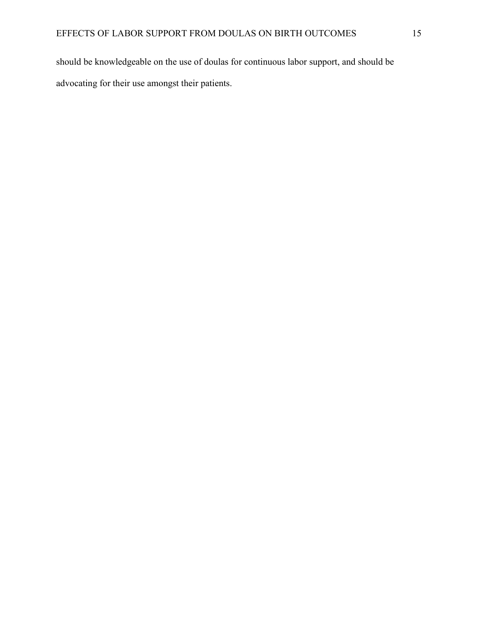should be knowledgeable on the use of doulas for continuous labor support, and should be advocating for their use amongst their patients.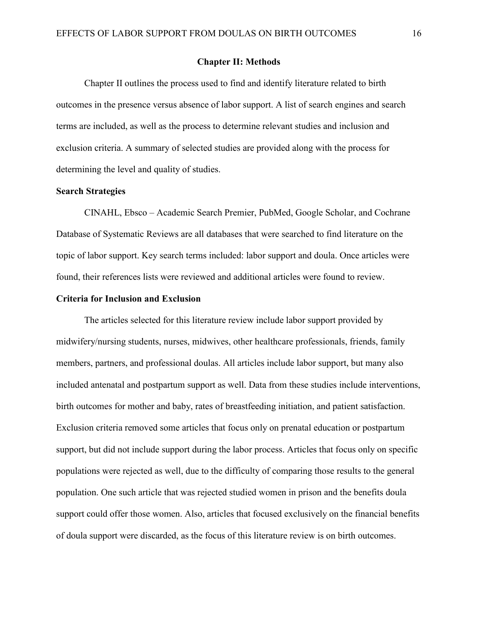#### **Chapter II: Methods**

Chapter II outlines the process used to find and identify literature related to birth outcomes in the presence versus absence of labor support. A list of search engines and search terms are included, as well as the process to determine relevant studies and inclusion and exclusion criteria. A summary of selected studies are provided along with the process for determining the level and quality of studies.

# **Search Strategies**

CINAHL, Ebsco – Academic Search Premier, PubMed, Google Scholar, and Cochrane Database of Systematic Reviews are all databases that were searched to find literature on the topic of labor support. Key search terms included: labor support and doula. Once articles were found, their references lists were reviewed and additional articles were found to review.

#### **Criteria for Inclusion and Exclusion**

The articles selected for this literature review include labor support provided by midwifery/nursing students, nurses, midwives, other healthcare professionals, friends, family members, partners, and professional doulas. All articles include labor support, but many also included antenatal and postpartum support as well. Data from these studies include interventions, birth outcomes for mother and baby, rates of breastfeeding initiation, and patient satisfaction. Exclusion criteria removed some articles that focus only on prenatal education or postpartum support, but did not include support during the labor process. Articles that focus only on specific populations were rejected as well, due to the difficulty of comparing those results to the general population. One such article that was rejected studied women in prison and the benefits doula support could offer those women. Also, articles that focused exclusively on the financial benefits of doula support were discarded, as the focus of this literature review is on birth outcomes.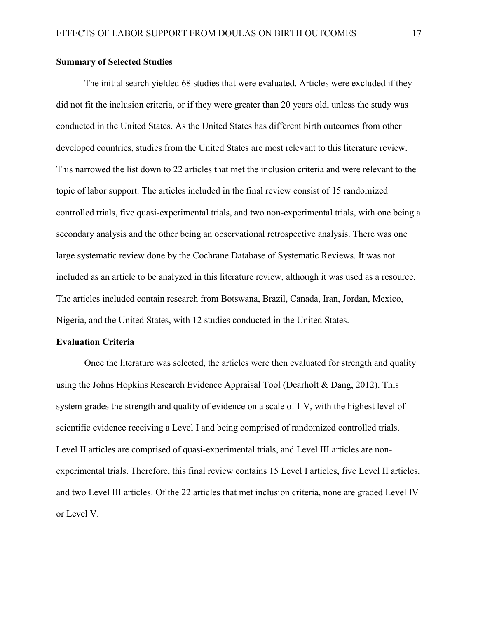# **Summary of Selected Studies**

The initial search yielded 68 studies that were evaluated. Articles were excluded if they did not fit the inclusion criteria, or if they were greater than 20 years old, unless the study was conducted in the United States. As the United States has different birth outcomes from other developed countries, studies from the United States are most relevant to this literature review. This narrowed the list down to 22 articles that met the inclusion criteria and were relevant to the topic of labor support. The articles included in the final review consist of 15 randomized controlled trials, five quasi-experimental trials, and two non-experimental trials, with one being a secondary analysis and the other being an observational retrospective analysis. There was one large systematic review done by the Cochrane Database of Systematic Reviews. It was not included as an article to be analyzed in this literature review, although it was used as a resource. The articles included contain research from Botswana, Brazil, Canada, Iran, Jordan, Mexico, Nigeria, and the United States, with 12 studies conducted in the United States.

#### **Evaluation Criteria**

Once the literature was selected, the articles were then evaluated for strength and quality using the Johns Hopkins Research Evidence Appraisal Tool (Dearholt & Dang, 2012). This system grades the strength and quality of evidence on a scale of I-V, with the highest level of scientific evidence receiving a Level I and being comprised of randomized controlled trials. Level II articles are comprised of quasi-experimental trials, and Level III articles are nonexperimental trials. Therefore, this final review contains 15 Level I articles, five Level II articles, and two Level III articles. Of the 22 articles that met inclusion criteria, none are graded Level IV or Level V.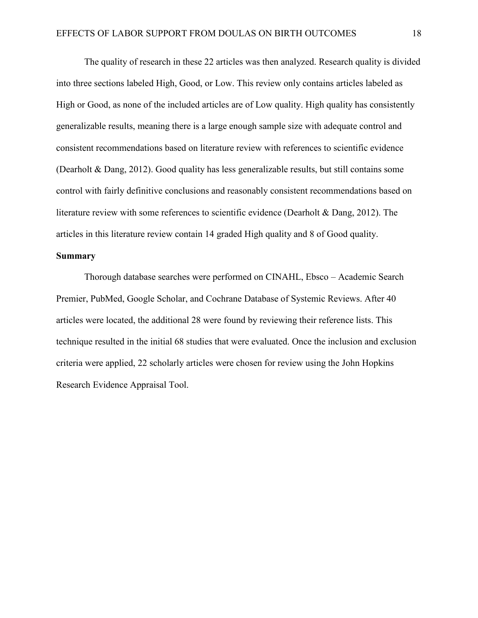The quality of research in these 22 articles was then analyzed. Research quality is divided into three sections labeled High, Good, or Low. This review only contains articles labeled as High or Good, as none of the included articles are of Low quality. High quality has consistently generalizable results, meaning there is a large enough sample size with adequate control and consistent recommendations based on literature review with references to scientific evidence (Dearholt & Dang, 2012). Good quality has less generalizable results, but still contains some control with fairly definitive conclusions and reasonably consistent recommendations based on literature review with some references to scientific evidence (Dearholt & Dang, 2012). The articles in this literature review contain 14 graded High quality and 8 of Good quality.

## **Summary**

Thorough database searches were performed on CINAHL, Ebsco – Academic Search Premier, PubMed, Google Scholar, and Cochrane Database of Systemic Reviews. After 40 articles were located, the additional 28 were found by reviewing their reference lists. This technique resulted in the initial 68 studies that were evaluated. Once the inclusion and exclusion criteria were applied, 22 scholarly articles were chosen for review using the John Hopkins Research Evidence Appraisal Tool.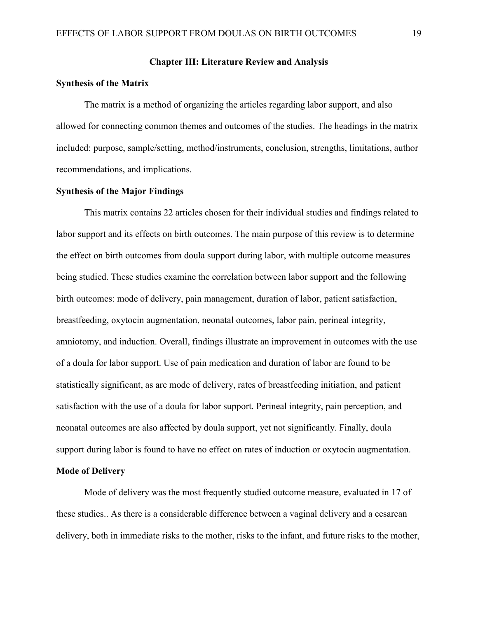# **Chapter III: Literature Review and Analysis**

#### **Synthesis of the Matrix**

The matrix is a method of organizing the articles regarding labor support, and also allowed for connecting common themes and outcomes of the studies. The headings in the matrix included: purpose, sample/setting, method/instruments, conclusion, strengths, limitations, author recommendations, and implications.

# **Synthesis of the Major Findings**

This matrix contains 22 articles chosen for their individual studies and findings related to labor support and its effects on birth outcomes. The main purpose of this review is to determine the effect on birth outcomes from doula support during labor, with multiple outcome measures being studied. These studies examine the correlation between labor support and the following birth outcomes: mode of delivery, pain management, duration of labor, patient satisfaction, breastfeeding, oxytocin augmentation, neonatal outcomes, labor pain, perineal integrity, amniotomy, and induction. Overall, findings illustrate an improvement in outcomes with the use of a doula for labor support. Use of pain medication and duration of labor are found to be statistically significant, as are mode of delivery, rates of breastfeeding initiation, and patient satisfaction with the use of a doula for labor support. Perineal integrity, pain perception, and neonatal outcomes are also affected by doula support, yet not significantly. Finally, doula support during labor is found to have no effect on rates of induction or oxytocin augmentation.

## **Mode of Delivery**

Mode of delivery was the most frequently studied outcome measure, evaluated in 17 of these studies.. As there is a considerable difference between a vaginal delivery and a cesarean delivery, both in immediate risks to the mother, risks to the infant, and future risks to the mother,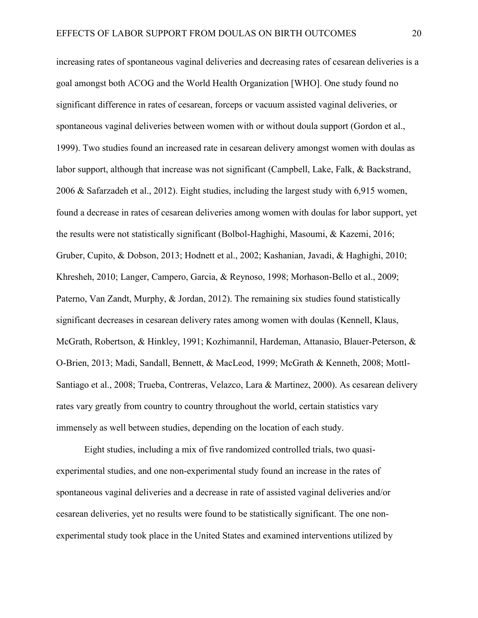increasing rates of spontaneous vaginal deliveries and decreasing rates of cesarean deliveries is a goal amongst both ACOG and the World Health Organization [WHO]. One study found no significant difference in rates of cesarean, forceps or vacuum assisted vaginal deliveries, or spontaneous vaginal deliveries between women with or without doula support (Gordon et al., 1999). Two studies found an increased rate in cesarean delivery amongst women with doulas as labor support, although that increase was not significant (Campbell, Lake, Falk, & Backstrand, 2006 & Safarzadeh et al., 2012). Eight studies, including the largest study with 6,915 women, found a decrease in rates of cesarean deliveries among women with doulas for labor support, yet the results were not statistically significant (Bolbol-Haghighi, Masoumi, & Kazemi, 2016; Gruber, Cupito, & Dobson, 2013; Hodnett et al., 2002; Kashanian, Javadi, & Haghighi, 2010; Khresheh, 2010; Langer, Campero, Garcia, & Reynoso, 1998; Morhason-Bello et al., 2009; Paterno, Van Zandt, Murphy, & Jordan, 2012). The remaining six studies found statistically significant decreases in cesarean delivery rates among women with doulas (Kennell, Klaus, McGrath, Robertson, & Hinkley, 1991; Kozhimannil, Hardeman, Attanasio, Blauer-Peterson, & O-Brien, 2013; Madi, Sandall, Bennett, & MacLeod, 1999; McGrath & Kenneth, 2008; Mottl-Santiago et al., 2008; Trueba, Contreras, Velazco, Lara & Martinez, 2000). As cesarean delivery rates vary greatly from country to country throughout the world, certain statistics vary immensely as well between studies, depending on the location of each study.

Eight studies, including a mix of five randomized controlled trials, two quasiexperimental studies, and one non-experimental study found an increase in the rates of spontaneous vaginal deliveries and a decrease in rate of assisted vaginal deliveries and/or cesarean deliveries, yet no results were found to be statistically significant. The one nonexperimental study took place in the United States and examined interventions utilized by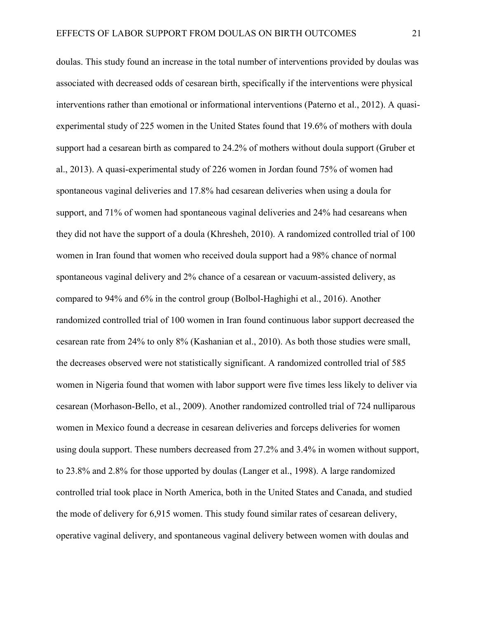doulas. This study found an increase in the total number of interventions provided by doulas was associated with decreased odds of cesarean birth, specifically if the interventions were physical interventions rather than emotional or informational interventions (Paterno et al., 2012). A quasiexperimental study of 225 women in the United States found that 19.6% of mothers with doula support had a cesarean birth as compared to 24.2% of mothers without doula support (Gruber et al., 2013). A quasi-experimental study of 226 women in Jordan found 75% of women had spontaneous vaginal deliveries and 17.8% had cesarean deliveries when using a doula for support, and 71% of women had spontaneous vaginal deliveries and 24% had cesareans when they did not have the support of a doula (Khresheh, 2010). A randomized controlled trial of 100 women in Iran found that women who received doula support had a 98% chance of normal spontaneous vaginal delivery and 2% chance of a cesarean or vacuum-assisted delivery, as compared to 94% and 6% in the control group (Bolbol-Haghighi et al., 2016). Another randomized controlled trial of 100 women in Iran found continuous labor support decreased the cesarean rate from 24% to only 8% (Kashanian et al., 2010). As both those studies were small, the decreases observed were not statistically significant. A randomized controlled trial of 585 women in Nigeria found that women with labor support were five times less likely to deliver via cesarean (Morhason-Bello, et al., 2009). Another randomized controlled trial of 724 nulliparous women in Mexico found a decrease in cesarean deliveries and forceps deliveries for women using doula support. These numbers decreased from 27.2% and 3.4% in women without support, to 23.8% and 2.8% for those upported by doulas (Langer et al., 1998). A large randomized controlled trial took place in North America, both in the United States and Canada, and studied the mode of delivery for 6,915 women. This study found similar rates of cesarean delivery, operative vaginal delivery, and spontaneous vaginal delivery between women with doulas and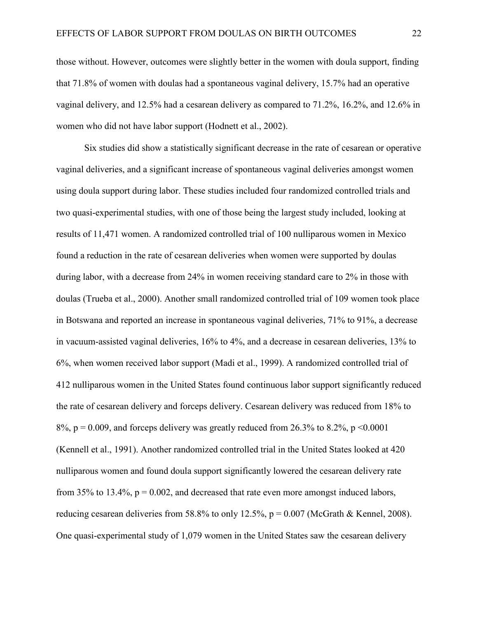those without. However, outcomes were slightly better in the women with doula support, finding that 71.8% of women with doulas had a spontaneous vaginal delivery, 15.7% had an operative vaginal delivery, and 12.5% had a cesarean delivery as compared to 71.2%, 16.2%, and 12.6% in women who did not have labor support (Hodnett et al., 2002).

Six studies did show a statistically significant decrease in the rate of cesarean or operative vaginal deliveries, and a significant increase of spontaneous vaginal deliveries amongst women using doula support during labor. These studies included four randomized controlled trials and two quasi-experimental studies, with one of those being the largest study included, looking at results of 11,471 women. A randomized controlled trial of 100 nulliparous women in Mexico found a reduction in the rate of cesarean deliveries when women were supported by doulas during labor, with a decrease from 24% in women receiving standard care to 2% in those with doulas (Trueba et al., 2000). Another small randomized controlled trial of 109 women took place in Botswana and reported an increase in spontaneous vaginal deliveries, 71% to 91%, a decrease in vacuum-assisted vaginal deliveries, 16% to 4%, and a decrease in cesarean deliveries, 13% to 6%, when women received labor support (Madi et al., 1999). A randomized controlled trial of 412 nulliparous women in the United States found continuous labor support significantly reduced the rate of cesarean delivery and forceps delivery. Cesarean delivery was reduced from 18% to  $8\%$ , p = 0.009, and forceps delivery was greatly reduced from 26.3% to 8.2%, p < 0.0001 (Kennell et al., 1991). Another randomized controlled trial in the United States looked at 420 nulliparous women and found doula support significantly lowered the cesarean delivery rate from 35% to 13.4%,  $p = 0.002$ , and decreased that rate even more amongst induced labors, reducing cesarean deliveries from 58.8% to only 12.5%,  $p = 0.007$  (McGrath & Kennel, 2008). One quasi-experimental study of 1,079 women in the United States saw the cesarean delivery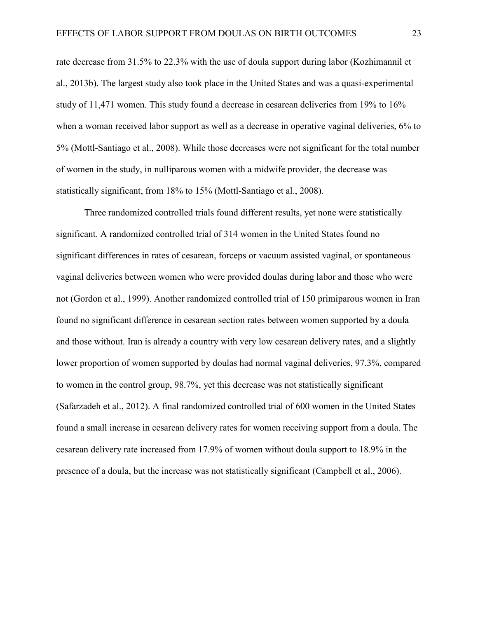rate decrease from 31.5% to 22.3% with the use of doula support during labor (Kozhimannil et al., 2013b). The largest study also took place in the United States and was a quasi-experimental study of 11,471 women. This study found a decrease in cesarean deliveries from 19% to 16% when a woman received labor support as well as a decrease in operative vaginal deliveries, 6% to 5% (Mottl-Santiago et al., 2008). While those decreases were not significant for the total number of women in the study, in nulliparous women with a midwife provider, the decrease was statistically significant, from 18% to 15% (Mottl-Santiago et al., 2008).

Three randomized controlled trials found different results, yet none were statistically significant. A randomized controlled trial of 314 women in the United States found no significant differences in rates of cesarean, forceps or vacuum assisted vaginal, or spontaneous vaginal deliveries between women who were provided doulas during labor and those who were not (Gordon et al., 1999). Another randomized controlled trial of 150 primiparous women in Iran found no significant difference in cesarean section rates between women supported by a doula and those without. Iran is already a country with very low cesarean delivery rates, and a slightly lower proportion of women supported by doulas had normal vaginal deliveries, 97.3%, compared to women in the control group, 98.7%, yet this decrease was not statistically significant (Safarzadeh et al., 2012). A final randomized controlled trial of 600 women in the United States found a small increase in cesarean delivery rates for women receiving support from a doula. The cesarean delivery rate increased from 17.9% of women without doula support to 18.9% in the presence of a doula, but the increase was not statistically significant (Campbell et al., 2006).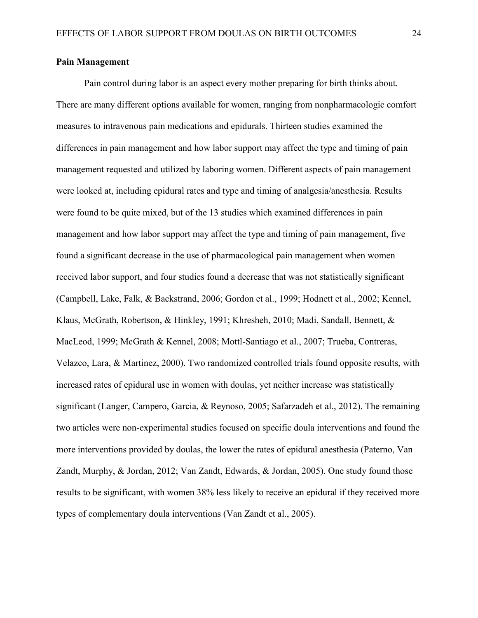## **Pain Management**

Pain control during labor is an aspect every mother preparing for birth thinks about. There are many different options available for women, ranging from nonpharmacologic comfort measures to intravenous pain medications and epidurals. Thirteen studies examined the differences in pain management and how labor support may affect the type and timing of pain management requested and utilized by laboring women. Different aspects of pain management were looked at, including epidural rates and type and timing of analgesia/anesthesia. Results were found to be quite mixed, but of the 13 studies which examined differences in pain management and how labor support may affect the type and timing of pain management, five found a significant decrease in the use of pharmacological pain management when women received labor support, and four studies found a decrease that was not statistically significant (Campbell, Lake, Falk, & Backstrand, 2006; Gordon et al., 1999; Hodnett et al., 2002; Kennel, Klaus, McGrath, Robertson, & Hinkley, 1991; Khresheh, 2010; Madi, Sandall, Bennett, & MacLeod, 1999; McGrath & Kennel, 2008; Mottl-Santiago et al., 2007; Trueba, Contreras, Velazco, Lara, & Martinez, 2000). Two randomized controlled trials found opposite results, with increased rates of epidural use in women with doulas, yet neither increase was statistically significant (Langer, Campero, Garcia, & Reynoso, 2005; Safarzadeh et al., 2012). The remaining two articles were non-experimental studies focused on specific doula interventions and found the more interventions provided by doulas, the lower the rates of epidural anesthesia (Paterno, Van Zandt, Murphy, & Jordan, 2012; Van Zandt, Edwards, & Jordan, 2005). One study found those results to be significant, with women 38% less likely to receive an epidural if they received more types of complementary doula interventions (Van Zandt et al., 2005).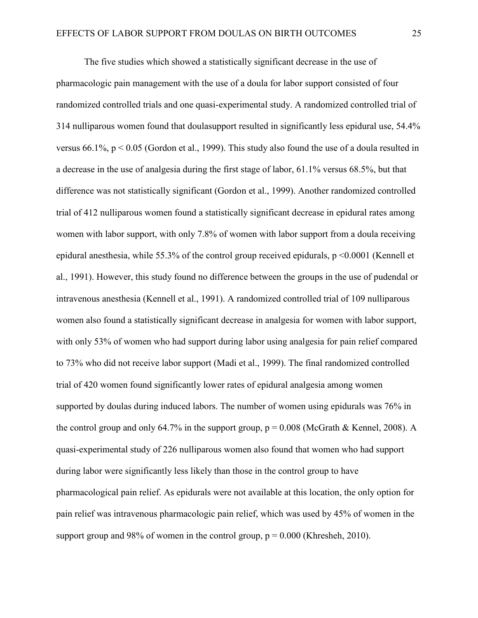The five studies which showed a statistically significant decrease in the use of pharmacologic pain management with the use of a doula for labor support consisted of four randomized controlled trials and one quasi-experimental study. A randomized controlled trial of 314 nulliparous women found that doulasupport resulted in significantly less epidural use, 54.4% versus  $66.1\%$ ,  $p < 0.05$  (Gordon et al., 1999). This study also found the use of a doula resulted in a decrease in the use of analgesia during the first stage of labor, 61.1% versus 68.5%, but that difference was not statistically significant (Gordon et al., 1999). Another randomized controlled trial of 412 nulliparous women found a statistically significant decrease in epidural rates among women with labor support, with only 7.8% of women with labor support from a doula receiving epidural anesthesia, while 55.3% of the control group received epidurals, p <0.0001 (Kennell et al., 1991). However, this study found no difference between the groups in the use of pudendal or intravenous anesthesia (Kennell et al., 1991). A randomized controlled trial of 109 nulliparous women also found a statistically significant decrease in analgesia for women with labor support, with only 53% of women who had support during labor using analgesia for pain relief compared to 73% who did not receive labor support (Madi et al., 1999). The final randomized controlled trial of 420 women found significantly lower rates of epidural analgesia among women supported by doulas during induced labors. The number of women using epidurals was 76% in the control group and only 64.7% in the support group,  $p = 0.008$  (McGrath & Kennel, 2008). A quasi-experimental study of 226 nulliparous women also found that women who had support during labor were significantly less likely than those in the control group to have pharmacological pain relief. As epidurals were not available at this location, the only option for pain relief was intravenous pharmacologic pain relief, which was used by 45% of women in the support group and 98% of women in the control group,  $p = 0.000$  (Khresheh, 2010).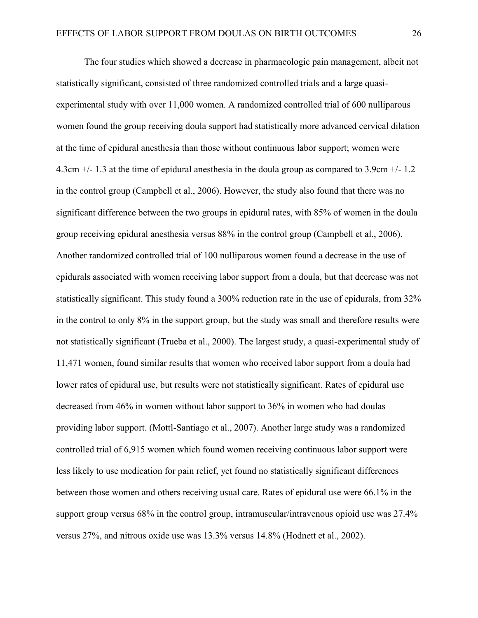The four studies which showed a decrease in pharmacologic pain management, albeit not statistically significant, consisted of three randomized controlled trials and a large quasiexperimental study with over 11,000 women. A randomized controlled trial of 600 nulliparous women found the group receiving doula support had statistically more advanced cervical dilation at the time of epidural anesthesia than those without continuous labor support; women were 4.3cm +/- 1.3 at the time of epidural anesthesia in the doula group as compared to 3.9cm +/- 1.2 in the control group (Campbell et al., 2006). However, the study also found that there was no significant difference between the two groups in epidural rates, with 85% of women in the doula group receiving epidural anesthesia versus 88% in the control group (Campbell et al., 2006). Another randomized controlled trial of 100 nulliparous women found a decrease in the use of epidurals associated with women receiving labor support from a doula, but that decrease was not statistically significant. This study found a 300% reduction rate in the use of epidurals, from 32% in the control to only 8% in the support group, but the study was small and therefore results were not statistically significant (Trueba et al., 2000). The largest study, a quasi-experimental study of 11,471 women, found similar results that women who received labor support from a doula had lower rates of epidural use, but results were not statistically significant. Rates of epidural use decreased from 46% in women without labor support to 36% in women who had doulas providing labor support. (Mottl-Santiago et al., 2007). Another large study was a randomized controlled trial of 6,915 women which found women receiving continuous labor support were less likely to use medication for pain relief, yet found no statistically significant differences between those women and others receiving usual care. Rates of epidural use were 66.1% in the support group versus 68% in the control group, intramuscular/intravenous opioid use was 27.4% versus 27%, and nitrous oxide use was 13.3% versus 14.8% (Hodnett et al., 2002).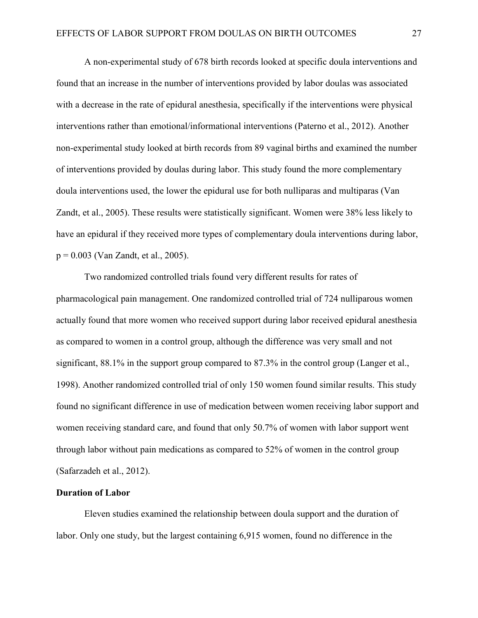A non-experimental study of 678 birth records looked at specific doula interventions and found that an increase in the number of interventions provided by labor doulas was associated with a decrease in the rate of epidural anesthesia, specifically if the interventions were physical interventions rather than emotional/informational interventions (Paterno et al., 2012). Another non-experimental study looked at birth records from 89 vaginal births and examined the number of interventions provided by doulas during labor. This study found the more complementary doula interventions used, the lower the epidural use for both nulliparas and multiparas (Van Zandt, et al., 2005). These results were statistically significant. Women were 38% less likely to have an epidural if they received more types of complementary doula interventions during labor, p = 0.003 (Van Zandt, et al., 2005).

Two randomized controlled trials found very different results for rates of pharmacological pain management. One randomized controlled trial of 724 nulliparous women actually found that more women who received support during labor received epidural anesthesia as compared to women in a control group, although the difference was very small and not significant, 88.1% in the support group compared to 87.3% in the control group (Langer et al., 1998). Another randomized controlled trial of only 150 women found similar results. This study found no significant difference in use of medication between women receiving labor support and women receiving standard care, and found that only 50.7% of women with labor support went through labor without pain medications as compared to 52% of women in the control group (Safarzadeh et al., 2012).

#### **Duration of Labor**

Eleven studies examined the relationship between doula support and the duration of labor. Only one study, but the largest containing 6,915 women, found no difference in the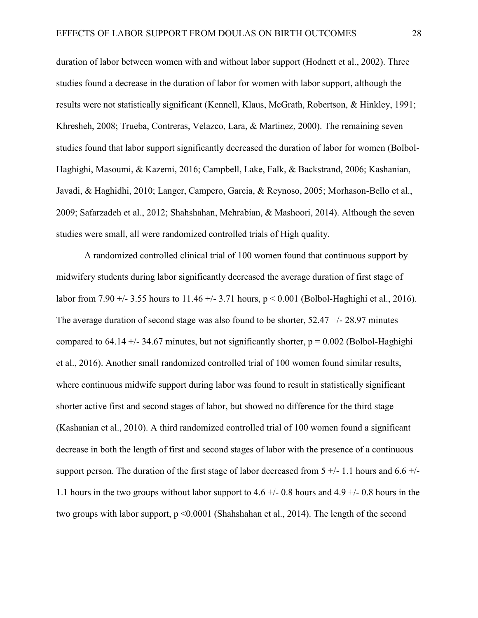duration of labor between women with and without labor support (Hodnett et al., 2002). Three studies found a decrease in the duration of labor for women with labor support, although the results were not statistically significant (Kennell, Klaus, McGrath, Robertson, & Hinkley, 1991; Khresheh, 2008; Trueba, Contreras, Velazco, Lara, & Martinez, 2000). The remaining seven studies found that labor support significantly decreased the duration of labor for women (Bolbol-Haghighi, Masoumi, & Kazemi, 2016; Campbell, Lake, Falk, & Backstrand, 2006; Kashanian, Javadi, & Haghidhi, 2010; Langer, Campero, Garcia, & Reynoso, 2005; Morhason-Bello et al., 2009; Safarzadeh et al., 2012; Shahshahan, Mehrabian, & Mashoori, 2014). Although the seven studies were small, all were randomized controlled trials of High quality.

A randomized controlled clinical trial of 100 women found that continuous support by midwifery students during labor significantly decreased the average duration of first stage of labor from 7.90 +/- 3.55 hours to 11.46 +/- 3.71 hours, p < 0.001 (Bolbol-Haghighi et al., 2016). The average duration of second stage was also found to be shorter, 52.47 +/- 28.97 minutes compared to 64.14 +/- 34.67 minutes, but not significantly shorter,  $p = 0.002$  (Bolbol-Haghighi et al., 2016). Another small randomized controlled trial of 100 women found similar results, where continuous midwife support during labor was found to result in statistically significant shorter active first and second stages of labor, but showed no difference for the third stage (Kashanian et al., 2010). A third randomized controlled trial of 100 women found a significant decrease in both the length of first and second stages of labor with the presence of a continuous support person. The duration of the first stage of labor decreased from  $5 +/-1.1$  hours and  $6.6 +/-$ 1.1 hours in the two groups without labor support to  $4.6 +/- 0.8$  hours and  $4.9 +/- 0.8$  hours in the two groups with labor support, p <0.0001 (Shahshahan et al., 2014). The length of the second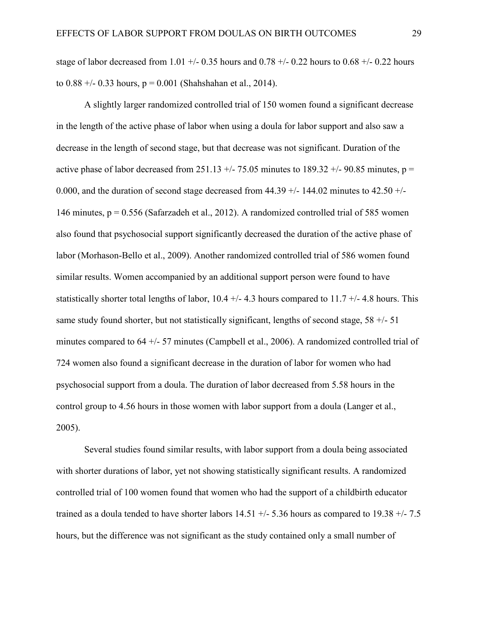stage of labor decreased from 1.01 +/- 0.35 hours and 0.78 +/- 0.22 hours to 0.68 +/- 0.22 hours to  $0.88 +/- 0.33$  hours,  $p = 0.001$  (Shahshahan et al., 2014).

A slightly larger randomized controlled trial of 150 women found a significant decrease in the length of the active phase of labor when using a doula for labor support and also saw a decrease in the length of second stage, but that decrease was not significant. Duration of the active phase of labor decreased from 251.13 +/- 75.05 minutes to 189.32 +/- 90.85 minutes,  $p =$ 0.000, and the duration of second stage decreased from  $44.39 +/-144.02$  minutes to  $42.50 +/-$ 146 minutes, p = 0.556 (Safarzadeh et al., 2012). A randomized controlled trial of 585 women also found that psychosocial support significantly decreased the duration of the active phase of labor (Morhason-Bello et al., 2009). Another randomized controlled trial of 586 women found similar results. Women accompanied by an additional support person were found to have statistically shorter total lengths of labor,  $10.4 +/- 4.3$  hours compared to  $11.7 +/- 4.8$  hours. This same study found shorter, but not statistically significant, lengths of second stage,  $58 +/- 51$ minutes compared to 64 +/- 57 minutes (Campbell et al., 2006). A randomized controlled trial of 724 women also found a significant decrease in the duration of labor for women who had psychosocial support from a doula. The duration of labor decreased from 5.58 hours in the control group to 4.56 hours in those women with labor support from a doula (Langer et al., 2005).

Several studies found similar results, with labor support from a doula being associated with shorter durations of labor, yet not showing statistically significant results. A randomized controlled trial of 100 women found that women who had the support of a childbirth educator trained as a doula tended to have shorter labors  $14.51 +/- 5.36$  hours as compared to  $19.38 +/- 7.5$ hours, but the difference was not significant as the study contained only a small number of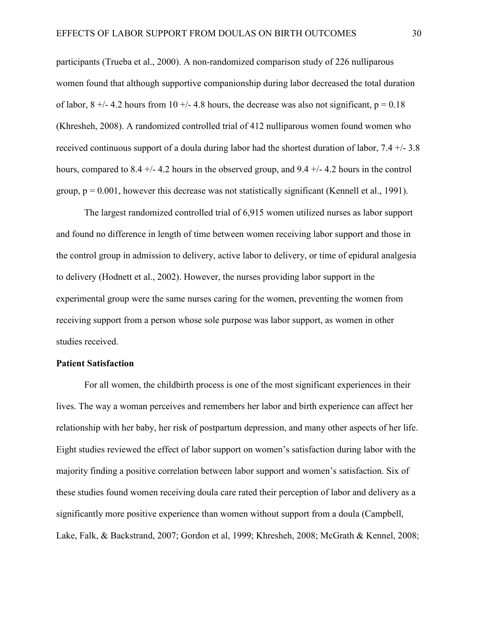participants (Trueba et al., 2000). A non-randomized comparison study of 226 nulliparous women found that although supportive companionship during labor decreased the total duration of labor,  $8 +/- 4.2$  hours from 10  $+/- 4.8$  hours, the decrease was also not significant,  $p = 0.18$ (Khresheh, 2008). A randomized controlled trial of 412 nulliparous women found women who received continuous support of a doula during labor had the shortest duration of labor, 7.4 +/- 3.8 hours, compared to 8.4 +/- 4.2 hours in the observed group, and 9.4 +/- 4.2 hours in the control group,  $p = 0.001$ , however this decrease was not statistically significant (Kennell et al., 1991).

The largest randomized controlled trial of 6,915 women utilized nurses as labor support and found no difference in length of time between women receiving labor support and those in the control group in admission to delivery, active labor to delivery, or time of epidural analgesia to delivery (Hodnett et al., 2002). However, the nurses providing labor support in the experimental group were the same nurses caring for the women, preventing the women from receiving support from a person whose sole purpose was labor support, as women in other studies received.

# **Patient Satisfaction**

For all women, the childbirth process is one of the most significant experiences in their lives. The way a woman perceives and remembers her labor and birth experience can affect her relationship with her baby, her risk of postpartum depression, and many other aspects of her life. Eight studies reviewed the effect of labor support on women's satisfaction during labor with the majority finding a positive correlation between labor support and women's satisfaction. Six of these studies found women receiving doula care rated their perception of labor and delivery as a significantly more positive experience than women without support from a doula (Campbell, Lake, Falk, & Backstrand, 2007; Gordon et al, 1999; Khresheh, 2008; McGrath & Kennel, 2008;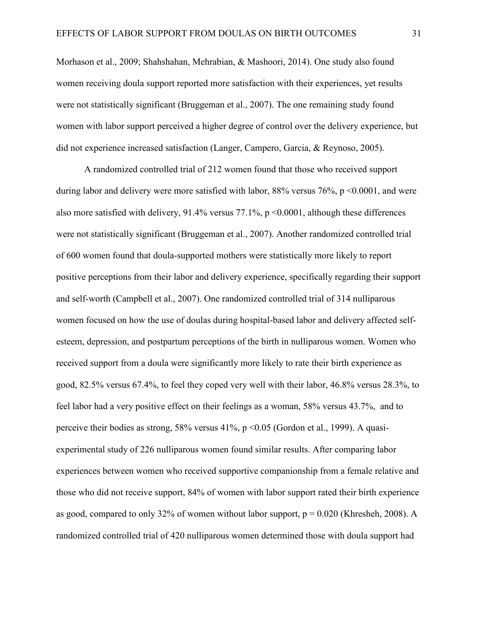Morhason et al., 2009; Shahshahan, Mehrabian, & Mashoori, 2014). One study also found women receiving doula support reported more satisfaction with their experiences, yet results were not statistically significant (Bruggeman et al., 2007). The one remaining study found women with labor support perceived a higher degree of control over the delivery experience, but did not experience increased satisfaction (Langer, Campero, Garcia, & Reynoso, 2005).

A randomized controlled trial of 212 women found that those who received support during labor and delivery were more satisfied with labor,  $88\%$  versus  $76\%$ , p <0.0001, and were also more satisfied with delivery, 91.4% versus 77.1%,  $p \le 0.0001$ , although these differences were not statistically significant (Bruggeman et al., 2007). Another randomized controlled trial of 600 women found that doula-supported mothers were statistically more likely to report positive perceptions from their labor and delivery experience, specifically regarding their support and self-worth (Campbell et al., 2007). One randomized controlled trial of 314 nulliparous women focused on how the use of doulas during hospital-based labor and delivery affected selfesteem, depression, and postpartum perceptions of the birth in nulliparous women. Women who received support from a doula were significantly more likely to rate their birth experience as good, 82.5% versus 67.4%, to feel they coped very well with their labor, 46.8% versus 28.3%, to feel labor had a very positive effect on their feelings as a woman, 58% versus 43.7%, and to perceive their bodies as strong, 58% versus 41%, p <0.05 (Gordon et al., 1999). A quasiexperimental study of 226 nulliparous women found similar results. After comparing labor experiences between women who received supportive companionship from a female relative and those who did not receive support, 84% of women with labor support rated their birth experience as good, compared to only 32% of women without labor support,  $p = 0.020$  (Khresheh, 2008). A randomized controlled trial of 420 nulliparous women determined those with doula support had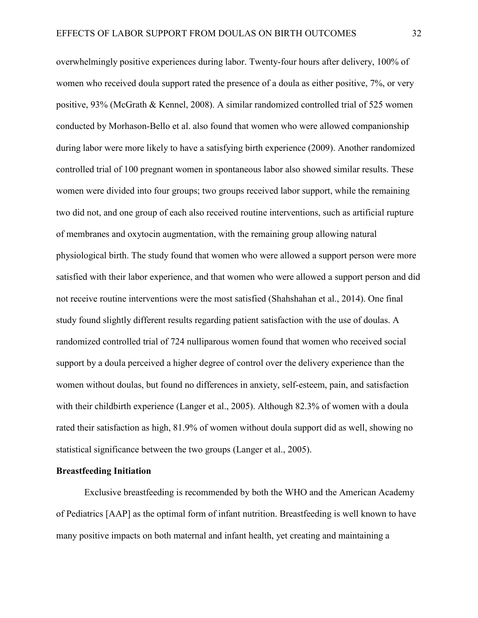overwhelmingly positive experiences during labor. Twenty-four hours after delivery, 100% of women who received doula support rated the presence of a doula as either positive, 7%, or very positive, 93% (McGrath & Kennel, 2008). A similar randomized controlled trial of 525 women conducted by Morhason-Bello et al. also found that women who were allowed companionship during labor were more likely to have a satisfying birth experience (2009). Another randomized controlled trial of 100 pregnant women in spontaneous labor also showed similar results. These women were divided into four groups; two groups received labor support, while the remaining two did not, and one group of each also received routine interventions, such as artificial rupture of membranes and oxytocin augmentation, with the remaining group allowing natural physiological birth. The study found that women who were allowed a support person were more satisfied with their labor experience, and that women who were allowed a support person and did not receive routine interventions were the most satisfied (Shahshahan et al., 2014). One final study found slightly different results regarding patient satisfaction with the use of doulas. A randomized controlled trial of 724 nulliparous women found that women who received social support by a doula perceived a higher degree of control over the delivery experience than the women without doulas, but found no differences in anxiety, self-esteem, pain, and satisfaction with their childbirth experience (Langer et al., 2005). Although 82.3% of women with a doula rated their satisfaction as high, 81.9% of women without doula support did as well, showing no statistical significance between the two groups (Langer et al., 2005).

## **Breastfeeding Initiation**

Exclusive breastfeeding is recommended by both the WHO and the American Academy of Pediatrics [AAP] as the optimal form of infant nutrition. Breastfeeding is well known to have many positive impacts on both maternal and infant health, yet creating and maintaining a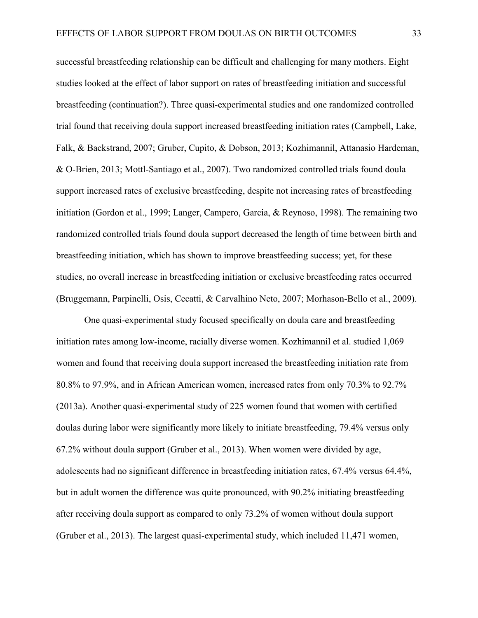successful breastfeeding relationship can be difficult and challenging for many mothers. Eight studies looked at the effect of labor support on rates of breastfeeding initiation and successful breastfeeding (continuation?). Three quasi-experimental studies and one randomized controlled trial found that receiving doula support increased breastfeeding initiation rates (Campbell, Lake, Falk, & Backstrand, 2007; Gruber, Cupito, & Dobson, 2013; Kozhimannil, Attanasio Hardeman, & O-Brien, 2013; Mottl-Santiago et al., 2007). Two randomized controlled trials found doula support increased rates of exclusive breastfeeding, despite not increasing rates of breastfeeding initiation (Gordon et al., 1999; Langer, Campero, Garcia, & Reynoso, 1998). The remaining two randomized controlled trials found doula support decreased the length of time between birth and breastfeeding initiation, which has shown to improve breastfeeding success; yet, for these studies, no overall increase in breastfeeding initiation or exclusive breastfeeding rates occurred (Bruggemann, Parpinelli, Osis, Cecatti, & Carvalhino Neto, 2007; Morhason-Bello et al., 2009).

One quasi-experimental study focused specifically on doula care and breastfeeding initiation rates among low-income, racially diverse women. Kozhimannil et al. studied 1,069 women and found that receiving doula support increased the breastfeeding initiation rate from 80.8% to 97.9%, and in African American women, increased rates from only 70.3% to 92.7% (2013a). Another quasi-experimental study of 225 women found that women with certified doulas during labor were significantly more likely to initiate breastfeeding, 79.4% versus only 67.2% without doula support (Gruber et al., 2013). When women were divided by age, adolescents had no significant difference in breastfeeding initiation rates, 67.4% versus 64.4%, but in adult women the difference was quite pronounced, with 90.2% initiating breastfeeding after receiving doula support as compared to only 73.2% of women without doula support (Gruber et al., 2013). The largest quasi-experimental study, which included 11,471 women,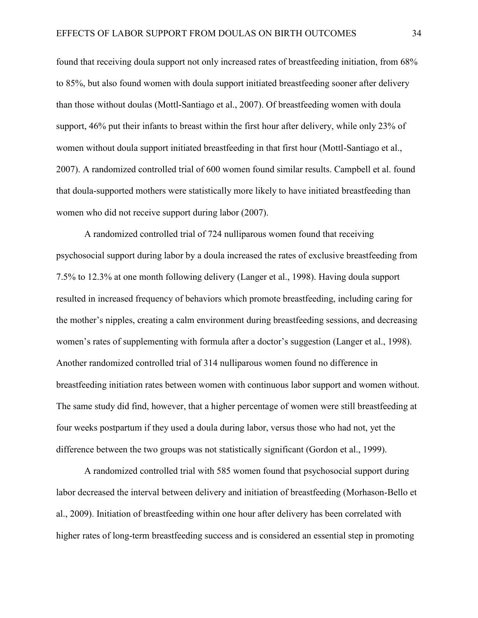found that receiving doula support not only increased rates of breastfeeding initiation, from 68% to 85%, but also found women with doula support initiated breastfeeding sooner after delivery than those without doulas (Mottl-Santiago et al., 2007). Of breastfeeding women with doula support, 46% put their infants to breast within the first hour after delivery, while only 23% of women without doula support initiated breastfeeding in that first hour (Mottl-Santiago et al., 2007). A randomized controlled trial of 600 women found similar results. Campbell et al. found that doula-supported mothers were statistically more likely to have initiated breastfeeding than women who did not receive support during labor (2007).

A randomized controlled trial of 724 nulliparous women found that receiving psychosocial support during labor by a doula increased the rates of exclusive breastfeeding from 7.5% to 12.3% at one month following delivery (Langer et al., 1998). Having doula support resulted in increased frequency of behaviors which promote breastfeeding, including caring for the mother's nipples, creating a calm environment during breastfeeding sessions, and decreasing women's rates of supplementing with formula after a doctor's suggestion (Langer et al., 1998). Another randomized controlled trial of 314 nulliparous women found no difference in breastfeeding initiation rates between women with continuous labor support and women without. The same study did find, however, that a higher percentage of women were still breastfeeding at four weeks postpartum if they used a doula during labor, versus those who had not, yet the difference between the two groups was not statistically significant (Gordon et al., 1999).

A randomized controlled trial with 585 women found that psychosocial support during labor decreased the interval between delivery and initiation of breastfeeding (Morhason-Bello et al., 2009). Initiation of breastfeeding within one hour after delivery has been correlated with higher rates of long-term breastfeeding success and is considered an essential step in promoting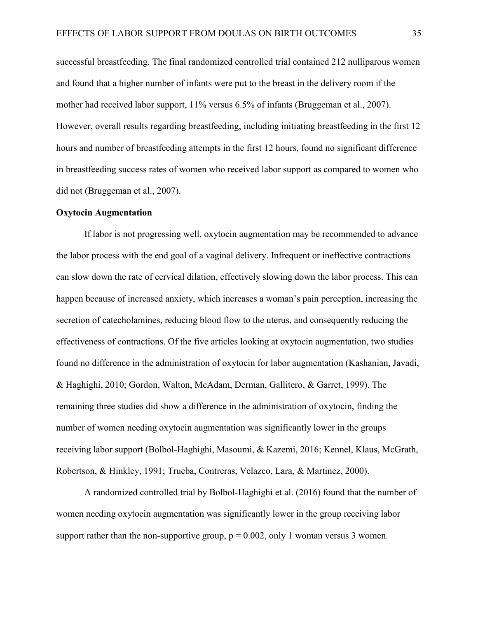successful breastfeeding. The final randomized controlled trial contained 212 nulliparous women and found that a higher number of infants were put to the breast in the delivery room if the mother had received labor support, 11% versus 6.5% of infants (Bruggeman et al., 2007). However, overall results regarding breastfeeding, including initiating breastfeeding in the first 12 hours and number of breastfeeding attempts in the first 12 hours, found no significant difference in breastfeeding success rates of women who received labor support as compared to women who did not (Bruggeman et al., 2007).

## **Oxytocin Augmentation**

If labor is not progressing well, oxytocin augmentation may be recommended to advance the labor process with the end goal of a vaginal delivery. Infrequent or ineffective contractions can slow down the rate of cervical dilation, effectively slowing down the labor process. This can happen because of increased anxiety, which increases a woman's pain perception, increasing the secretion of catecholamines, reducing blood flow to the uterus, and consequently reducing the effectiveness of contractions. Of the five articles looking at oxytocin augmentation, two studies found no difference in the administration of oxytocin for labor augmentation (Kashanian, Javadi, & Haghighi, 2010; Gordon, Walton, McAdam, Derman, Gallitero, & Garret, 1999). The remaining three studies did show a difference in the administration of oxytocin, finding the number of women needing oxytocin augmentation was significantly lower in the groups receiving labor support (Bolbol-Haghighi, Masoumi, & Kazemi, 2016; Kennel, Klaus, McGrath, Robertson, & Hinkley, 1991; Trueba, Contreras, Velazco, Lara, & Martinez, 2000).

A randomized controlled trial by Bolbol-Haghighi et al. (2016) found that the number of women needing oxytocin augmentation was significantly lower in the group receiving labor support rather than the non-supportive group,  $p = 0.002$ , only 1 woman versus 3 women.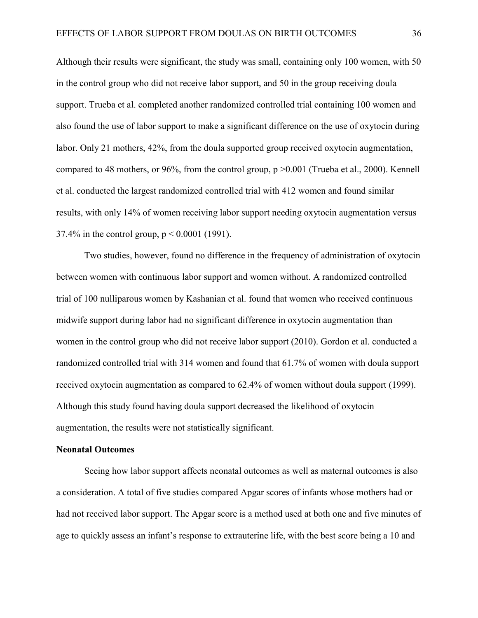Although their results were significant, the study was small, containing only 100 women, with 50 in the control group who did not receive labor support, and 50 in the group receiving doula support. Trueba et al. completed another randomized controlled trial containing 100 women and also found the use of labor support to make a significant difference on the use of oxytocin during labor. Only 21 mothers, 42%, from the doula supported group received oxytocin augmentation, compared to 48 mothers, or 96%, from the control group, p >0.001 (Trueba et al., 2000). Kennell et al. conducted the largest randomized controlled trial with 412 women and found similar results, with only 14% of women receiving labor support needing oxytocin augmentation versus 37.4% in the control group, p < 0.0001 (1991).

Two studies, however, found no difference in the frequency of administration of oxytocin between women with continuous labor support and women without. A randomized controlled trial of 100 nulliparous women by Kashanian et al. found that women who received continuous midwife support during labor had no significant difference in oxytocin augmentation than women in the control group who did not receive labor support (2010). Gordon et al. conducted a randomized controlled trial with 314 women and found that 61.7% of women with doula support received oxytocin augmentation as compared to 62.4% of women without doula support (1999). Although this study found having doula support decreased the likelihood of oxytocin augmentation, the results were not statistically significant.

#### **Neonatal Outcomes**

Seeing how labor support affects neonatal outcomes as well as maternal outcomes is also a consideration. A total of five studies compared Apgar scores of infants whose mothers had or had not received labor support. The Apgar score is a method used at both one and five minutes of age to quickly assess an infant's response to extrauterine life, with the best score being a 10 and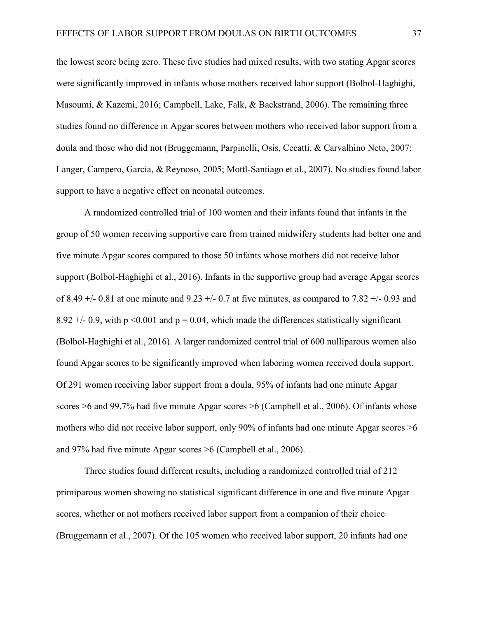the lowest score being zero. These five studies had mixed results, with two stating Apgar scores were significantly improved in infants whose mothers received labor support (Bolbol-Haghighi, Masoumi, & Kazemi, 2016; Campbell, Lake, Falk, & Backstrand, 2006). The remaining three studies found no difference in Apgar scores between mothers who received labor support from a doula and those who did not (Bruggemann, Parpinelli, Osis, Cecatti, & Carvalhino Neto, 2007; Langer, Campero, Garcia, & Reynoso, 2005; Mottl-Santiago et al., 2007). No studies found labor support to have a negative effect on neonatal outcomes.

A randomized controlled trial of 100 women and their infants found that infants in the group of 50 women receiving supportive care from trained midwifery students had better one and five minute Apgar scores compared to those 50 infants whose mothers did not receive labor support (Bolbol-Haghighi et al., 2016). Infants in the supportive group had average Apgar scores of 8.49  $+/-$  0.81 at one minute and 9.23  $+/-$  0.7 at five minutes, as compared to 7.82  $+/-$  0.93 and 8.92  $+/-$  0.9, with p <0.001 and p = 0.04, which made the differences statistically significant (Bolbol-Haghighi et al., 2016). A larger randomized control trial of 600 nulliparous women also found Apgar scores to be significantly improved when laboring women received doula support. Of 291 women receiving labor support from a doula, 95% of infants had one minute Apgar scores >6 and 99.7% had five minute Apgar scores >6 (Campbell et al., 2006). Of infants whose mothers who did not receive labor support, only 90% of infants had one minute Apgar scores  $\geq 6$ and 97% had five minute Apgar scores >6 (Campbell et al., 2006).

Three studies found different results, including a randomized controlled trial of 212 primiparous women showing no statistical significant difference in one and five minute Apgar scores, whether or not mothers received labor support from a companion of their choice (Bruggemann et al., 2007). Of the 105 women who received labor support, 20 infants had one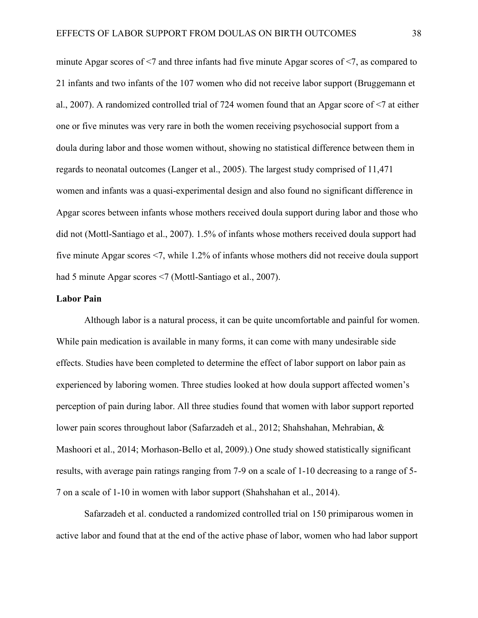minute Apgar scores of <7 and three infants had five minute Apgar scores of <7, as compared to 21 infants and two infants of the 107 women who did not receive labor support (Bruggemann et al., 2007). A randomized controlled trial of 724 women found that an Apgar score of <7 at either one or five minutes was very rare in both the women receiving psychosocial support from a doula during labor and those women without, showing no statistical difference between them in regards to neonatal outcomes (Langer et al., 2005). The largest study comprised of 11,471 women and infants was a quasi-experimental design and also found no significant difference in Apgar scores between infants whose mothers received doula support during labor and those who did not (Mottl-Santiago et al., 2007). 1.5% of infants whose mothers received doula support had five minute Apgar scores <7, while 1.2% of infants whose mothers did not receive doula support had 5 minute Apgar scores <7 (Mottl-Santiago et al., 2007).

#### **Labor Pain**

Although labor is a natural process, it can be quite uncomfortable and painful for women. While pain medication is available in many forms, it can come with many undesirable side effects. Studies have been completed to determine the effect of labor support on labor pain as experienced by laboring women. Three studies looked at how doula support affected women's perception of pain during labor. All three studies found that women with labor support reported lower pain scores throughout labor (Safarzadeh et al., 2012; Shahshahan, Mehrabian, & Mashoori et al., 2014; Morhason-Bello et al, 2009).) One study showed statistically significant results, with average pain ratings ranging from 7-9 on a scale of 1-10 decreasing to a range of 5- 7 on a scale of 1-10 in women with labor support (Shahshahan et al., 2014).

Safarzadeh et al. conducted a randomized controlled trial on 150 primiparous women in active labor and found that at the end of the active phase of labor, women who had labor support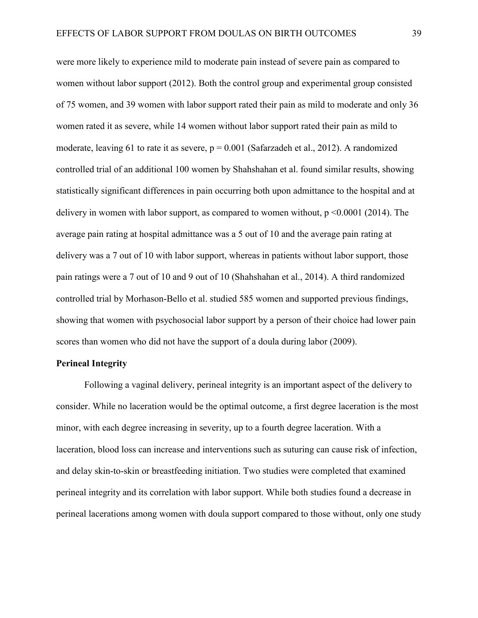were more likely to experience mild to moderate pain instead of severe pain as compared to women without labor support (2012). Both the control group and experimental group consisted of 75 women, and 39 women with labor support rated their pain as mild to moderate and only 36 women rated it as severe, while 14 women without labor support rated their pain as mild to moderate, leaving 61 to rate it as severe,  $p = 0.001$  (Safarzadeh et al., 2012). A randomized controlled trial of an additional 100 women by Shahshahan et al. found similar results, showing statistically significant differences in pain occurring both upon admittance to the hospital and at delivery in women with labor support, as compared to women without,  $p \le 0.0001$  (2014). The average pain rating at hospital admittance was a 5 out of 10 and the average pain rating at delivery was a 7 out of 10 with labor support, whereas in patients without labor support, those pain ratings were a 7 out of 10 and 9 out of 10 (Shahshahan et al., 2014). A third randomized controlled trial by Morhason-Bello et al. studied 585 women and supported previous findings, showing that women with psychosocial labor support by a person of their choice had lower pain scores than women who did not have the support of a doula during labor (2009).

#### **Perineal Integrity**

Following a vaginal delivery, perineal integrity is an important aspect of the delivery to consider. While no laceration would be the optimal outcome, a first degree laceration is the most minor, with each degree increasing in severity, up to a fourth degree laceration. With a laceration, blood loss can increase and interventions such as suturing can cause risk of infection, and delay skin-to-skin or breastfeeding initiation. Two studies were completed that examined perineal integrity and its correlation with labor support. While both studies found a decrease in perineal lacerations among women with doula support compared to those without, only one study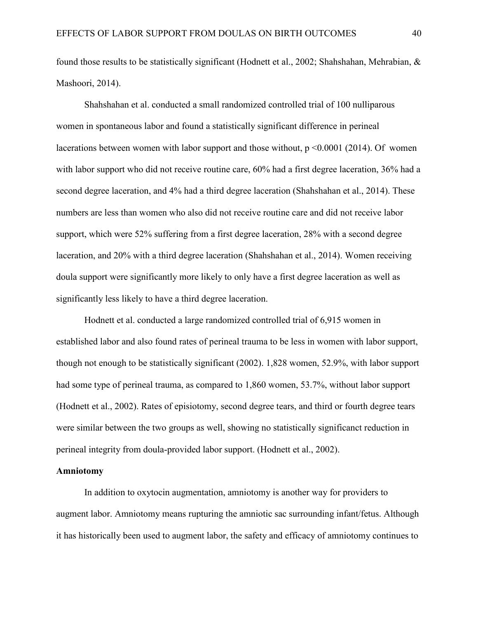found those results to be statistically significant (Hodnett et al., 2002; Shahshahan, Mehrabian, & Mashoori, 2014).

Shahshahan et al. conducted a small randomized controlled trial of 100 nulliparous women in spontaneous labor and found a statistically significant difference in perineal lacerations between women with labor support and those without,  $p \le 0.0001$  (2014). Of women with labor support who did not receive routine care, 60% had a first degree laceration, 36% had a second degree laceration, and 4% had a third degree laceration (Shahshahan et al., 2014). These numbers are less than women who also did not receive routine care and did not receive labor support, which were 52% suffering from a first degree laceration, 28% with a second degree laceration, and 20% with a third degree laceration (Shahshahan et al., 2014). Women receiving doula support were significantly more likely to only have a first degree laceration as well as significantly less likely to have a third degree laceration.

Hodnett et al. conducted a large randomized controlled trial of 6,915 women in established labor and also found rates of perineal trauma to be less in women with labor support, though not enough to be statistically significant (2002). 1,828 women, 52.9%, with labor support had some type of perineal trauma, as compared to 1,860 women, 53.7%, without labor support (Hodnett et al., 2002). Rates of episiotomy, second degree tears, and third or fourth degree tears were similar between the two groups as well, showing no statistically significanct reduction in perineal integrity from doula-provided labor support. (Hodnett et al., 2002).

#### **Amniotomy**

In addition to oxytocin augmentation, amniotomy is another way for providers to augment labor. Amniotomy means rupturing the amniotic sac surrounding infant/fetus. Although it has historically been used to augment labor, the safety and efficacy of amniotomy continues to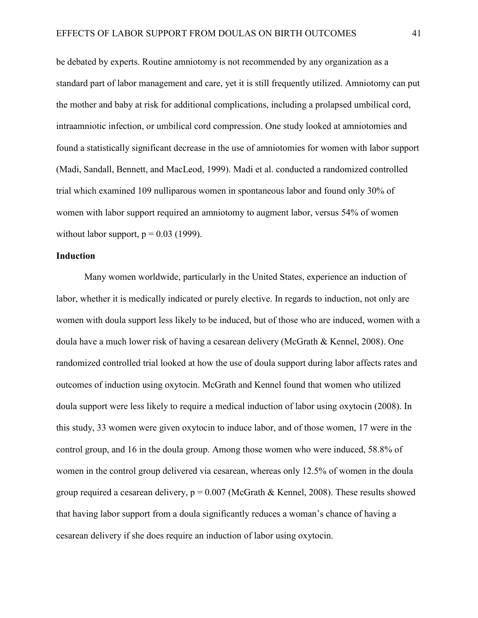be debated by experts. Routine amniotomy is not recommended by any organization as a standard part of labor management and care, yet it is still frequently utilized. Amniotomy can put the mother and baby at risk for additional complications, including a prolapsed umbilical cord, intraamniotic infection, or umbilical cord compression. One study looked at amniotomies and found a statistically significant decrease in the use of amniotomies for women with labor support (Madi, Sandall, Bennett, and MacLeod, 1999). Madi et al. conducted a randomized controlled trial which examined 109 nulliparous women in spontaneous labor and found only 30% of women with labor support required an amniotomy to augment labor, versus 54% of women without labor support,  $p = 0.03$  (1999).

#### **Induction**

Many women worldwide, particularly in the United States, experience an induction of labor, whether it is medically indicated or purely elective. In regards to induction, not only are women with doula support less likely to be induced, but of those who are induced, women with a doula have a much lower risk of having a cesarean delivery (McGrath & Kennel, 2008). One randomized controlled trial looked at how the use of doula support during labor affects rates and outcomes of induction using oxytocin. McGrath and Kennel found that women who utilized doula support were less likely to require a medical induction of labor using oxytocin (2008). In this study, 33 women were given oxytocin to induce labor, and of those women, 17 were in the control group, and 16 in the doula group. Among those women who were induced, 58.8% of women in the control group delivered via cesarean, whereas only 12.5% of women in the doula group required a cesarean delivery,  $p = 0.007$  (McGrath & Kennel, 2008). These results showed that having labor support from a doula significantly reduces a woman's chance of having a cesarean delivery if she does require an induction of labor using oxytocin.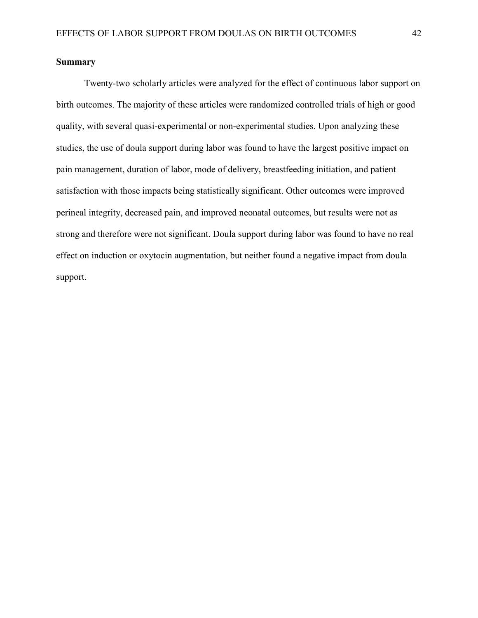#### **Summary**

Twenty-two scholarly articles were analyzed for the effect of continuous labor support on birth outcomes. The majority of these articles were randomized controlled trials of high or good quality, with several quasi-experimental or non-experimental studies. Upon analyzing these studies, the use of doula support during labor was found to have the largest positive impact on pain management, duration of labor, mode of delivery, breastfeeding initiation, and patient satisfaction with those impacts being statistically significant. Other outcomes were improved perineal integrity, decreased pain, and improved neonatal outcomes, but results were not as strong and therefore were not significant. Doula support during labor was found to have no real effect on induction or oxytocin augmentation, but neither found a negative impact from doula support.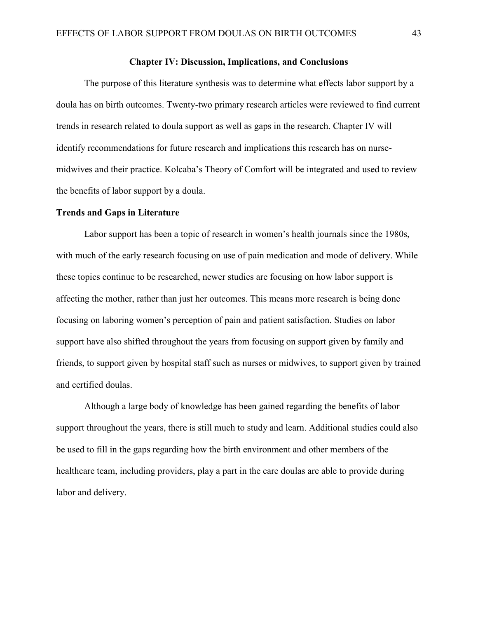#### **Chapter IV: Discussion, Implications, and Conclusions**

The purpose of this literature synthesis was to determine what effects labor support by a doula has on birth outcomes. Twenty-two primary research articles were reviewed to find current trends in research related to doula support as well as gaps in the research. Chapter IV will identify recommendations for future research and implications this research has on nursemidwives and their practice. Kolcaba's Theory of Comfort will be integrated and used to review the benefits of labor support by a doula.

#### **Trends and Gaps in Literature**

Labor support has been a topic of research in women's health journals since the 1980s, with much of the early research focusing on use of pain medication and mode of delivery. While these topics continue to be researched, newer studies are focusing on how labor support is affecting the mother, rather than just her outcomes. This means more research is being done focusing on laboring women's perception of pain and patient satisfaction. Studies on labor support have also shifted throughout the years from focusing on support given by family and friends, to support given by hospital staff such as nurses or midwives, to support given by trained and certified doulas.

Although a large body of knowledge has been gained regarding the benefits of labor support throughout the years, there is still much to study and learn. Additional studies could also be used to fill in the gaps regarding how the birth environment and other members of the healthcare team, including providers, play a part in the care doulas are able to provide during labor and delivery.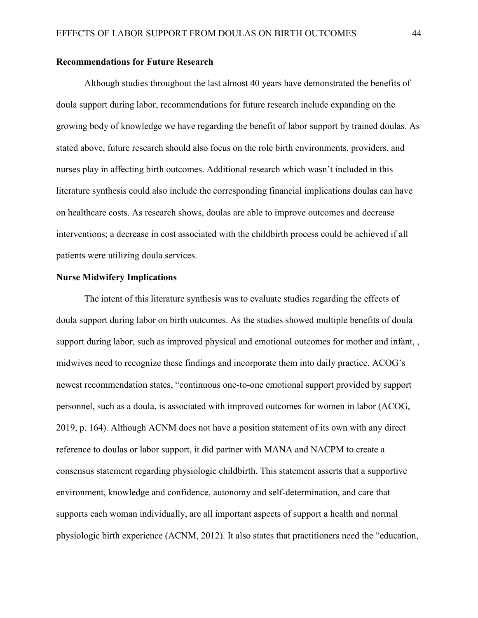#### **Recommendations for Future Research**

Although studies throughout the last almost 40 years have demonstrated the benefits of doula support during labor, recommendations for future research include expanding on the growing body of knowledge we have regarding the benefit of labor support by trained doulas. As stated above, future research should also focus on the role birth environments, providers, and nurses play in affecting birth outcomes. Additional research which wasn't included in this literature synthesis could also include the corresponding financial implications doulas can have on healthcare costs. As research shows, doulas are able to improve outcomes and decrease interventions; a decrease in cost associated with the childbirth process could be achieved if all patients were utilizing doula services.

#### **Nurse Midwifery Implications**

The intent of this literature synthesis was to evaluate studies regarding the effects of doula support during labor on birth outcomes. As the studies showed multiple benefits of doula support during labor, such as improved physical and emotional outcomes for mother and infant, , midwives need to recognize these findings and incorporate them into daily practice. ACOG's newest recommendation states, "continuous one-to-one emotional support provided by support personnel, such as a doula, is associated with improved outcomes for women in labor (ACOG, 2019, p. 164). Although ACNM does not have a position statement of its own with any direct reference to doulas or labor support, it did partner with MANA and NACPM to create a consensus statement regarding physiologic childbirth. This statement asserts that a supportive environment, knowledge and confidence, autonomy and self-determination, and care that supports each woman individually, are all important aspects of support a health and normal physiologic birth experience (ACNM, 2012). It also states that practitioners need the "education,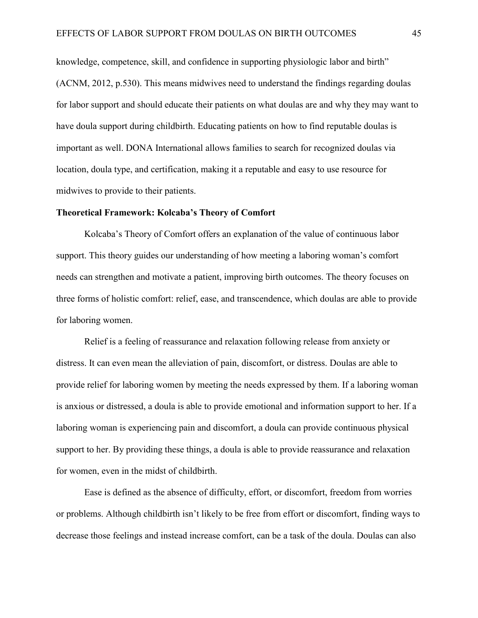knowledge, competence, skill, and confidence in supporting physiologic labor and birth" (ACNM, 2012, p.530). This means midwives need to understand the findings regarding doulas for labor support and should educate their patients on what doulas are and why they may want to have doula support during childbirth. Educating patients on how to find reputable doulas is important as well. DONA International allows families to search for recognized doulas via location, doula type, and certification, making it a reputable and easy to use resource for midwives to provide to their patients.

#### **Theoretical Framework: Kolcaba's Theory of Comfort**

Kolcaba's Theory of Comfort offers an explanation of the value of continuous labor support. This theory guides our understanding of how meeting a laboring woman's comfort needs can strengthen and motivate a patient, improving birth outcomes. The theory focuses on three forms of holistic comfort: relief, ease, and transcendence, which doulas are able to provide for laboring women.

Relief is a feeling of reassurance and relaxation following release from anxiety or distress. It can even mean the alleviation of pain, discomfort, or distress. Doulas are able to provide relief for laboring women by meeting the needs expressed by them. If a laboring woman is anxious or distressed, a doula is able to provide emotional and information support to her. If a laboring woman is experiencing pain and discomfort, a doula can provide continuous physical support to her. By providing these things, a doula is able to provide reassurance and relaxation for women, even in the midst of childbirth.

Ease is defined as the absence of difficulty, effort, or discomfort, freedom from worries or problems. Although childbirth isn't likely to be free from effort or discomfort, finding ways to decrease those feelings and instead increase comfort, can be a task of the doula. Doulas can also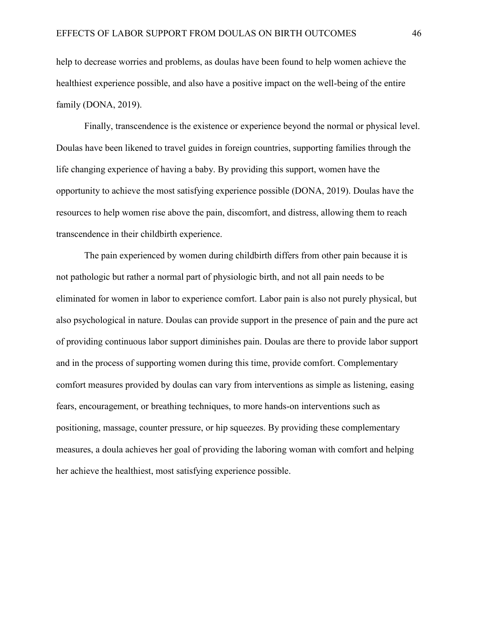help to decrease worries and problems, as doulas have been found to help women achieve the healthiest experience possible, and also have a positive impact on the well-being of the entire family (DONA, 2019).

Finally, transcendence is the existence or experience beyond the normal or physical level. Doulas have been likened to travel guides in foreign countries, supporting families through the life changing experience of having a baby. By providing this support, women have the opportunity to achieve the most satisfying experience possible (DONA, 2019). Doulas have the resources to help women rise above the pain, discomfort, and distress, allowing them to reach transcendence in their childbirth experience.

The pain experienced by women during childbirth differs from other pain because it is not pathologic but rather a normal part of physiologic birth, and not all pain needs to be eliminated for women in labor to experience comfort. Labor pain is also not purely physical, but also psychological in nature. Doulas can provide support in the presence of pain and the pure act of providing continuous labor support diminishes pain. Doulas are there to provide labor support and in the process of supporting women during this time, provide comfort. Complementary comfort measures provided by doulas can vary from interventions as simple as listening, easing fears, encouragement, or breathing techniques, to more hands-on interventions such as positioning, massage, counter pressure, or hip squeezes. By providing these complementary measures, a doula achieves her goal of providing the laboring woman with comfort and helping her achieve the healthiest, most satisfying experience possible.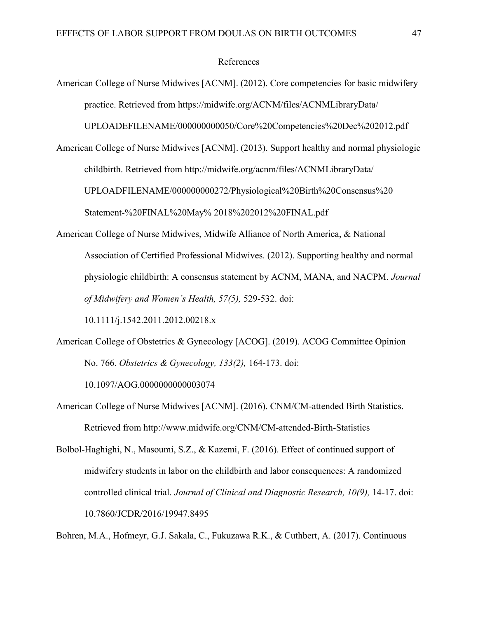#### References

American College of Nurse Midwives [ACNM]. (2012). Core competencies for basic midwifery practice. Retrieved from https://midwife.org/ACNM/files/ACNMLibraryData/

UPLOADEFILENAME/000000000050/Core%20Competencies%20Dec%202012.pdf

- American College of Nurse Midwives [ACNM]. (2013). Support healthy and normal physiologic childbirth. Retrieved from http://midwife.org/acnm/files/ACNMLibraryData/ UPLOADFILENAME/000000000272/Physiological%20Birth%20Consensus%20 Statement-%20FINAL%20May% 2018%202012%20FINAL.pdf
- American College of Nurse Midwives, Midwife Alliance of North America, & National Association of Certified Professional Midwives. (2012). Supporting healthy and normal physiologic childbirth: A consensus statement by ACNM, MANA, and NACPM. *Journal of Midwifery and Women's Health, 57(5),* 529-532. doi:

10.1111/j.1542.2011.2012.00218.x

American College of Obstetrics & Gynecology [ACOG]. (2019). ACOG Committee Opinion No. 766. *Obstetrics & Gynecology, 133(2),* 164-173. doi:

10.1097/AOG.0000000000003074

- American College of Nurse Midwives [ACNM]. (2016). CNM/CM-attended Birth Statistics. Retrieved from http://www.midwife.org/CNM/CM-attended-Birth-Statistics
- Bolbol-Haghighi, N., Masoumi, S.Z., & Kazemi, F. (2016). Effect of continued support of midwifery students in labor on the childbirth and labor consequences: A randomized controlled clinical trial. *Journal of Clinical and Diagnostic Research, 10(9),* 14-17. doi: 10.7860/JCDR/2016/19947.8495

Bohren, M.A., Hofmeyr, G.J. Sakala, C., Fukuzawa R.K., & Cuthbert, A. (2017). Continuous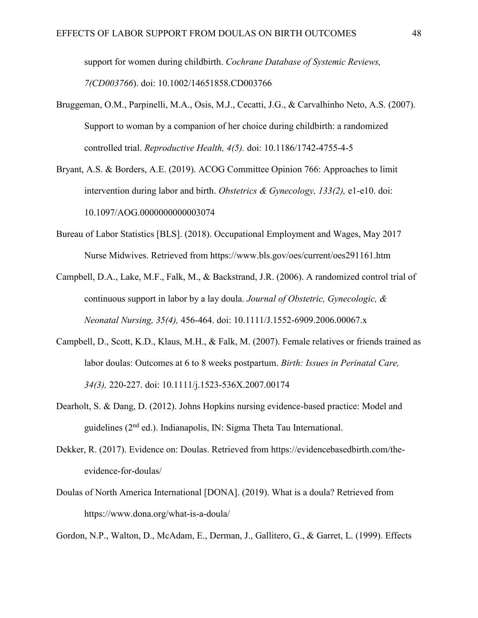support for women during childbirth. *Cochrane Database of Systemic Reviews, 7(CD003766*). doi: 10.1002/14651858.CD003766

- Bruggeman, O.M., Parpinelli, M.A., Osis, M.J., Cecatti, J.G., & Carvalhinho Neto, A.S. (2007). Support to woman by a companion of her choice during childbirth: a randomized controlled trial. *Reproductive Health, 4(5).* doi: 10.1186/1742-4755-4-5
- Bryant, A.S. & Borders, A.E. (2019). ACOG Committee Opinion 766: Approaches to limit intervention during labor and birth. *Obstetrics & Gynecology, 133(2),* e1-e10. doi: 10.1097/AOG.0000000000003074
- Bureau of Labor Statistics [BLS]. (2018). Occupational Employment and Wages, May 2017 Nurse Midwives. Retrieved from https://www.bls.gov/oes/current/oes291161.htm
- Campbell, D.A., Lake, M.F., Falk, M., & Backstrand, J.R. (2006). A randomized control trial of continuous support in labor by a lay doula. *Journal of Obstetric, Gynecologic, & Neonatal Nursing, 35(4),* 456-464. doi: 10.1111/J.1552-6909.2006.00067.x
- Campbell, D., Scott, K.D., Klaus, M.H., & Falk, M. (2007). Female relatives or friends trained as labor doulas: Outcomes at 6 to 8 weeks postpartum. *Birth: Issues in Perinatal Care, 34(3),* 220-227. doi: 10.1111/j.1523-536X.2007.00174
- Dearholt, S. & Dang, D. (2012). Johns Hopkins nursing evidence-based practice: Model and guidelines (2nd ed.). Indianapolis, IN: Sigma Theta Tau International.
- Dekker, R. (2017). Evidence on: Doulas. Retrieved from https://evidencebasedbirth.com/theevidence-for-doulas/
- Doulas of North America International [DONA]. (2019). What is a doula? Retrieved from https://www.dona.org/what-is-a-doula/

Gordon, N.P., Walton, D., McAdam, E., Derman, J., Gallitero, G., & Garret, L. (1999). Effects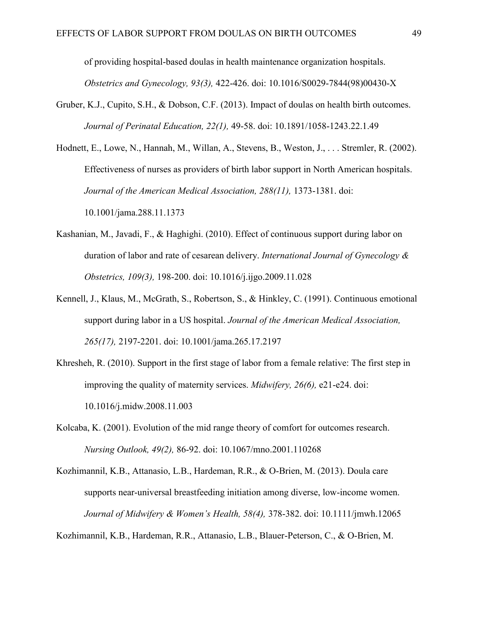of providing hospital-based doulas in health maintenance organization hospitals. *Obstetrics and Gynecology, 93(3),* 422-426. doi: 10.1016/S0029-7844(98)00430-X

- Gruber, K.J., Cupito, S.H., & Dobson, C.F. (2013). Impact of doulas on health birth outcomes. *Journal of Perinatal Education, 22(1),* 49-58. doi: 10.1891/1058-1243.22.1.49
- Hodnett, E., Lowe, N., Hannah, M., Willan, A., Stevens, B., Weston, J., . . . Stremler, R. (2002). Effectiveness of nurses as providers of birth labor support in North American hospitals. Journal of the American Medical Association, 288(11), 1373-1381. doi: 10.1001/jama.288.11.1373
- Kashanian, M., Javadi, F., & Haghighi. (2010). Effect of continuous support during labor on duration of labor and rate of cesarean delivery. *International Journal of Gynecology & Obstetrics, 109(3),* 198-200. doi: 10.1016/j.ijgo.2009.11.028
- Kennell, J., Klaus, M., McGrath, S., Robertson, S., & Hinkley, C. (1991). Continuous emotional support during labor in a US hospital. *Journal of the American Medical Association, 265(17),* 2197-2201. doi: 10.1001/jama.265.17.2197
- Khresheh, R. (2010). Support in the first stage of labor from a female relative: The first step in improving the quality of maternity services. *Midwifery, 26(6),* e21-e24. doi: 10.1016/j.midw.2008.11.003
- Kolcaba, K. (2001). Evolution of the mid range theory of comfort for outcomes research. *Nursing Outlook, 49(2),* 86-92. doi: 10.1067/mno.2001.110268
- Kozhimannil, K.B., Attanasio, L.B., Hardeman, R.R., & O-Brien, M. (2013). Doula care supports near-universal breastfeeding initiation among diverse, low-income women. *Journal of Midwifery & Women's Health, 58(4),* 378-382. doi: 10.1111/jmwh.12065

Kozhimannil, K.B., Hardeman, R.R., Attanasio, L.B., Blauer-Peterson, C., & O-Brien, M.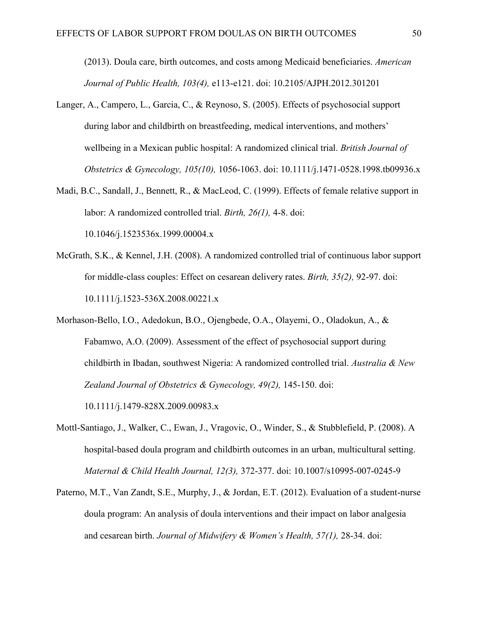(2013). Doula care, birth outcomes, and costs among Medicaid beneficiaries. *American Journal of Public Health, 103(4),* e113-e121. doi: 10.2105/AJPH.2012.301201

- Langer, A., Campero, L., Garcia, C., & Reynoso, S. (2005). Effects of psychosocial support during labor and childbirth on breastfeeding, medical interventions, and mothers' wellbeing in a Mexican public hospital: A randomized clinical trial. *British Journal of Obstetrics & Gynecology, 105(10),* 1056-1063. doi: 10.1111/j.1471-0528.1998.tb09936.x
- Madi, B.C., Sandall, J., Bennett, R., & MacLeod, C. (1999). Effects of female relative support in labor: A randomized controlled trial. *Birth, 26(1),* 4-8. doi: 10.1046/j.1523536x.1999.00004.x
- McGrath, S.K., & Kennel, J.H. (2008). A randomized controlled trial of continuous labor support for middle-class couples: Effect on cesarean delivery rates. *Birth, 35(2),* 92-97. doi: 10.1111/j.1523-536X.2008.00221.x
- Morhason-Bello, I.O., Adedokun, B.O., Ojengbede, O.A., Olayemi, O., Oladokun, A., & Fabamwo, A.O. (2009). Assessment of the effect of psychosocial support during childbirth in Ibadan, southwest Nigeria: A randomized controlled trial. *Australia & New Zealand Journal of Obstetrics & Gynecology, 49(2),* 145-150. doi: 10.1111/j.1479-828X.2009.00983.x
- Mottl-Santiago, J., Walker, C., Ewan, J., Vragovic, O., Winder, S., & Stubblefield, P. (2008). A hospital-based doula program and childbirth outcomes in an urban, multicultural setting. *Maternal & Child Health Journal, 12(3),* 372-377. doi: 10.1007/s10995-007-0245-9
- Paterno, M.T., Van Zandt, S.E., Murphy, J., & Jordan, E.T. (2012). Evaluation of a student-nurse doula program: An analysis of doula interventions and their impact on labor analgesia and cesarean birth. *Journal of Midwifery & Women's Health, 57(1),* 28-34. doi: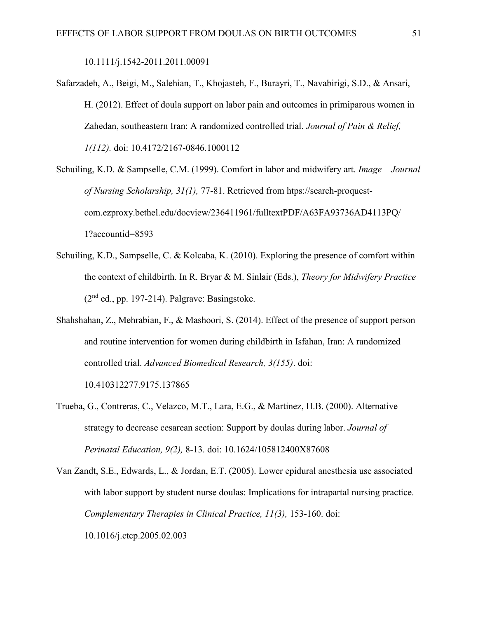10.1111/j.1542-2011.2011.00091

Safarzadeh, A., Beigi, M., Salehian, T., Khojasteh, F., Burayri, T., Navabirigi, S.D., & Ansari, H. (2012). Effect of doula support on labor pain and outcomes in primiparous women in Zahedan, southeastern Iran: A randomized controlled trial. *Journal of Pain & Relief, 1(112).* doi: 10.4172/2167-0846.1000112

Schuiling, K.D. & Sampselle, C.M. (1999). Comfort in labor and midwifery art. *Image – Journal of Nursing Scholarship, 31(1),* 77-81. Retrieved from htps://search-proquestcom.ezproxy.bethel.edu/docview/236411961/fulltextPDF/A63FA93736AD4113PQ/ 1?accountid=8593

- Schuiling, K.D., Sampselle, C. & Kolcaba, K. (2010). Exploring the presence of comfort within the context of childbirth. In R. Bryar & M. Sinlair (Eds.), *Theory for Midwifery Practice*   $(2<sup>nd</sup>$  ed., pp. 197-214). Palgrave: Basingstoke.
- Shahshahan, Z., Mehrabian, F., & Mashoori, S. (2014). Effect of the presence of support person and routine intervention for women during childbirth in Isfahan, Iran: A randomized controlled trial. *Advanced Biomedical Research, 3(155)*. doi:

10.410312277.9175.137865

- Trueba, G., Contreras, C., Velazco, M.T., Lara, E.G., & Martinez, H.B. (2000). Alternative strategy to decrease cesarean section: Support by doulas during labor. *Journal of Perinatal Education, 9(2),* 8-13. doi: 10.1624/105812400X87608
- Van Zandt, S.E., Edwards, L., & Jordan, E.T. (2005). Lower epidural anesthesia use associated with labor support by student nurse doulas: Implications for intrapartal nursing practice. *Complementary Therapies in Clinical Practice, 11(3),* 153-160. doi: 10.1016/j.ctcp.2005.02.003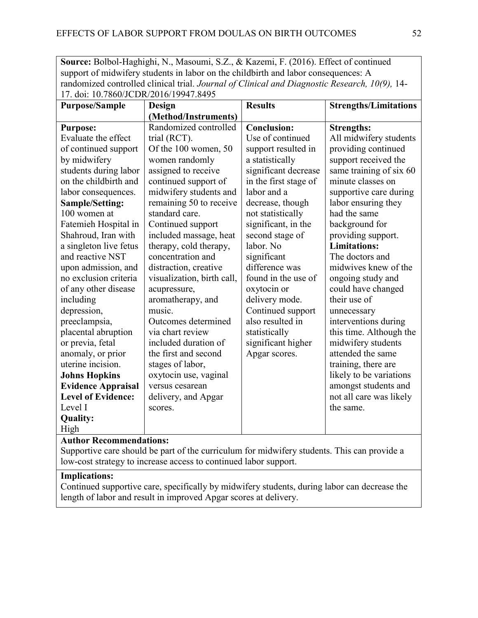**Source:** Bolbol-Haghighi, N., Masoumi, S.Z., & Kazemi, F. (2016). Effect of continued support of midwifery students in labor on the childbirth and labor consequences: A randomized controlled clinical trial. *Journal of Clinical and Diagnostic Research, 10(9),* 14- 17. doi: 10.7860/JCDR/2016/19947.8495

| 17. QUI. 10.7000/JCDIN 2010/12217.0122<br><b>Purpose/Sample</b> | Design                     | <b>Results</b>        | <b>Strengths/Limitations</b> |
|-----------------------------------------------------------------|----------------------------|-----------------------|------------------------------|
|                                                                 | (Method/Instruments)       |                       |                              |
| <b>Purpose:</b>                                                 | Randomized controlled      | <b>Conclusion:</b>    | <b>Strengths:</b>            |
| Evaluate the effect                                             | trial (RCT).               | Use of continued      | All midwifery students       |
| of continued support                                            | Of the 100 women, 50       | support resulted in   | providing continued          |
| by midwifery                                                    | women randomly             | a statistically       | support received the         |
| students during labor                                           | assigned to receive        | significant decrease  | same training of six 60      |
| on the childbirth and                                           | continued support of       | in the first stage of | minute classes on            |
| labor consequences.                                             | midwifery students and     | labor and a           | supportive care during       |
| <b>Sample/Setting:</b>                                          | remaining 50 to receive    | decrease, though      | labor ensuring they          |
| 100 women at                                                    | standard care.             | not statistically     | had the same                 |
| Fatemieh Hospital in                                            | Continued support          | significant, in the   | background for               |
| Shahroud, Iran with                                             | included massage, heat     | second stage of       | providing support.           |
| a singleton live fetus                                          | therapy, cold therapy,     | labor. No             | <b>Limitations:</b>          |
| and reactive NST                                                | concentration and          | significant           | The doctors and              |
| upon admission, and                                             | distraction, creative      | difference was        | midwives knew of the         |
| no exclusion criteria                                           | visualization, birth call, | found in the use of   | ongoing study and            |
| of any other disease                                            | acupressure,               | oxytocin or           | could have changed           |
| including                                                       | aromatherapy, and          | delivery mode.        | their use of                 |
| depression,                                                     | music.                     | Continued support     | unnecessary                  |
| preeclampsia,                                                   | Outcomes determined        | also resulted in      | interventions during         |
| placental abruption                                             | via chart review           | statistically         | this time. Although the      |
| or previa, fetal                                                | included duration of       | significant higher    | midwifery students           |
| anomaly, or prior                                               | the first and second       | Apgar scores.         | attended the same            |
| uterine incision.                                               | stages of labor,           |                       | training, there are          |
| <b>Johns Hopkins</b>                                            | oxytocin use, vaginal      |                       | likely to be variations      |
| <b>Evidence Appraisal</b>                                       | versus cesarean            |                       | amongst students and         |
| <b>Level of Evidence:</b>                                       | delivery, and Apgar        |                       | not all care was likely      |
| Level I                                                         | scores.                    |                       | the same.                    |
| <b>Quality:</b>                                                 |                            |                       |                              |
| High                                                            |                            |                       |                              |

#### **Author Recommendations:**

Supportive care should be part of the curriculum for midwifery students. This can provide a low-cost strategy to increase access to continued labor support.

# **Implications:**

Continued supportive care, specifically by midwifery students, during labor can decrease the length of labor and result in improved Apgar scores at delivery.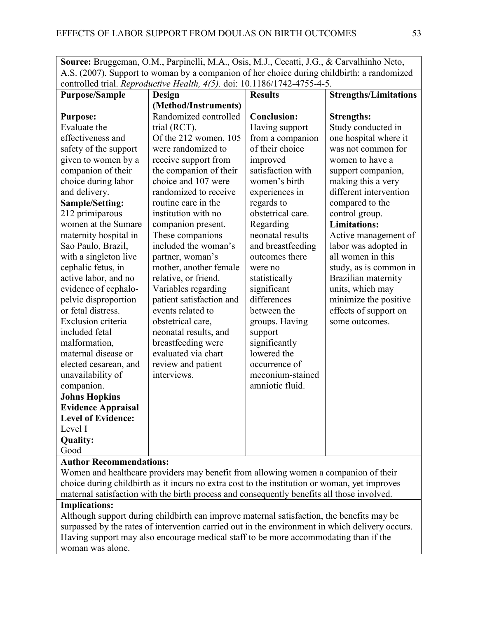**Source:** Bruggeman, O.M., Parpinelli, M.A., Osis, M.J., Cecatti, J.G., & Carvalhinho Neto, A.S. (2007). Support to woman by a companion of her choice during childbirth: a randomized controlled trial. *Reproductive Health, 4(5).* doi: 10.1186/1742-4755-4-5.

| <b>Purpose/Sample</b>          | Controlled that, <i>Reproductive Health</i> , $\tau(y)$ , doi, 10.1100/1742-4733-4-3.<br>Design | <b>Results</b>     | <b>Strengths/Limitations</b> |
|--------------------------------|-------------------------------------------------------------------------------------------------|--------------------|------------------------------|
|                                | (Method/Instruments)                                                                            |                    |                              |
| <b>Purpose:</b>                | Randomized controlled                                                                           | <b>Conclusion:</b> | <b>Strengths:</b>            |
| Evaluate the                   | trial (RCT).                                                                                    | Having support     | Study conducted in           |
| effectiveness and              | Of the 212 women, 105                                                                           | from a companion   | one hospital where it        |
| safety of the support          | were randomized to                                                                              | of their choice    | was not common for           |
| given to women by a            | receive support from                                                                            | improved           | women to have a              |
| companion of their             | the companion of their                                                                          | satisfaction with  | support companion,           |
| choice during labor            | choice and 107 were                                                                             | women's birth      | making this a very           |
| and delivery.                  | randomized to receive                                                                           | experiences in     | different intervention       |
| <b>Sample/Setting:</b>         | routine care in the                                                                             | regards to         | compared to the              |
| 212 primiparous                | institution with no                                                                             | obstetrical care.  | control group.               |
| women at the Sumare            | companion present.                                                                              | Regarding          | <b>Limitations:</b>          |
| maternity hospital in          | These companions                                                                                | neonatal results   | Active management of         |
| Sao Paulo, Brazil,             | included the woman's                                                                            | and breastfeeding  | labor was adopted in         |
| with a singleton live          | partner, woman's                                                                                | outcomes there     | all women in this            |
| cephalic fetus, in             | mother, another female                                                                          | were no            | study, as is common in       |
| active labor, and no           | relative, or friend.                                                                            | statistically      | Brazilian maternity          |
| evidence of cephalo-           | Variables regarding                                                                             | significant        | units, which may             |
| pelvic disproportion           | patient satisfaction and                                                                        | differences        | minimize the positive        |
| or fetal distress.             | events related to                                                                               | between the        | effects of support on        |
| Exclusion criteria             | obstetrical care,                                                                               | groups. Having     | some outcomes.               |
| included fetal                 | neonatal results, and                                                                           | support            |                              |
| malformation,                  | breastfeeding were                                                                              | significantly      |                              |
| maternal disease or            | evaluated via chart                                                                             | lowered the        |                              |
| elected cesarean, and          | review and patient                                                                              | occurrence of      |                              |
| unavailability of              | interviews.                                                                                     | meconium-stained   |                              |
| companion.                     |                                                                                                 | amniotic fluid.    |                              |
| <b>Johns Hopkins</b>           |                                                                                                 |                    |                              |
| <b>Evidence Appraisal</b>      |                                                                                                 |                    |                              |
| <b>Level of Evidence:</b>      |                                                                                                 |                    |                              |
| Level I                        |                                                                                                 |                    |                              |
| <b>Quality:</b>                |                                                                                                 |                    |                              |
| Good                           |                                                                                                 |                    |                              |
| <b>Author Recommendations:</b> |                                                                                                 |                    |                              |

Women and healthcare providers may benefit from allowing women a companion of their choice during childbirth as it incurs no extra cost to the institution or woman, yet improves maternal satisfaction with the birth process and consequently benefits all those involved.

## **Implications:**

Although support during childbirth can improve maternal satisfaction, the benefits may be surpassed by the rates of intervention carried out in the environment in which delivery occurs. Having support may also encourage medical staff to be more accommodating than if the woman was alone.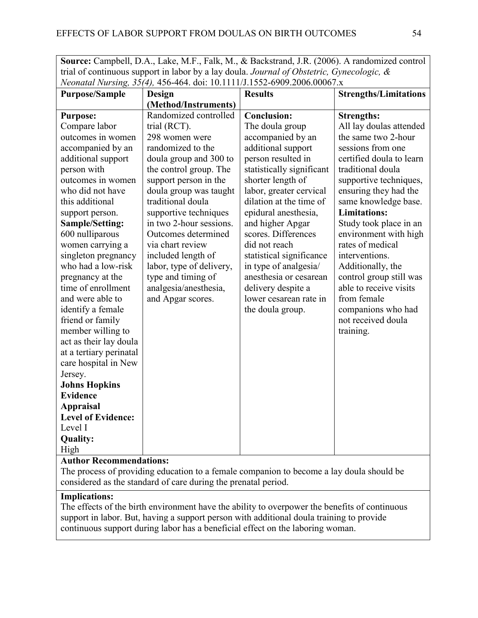**Source:** Campbell, D.A., Lake, M.F., Falk, M., & Backstrand, J.R. (2006). A randomized control trial of continuous support in labor by a lay doula. *Journal of Obstetric, Gynecologic, & Neonatal Nursing, 35(4),* 456-464. doi: 10.1111/J.1552-6909.2006.00067.x

| <b>Purpose/Sample</b>     | Design                   | <b>Results</b>            | <b>Strengths/Limitations</b> |
|---------------------------|--------------------------|---------------------------|------------------------------|
|                           | (Method/Instruments)     |                           |                              |
| <b>Purpose:</b>           | Randomized controlled    | <b>Conclusion:</b>        | <b>Strengths:</b>            |
| Compare labor             | trial (RCT).             | The doula group           | All lay doulas attended      |
| outcomes in women         | 298 women were           | accompanied by an         | the same two 2-hour          |
| accompanied by an         | randomized to the        | additional support        | sessions from one            |
| additional support        | doula group and 300 to   | person resulted in        | certified doula to learn     |
| person with               | the control group. The   | statistically significant | traditional doula            |
| outcomes in women         | support person in the    | shorter length of         | supportive techniques,       |
| who did not have          | doula group was taught   | labor, greater cervical   | ensuring they had the        |
| this additional           | traditional doula        | dilation at the time of   | same knowledge base.         |
| support person.           | supportive techniques    | epidural anesthesia,      | <b>Limitations:</b>          |
| <b>Sample/Setting:</b>    | in two 2-hour sessions.  | and higher Apgar          | Study took place in an       |
| 600 nulliparous           | Outcomes determined      | scores. Differences       | environment with high        |
| women carrying a          | via chart review         | did not reach             | rates of medical             |
| singleton pregnancy       | included length of       | statistical significance  | interventions.               |
| who had a low-risk        | labor, type of delivery, | in type of analgesia/     | Additionally, the            |
| pregnancy at the          | type and timing of       | anesthesia or cesarean    | control group still was      |
| time of enrollment        | analgesia/anesthesia,    | delivery despite a        | able to receive visits       |
| and were able to          | and Apgar scores.        | lower cesarean rate in    | from female                  |
| identify a female         |                          | the doula group.          | companions who had           |
| friend or family          |                          |                           | not received doula           |
| member willing to         |                          |                           | training.                    |
| act as their lay doula    |                          |                           |                              |
| at a tertiary perinatal   |                          |                           |                              |
| care hospital in New      |                          |                           |                              |
| Jersey.                   |                          |                           |                              |
| <b>Johns Hopkins</b>      |                          |                           |                              |
| <b>Evidence</b>           |                          |                           |                              |
| <b>Appraisal</b>          |                          |                           |                              |
| <b>Level of Evidence:</b> |                          |                           |                              |
| Level I                   |                          |                           |                              |
| <b>Quality:</b>           |                          |                           |                              |
| High                      |                          |                           |                              |
| Author Docommondational   |                          |                           |                              |

#### **Author Recommendations:**

The process of providing education to a female companion to become a lay doula should be considered as the standard of care during the prenatal period.

## **Implications:**

The effects of the birth environment have the ability to overpower the benefits of continuous support in labor. But, having a support person with additional doula training to provide continuous support during labor has a beneficial effect on the laboring woman.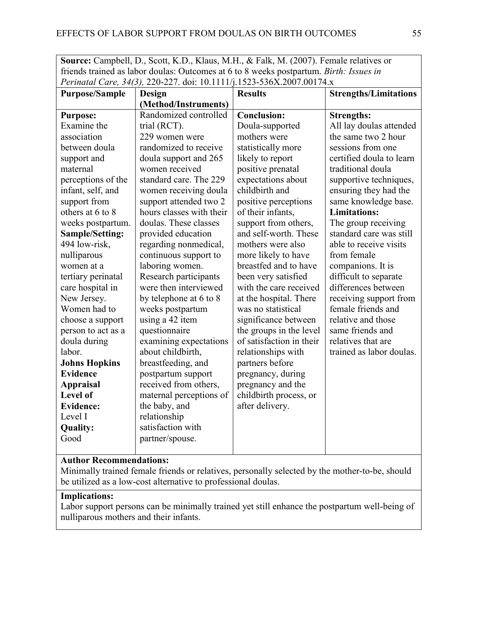**Source:** Campbell, D., Scott, K.D., Klaus, M.H., & Falk, M. (2007). Female relatives or friends trained as labor doulas: Outcomes at 6 to 8 weeks postpartum. *Birth: Issues in Perinatal Care, 34(3),* 220-227. doi: 10.1111/j.1523-536X.2007.00174.x

| <b>Purpose/Sample</b> | <b>Design</b>            | <b>Results</b>           | <b>Strengths/Limitations</b> |
|-----------------------|--------------------------|--------------------------|------------------------------|
|                       | (Method/Instruments)     |                          |                              |
| <b>Purpose:</b>       | Randomized controlled    | <b>Conclusion:</b>       | <b>Strengths:</b>            |
| Examine the           | trial (RCT).             | Doula-supported          | All lay doulas attended      |
| association           | 229 women were           | mothers were             | the same two 2 hour          |
| between doula         | randomized to receive    | statistically more       | sessions from one            |
| support and           | doula support and 265    | likely to report         | certified doula to learn     |
| maternal              | women received           | positive prenatal        | traditional doula            |
| perceptions of the    | standard care. The 229   | expectations about       | supportive techniques,       |
| infant, self, and     | women receiving doula    | childbirth and           | ensuring they had the        |
| support from          | support attended two 2   | positive perceptions     | same knowledge base.         |
| others at 6 to 8      | hours classes with their | of their infants,        | <b>Limitations:</b>          |
| weeks postpartum.     | doulas. These classes    | support from others,     | The group receiving          |
| Sample/Setting:       | provided education       | and self-worth. These    | standard care was still      |
| 494 low-risk,         | regarding nonmedical,    | mothers were also        | able to receive visits       |
| nulliparous           | continuous support to    | more likely to have      | from female                  |
| women at a            | laboring women.          | breastfed and to have    | companions. It is            |
| tertiary perinatal    | Research participants    | been very satisfied      | difficult to separate        |
| care hospital in      | were then interviewed    | with the care received   | differences between          |
| New Jersey.           | by telephone at 6 to 8   | at the hospital. There   | receiving support from       |
| Women had to          | weeks postpartum         | was no statistical       | female friends and           |
| choose a support      | using a 42 item          | significance between     | relative and those           |
| person to act as a    | questionnaire            | the groups in the level  | same friends and             |
| doula during          | examining expectations   | of satisfaction in their | relatives that are           |
| labor.                | about childbirth,        | relationships with       | trained as labor doulas.     |
| <b>Johns Hopkins</b>  | breastfeeding, and       | partners before          |                              |
| <b>Evidence</b>       | postpartum support       | pregnancy, during        |                              |
| <b>Appraisal</b>      | received from others,    | pregnancy and the        |                              |
| <b>Level of</b>       | maternal perceptions of  | childbirth process, or   |                              |
| <b>Evidence:</b>      | the baby, and            | after delivery.          |                              |
| Level I               | relationship             |                          |                              |
| <b>Quality:</b>       | satisfaction with        |                          |                              |
| Good                  | partner/spouse.          |                          |                              |
|                       |                          |                          |                              |

#### **Author Recommendations:**

Minimally trained female friends or relatives, personally selected by the mother-to-be, should be utilized as a low-cost alternative to professional doulas.

## **Implications:**

Labor support persons can be minimally trained yet still enhance the postpartum well-being of nulliparous mothers and their infants.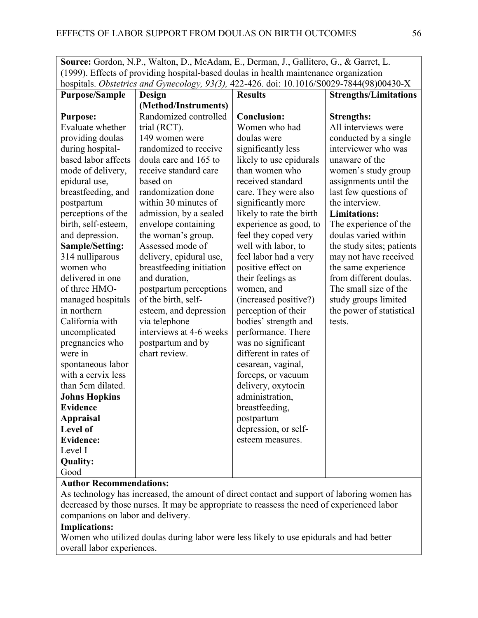| <b>Source:</b> Gordon, N.P., Walton, D., McAdam, E., Derman, J., Gallitero, G., & Garret, L. |
|----------------------------------------------------------------------------------------------|
| (1999). Effects of providing hospital-based doulas in health maintenance organization        |
| hospitals. Obstetrics and Gynecology, 93(3), 422-426. doi: 10.1016/S0029-7844(98)00430-X     |

| <b>Purpose/Sample</b>  | <b>Design</b>            | <b>Results</b>           | <b>Strengths/Limitations</b> |
|------------------------|--------------------------|--------------------------|------------------------------|
|                        | (Method/Instruments)     |                          |                              |
| <b>Purpose:</b>        | Randomized controlled    | <b>Conclusion:</b>       | <b>Strengths:</b>            |
| Evaluate whether       | trial (RCT).             | Women who had            | All interviews were          |
| providing doulas       | 149 women were           | doulas were              | conducted by a single        |
| during hospital-       | randomized to receive    | significantly less       | interviewer who was          |
| based labor affects    | doula care and 165 to    | likely to use epidurals  | unaware of the               |
| mode of delivery,      | receive standard care    | than women who           | women's study group          |
| epidural use,          | based on                 | received standard        | assignments until the        |
| breastfeeding, and     | randomization done       | care. They were also     | last few questions of        |
| postpartum             | within 30 minutes of     | significantly more       | the interview.               |
| perceptions of the     | admission, by a sealed   | likely to rate the birth | <b>Limitations:</b>          |
| birth, self-esteem,    | envelope containing      | experience as good, to   | The experience of the        |
| and depression.        | the woman's group.       | feel they coped very     | doulas varied within         |
| <b>Sample/Setting:</b> | Assessed mode of         | well with labor, to      | the study sites; patients    |
| 314 nulliparous        | delivery, epidural use,  | feel labor had a very    | may not have received        |
| women who              | breastfeeding initiation | positive effect on       | the same experience          |
| delivered in one       | and duration,            | their feelings as        | from different doulas.       |
| of three HMO-          | postpartum perceptions   | women, and               | The small size of the        |
| managed hospitals      | of the birth, self-      | (increased positive?)    | study groups limited         |
| in northern            | esteem, and depression   | perception of their      | the power of statistical     |
| California with        | via telephone            | bodies' strength and     | tests.                       |
| uncomplicated          | interviews at 4-6 weeks  | performance. There       |                              |
| pregnancies who        | postpartum and by        | was no significant       |                              |
| were in                | chart review.            | different in rates of    |                              |
| spontaneous labor      |                          | cesarean, vaginal,       |                              |
| with a cervix less     |                          | forceps, or vacuum       |                              |
| than 5cm dilated.      |                          | delivery, oxytocin       |                              |
| <b>Johns Hopkins</b>   |                          | administration,          |                              |
| <b>Evidence</b>        |                          | breastfeeding,           |                              |
| <b>Appraisal</b>       |                          | postpartum               |                              |
| Level of               |                          | depression, or self-     |                              |
| <b>Evidence:</b>       |                          | esteem measures.         |                              |
| Level I                |                          |                          |                              |
| Quality:               |                          |                          |                              |
| Good                   |                          |                          |                              |

## **Author Recommendations:**

As technology has increased, the amount of direct contact and support of laboring women has decreased by those nurses. It may be appropriate to reassess the need of experienced labor companions on labor and delivery.

# **Implications:**

Women who utilized doulas during labor were less likely to use epidurals and had better overall labor experiences.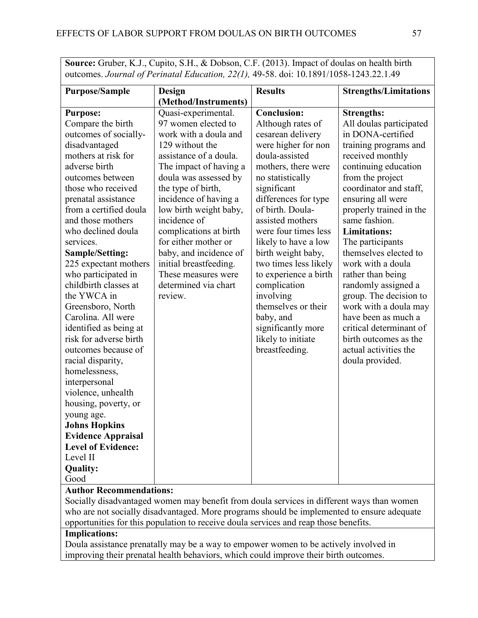**Source:** Gruber, K.J., Cupito, S.H., & Dobson, C.F. (2013). Impact of doulas on health birth outcomes. *Journal of Perinatal Education, 22(1),* 49-58. doi: 10.1891/1058-1243.22.1.49

| <b>Purpose/Sample</b>     | Design<br>(Method/Instruments)             | <b>Results</b>        | <b>Strengths/Limitations</b> |
|---------------------------|--------------------------------------------|-----------------------|------------------------------|
|                           |                                            |                       |                              |
| <b>Purpose:</b>           | Quasi-experimental.<br>97 women elected to | <b>Conclusion:</b>    | <b>Strengths:</b>            |
| Compare the birth         |                                            | Although rates of     | All doulas participated      |
| outcomes of socially-     | work with a doula and                      | cesarean delivery     | in DONA-certified            |
| disadvantaged             | 129 without the                            | were higher for non   | training programs and        |
| mothers at risk for       | assistance of a doula.                     | doula-assisted        | received monthly             |
| adverse birth             | The impact of having a                     | mothers, there were   | continuing education         |
| outcomes between          | doula was assessed by                      | no statistically      | from the project             |
| those who received        | the type of birth,                         | significant           | coordinator and staff,       |
| prenatal assistance       | incidence of having a                      | differences for type  | ensuring all were            |
| from a certified doula    | low birth weight baby,                     | of birth. Doula-      | properly trained in the      |
| and those mothers         | incidence of                               | assisted mothers      | same fashion.                |
| who declined doula        | complications at birth                     | were four times less  | <b>Limitations:</b>          |
| services.                 | for either mother or                       | likely to have a low  | The participants             |
| <b>Sample/Setting:</b>    | baby, and incidence of                     | birth weight baby,    | themselves elected to        |
| 225 expectant mothers     | initial breastfeeding.                     | two times less likely | work with a doula            |
| who participated in       | These measures were                        | to experience a birth | rather than being            |
| childbirth classes at     | determined via chart                       | complication          | randomly assigned a          |
| the YWCA in               | review.                                    | involving             | group. The decision to       |
| Greensboro, North         |                                            | themselves or their   | work with a doula may        |
| Carolina. All were        |                                            | baby, and             | have been as much a          |
| identified as being at    |                                            | significantly more    | critical determinant of      |
| risk for adverse birth    |                                            | likely to initiate    | birth outcomes as the        |
| outcomes because of       |                                            | breastfeeding.        | actual activities the        |
| racial disparity,         |                                            |                       | doula provided.              |
| homelessness,             |                                            |                       |                              |
| interpersonal             |                                            |                       |                              |
| violence, unhealth        |                                            |                       |                              |
| housing, poverty, or      |                                            |                       |                              |
| young age.                |                                            |                       |                              |
| <b>Johns Hopkins</b>      |                                            |                       |                              |
| <b>Evidence Appraisal</b> |                                            |                       |                              |
| <b>Level of Evidence:</b> |                                            |                       |                              |
| Level II                  |                                            |                       |                              |
| <b>Quality:</b>           |                                            |                       |                              |
| Good                      |                                            |                       |                              |

#### **Author Recommendations:**

Socially disadvantaged women may benefit from doula services in different ways than women who are not socially disadvantaged. More programs should be implemented to ensure adequate opportunities for this population to receive doula services and reap those benefits.

## **Implications:**

Doula assistance prenatally may be a way to empower women to be actively involved in improving their prenatal health behaviors, which could improve their birth outcomes.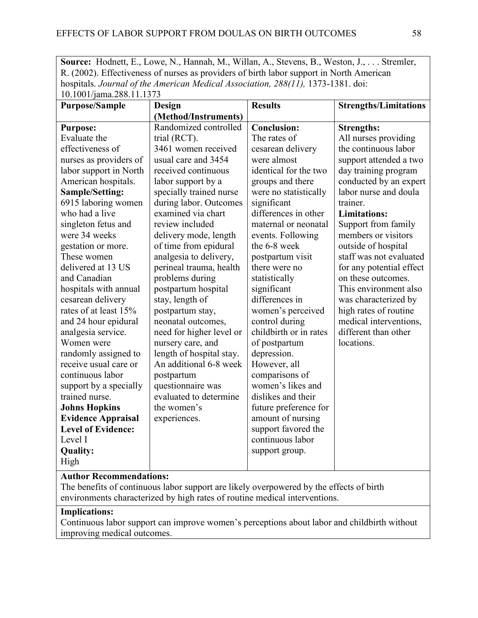**Source:** Hodnett, E., Lowe, N., Hannah, M., Willan, A., Stevens, B., Weston, J., . . . Stremler, R. (2002). Effectiveness of nurses as providers of birth labor support in North American hospitals. *Journal of the American Medical Association, 288(11)*, 1373-1381. doi: 10.1001/jama.288.11.1373

| 10.1001/julia.200.11.1975      |                          |                        |                              |
|--------------------------------|--------------------------|------------------------|------------------------------|
| <b>Purpose/Sample</b>          | Design                   | <b>Results</b>         | <b>Strengths/Limitations</b> |
|                                | (Method/Instruments)     |                        |                              |
| <b>Purpose:</b>                | Randomized controlled    | <b>Conclusion:</b>     | <b>Strengths:</b>            |
| Evaluate the                   | trial (RCT).             | The rates of           | All nurses providing         |
| effectiveness of               | 3461 women received      | cesarean delivery      | the continuous labor         |
| nurses as providers of         | usual care and 3454      | were almost            | support attended a two       |
| labor support in North         | received continuous      | identical for the two  | day training program         |
| American hospitals.            | labor support by a       | groups and there       | conducted by an expert       |
| Sample/Setting:                | specially trained nurse  | were no statistically  | labor nurse and doula        |
| 6915 laboring women            | during labor. Outcomes   | significant            | trainer.                     |
| who had a live                 | examined via chart       | differences in other   | <b>Limitations:</b>          |
| singleton fetus and            | review included          | maternal or neonatal   | Support from family          |
| were 34 weeks                  | delivery mode, length    | events. Following      | members or visitors          |
| gestation or more.             | of time from epidural    | the 6-8 week           | outside of hospital          |
| These women                    | analgesia to delivery,   | postpartum visit       | staff was not evaluated      |
| delivered at 13 US             | perineal trauma, health  | there were no          | for any potential effect     |
| and Canadian                   | problems during          | statistically          | on these outcomes.           |
| hospitals with annual          | postpartum hospital      | significant            | This environment also        |
| cesarean delivery              | stay, length of          | differences in         | was characterized by         |
| rates of at least 15%          | postpartum stay,         | women's perceived      | high rates of routine        |
| and 24 hour epidural           | neonatal outcomes,       | control during         | medical interventions,       |
| analgesia service.             | need for higher level or | childbirth or in rates | different than other         |
| Women were                     | nursery care, and        | of postpartum          | locations.                   |
| randomly assigned to           | length of hospital stay. | depression.            |                              |
| receive usual care or          | An additional 6-8 week   | However, all           |                              |
| continuous labor               | postpartum               | comparisons of         |                              |
| support by a specially         | questionnaire was        | women's likes and      |                              |
| trained nurse.                 | evaluated to determine   | dislikes and their     |                              |
| <b>Johns Hopkins</b>           | the women's              | future preference for  |                              |
| <b>Evidence Appraisal</b>      | experiences.             | amount of nursing      |                              |
| <b>Level of Evidence:</b>      |                          | support favored the    |                              |
| Level I                        |                          | continuous labor       |                              |
| <b>Quality:</b>                |                          | support group.         |                              |
| High                           |                          |                        |                              |
| <b>Author Recommendations:</b> |                          |                        |                              |

The benefits of continuous labor support are likely overpowered by the effects of birth environments characterized by high rates of routine medical interventions.

## **Implications:**

Continuous labor support can improve women's perceptions about labor and childbirth without improving medical outcomes.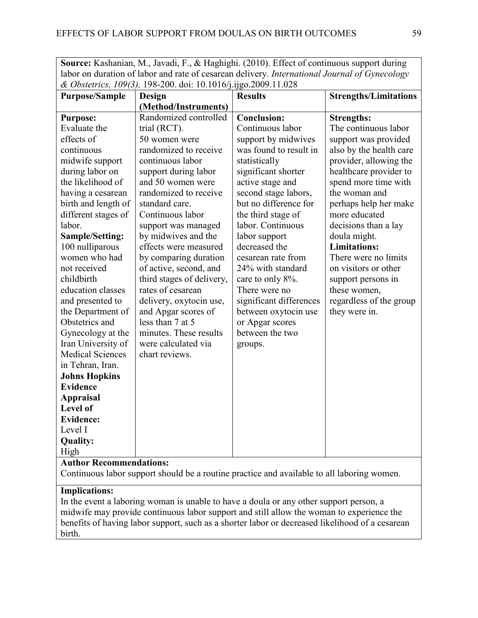**Source:** Kashanian, M., Javadi, F., & Haghighi. (2010). Effect of continuous support during labor on duration of labor and rate of cesarean delivery. *International Journal of Gynecology & Obstetrics, 109(3),* 198-200. doi: 10.1016/j.ijgo.2009.11.028

| <b>Purpose/Sample</b>   | $\alpha$ obside to $\beta$ , 107(5), 190 200. aoi. 10.1010 [1], $\beta$ .2009.11.020<br>Design | <b>Results</b>          | <b>Strengths/Limitations</b> |  |  |
|-------------------------|------------------------------------------------------------------------------------------------|-------------------------|------------------------------|--|--|
|                         | (Method/Instruments)                                                                           |                         |                              |  |  |
| <b>Purpose:</b>         | Randomized controlled                                                                          | <b>Conclusion:</b>      | <b>Strengths:</b>            |  |  |
| Evaluate the            | trial (RCT).                                                                                   | Continuous labor        | The continuous labor         |  |  |
| effects of              | 50 women were                                                                                  | support by midwives     | support was provided         |  |  |
| continuous              | randomized to receive                                                                          | was found to result in  | also by the health care      |  |  |
| midwife support         | continuous labor                                                                               | statistically           | provider, allowing the       |  |  |
| during labor on         | support during labor                                                                           | significant shorter     | healthcare provider to       |  |  |
| the likelihood of       | and 50 women were                                                                              | active stage and        | spend more time with         |  |  |
| having a cesarean       | randomized to receive                                                                          | second stage labors,    | the woman and                |  |  |
| birth and length of     | standard care.                                                                                 | but no difference for   | perhaps help her make        |  |  |
| different stages of     | Continuous labor                                                                               | the third stage of      | more educated                |  |  |
| labor.                  | support was managed                                                                            | labor. Continuous       | decisions than a lay         |  |  |
| Sample/Setting:         | by midwives and the                                                                            | labor support           | doula might.                 |  |  |
| 100 nulliparous         | effects were measured                                                                          | decreased the           | <b>Limitations:</b>          |  |  |
| women who had           | by comparing duration                                                                          | cesarean rate from      | There were no limits         |  |  |
| not received            | of active, second, and                                                                         | 24% with standard       | on visitors or other         |  |  |
| childbirth              | third stages of delivery,                                                                      | care to only 8%.        | support persons in           |  |  |
| education classes       | rates of cesarean                                                                              | There were no           | these women,                 |  |  |
| and presented to        | delivery, oxytocin use,                                                                        | significant differences | regardless of the group      |  |  |
| the Department of       | and Apgar scores of                                                                            | between oxytocin use    | they were in.                |  |  |
| Obstetrics and          | less than 7 at 5                                                                               | or Apgar scores         |                              |  |  |
| Gynecology at the       | minutes. These results                                                                         | between the two         |                              |  |  |
| Iran University of      | were calculated via                                                                            | groups.                 |                              |  |  |
| <b>Medical Sciences</b> | chart reviews.                                                                                 |                         |                              |  |  |
| in Tehran, Iran.        |                                                                                                |                         |                              |  |  |
| <b>Johns Hopkins</b>    |                                                                                                |                         |                              |  |  |
| <b>Evidence</b>         |                                                                                                |                         |                              |  |  |
| <b>Appraisal</b>        |                                                                                                |                         |                              |  |  |
| <b>Level of</b>         |                                                                                                |                         |                              |  |  |
| <b>Evidence:</b>        |                                                                                                |                         |                              |  |  |
| Level I                 |                                                                                                |                         |                              |  |  |
| <b>Quality:</b>         |                                                                                                |                         |                              |  |  |
| High                    |                                                                                                |                         |                              |  |  |
|                         | <b>Author Recommendations:</b>                                                                 |                         |                              |  |  |

Continuous labor support should be a routine practice and available to all laboring women.

## **Implications:**

In the event a laboring woman is unable to have a doula or any other support person, a midwife may provide continuous labor support and still allow the woman to experience the benefits of having labor support, such as a shorter labor or decreased likelihood of a cesarean birth.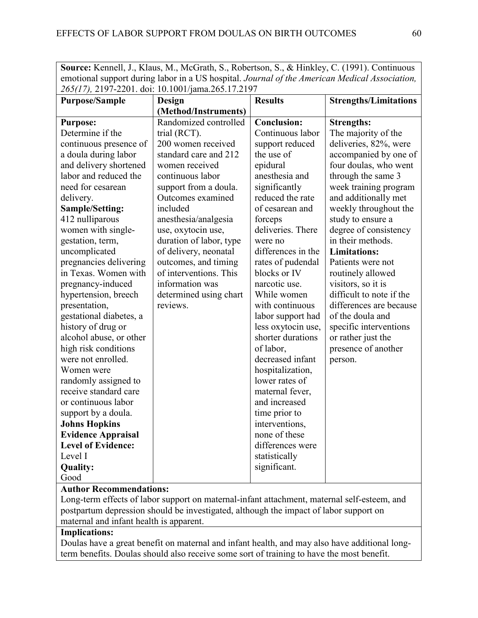**Source:** Kennell, J., Klaus, M., McGrath, S., Robertson, S., & Hinkley, C. (1991). Continuous emotional support during labor in a US hospital. *Journal of the American Medical Association, 265(17),* 2197-2201. doi: 10.1001/jama.265.17.2197

|                           | $203(17)$ , 2197–2201. ao.i. 10.1001/jaina.209.17.2197 |                    |                              |
|---------------------------|--------------------------------------------------------|--------------------|------------------------------|
| <b>Purpose/Sample</b>     | Design                                                 | <b>Results</b>     | <b>Strengths/Limitations</b> |
|                           | (Method/Instruments)                                   |                    |                              |
| <b>Purpose:</b>           | Randomized controlled                                  | <b>Conclusion:</b> | <b>Strengths:</b>            |
| Determine if the          | trial (RCT).                                           | Continuous labor   | The majority of the          |
| continuous presence of    | 200 women received                                     | support reduced    | deliveries, 82%, were        |
| a doula during labor      | standard care and 212                                  | the use of         | accompanied by one of        |
| and delivery shortened    | women received                                         | epidural           | four doulas, who went        |
| labor and reduced the     | continuous labor                                       | anesthesia and     | through the same 3           |
| need for cesarean         | support from a doula.                                  | significantly      | week training program        |
| delivery.                 | Outcomes examined                                      | reduced the rate   | and additionally met         |
| Sample/Setting:           | included                                               | of cesarean and    | weekly throughout the        |
| 412 nulliparous           | anesthesia/analgesia                                   | forceps            | study to ensure a            |
| women with single-        | use, oxytocin use,                                     | deliveries. There  | degree of consistency        |
| gestation, term,          | duration of labor, type                                | were no            | in their methods.            |
| uncomplicated             | of delivery, neonatal                                  | differences in the | <b>Limitations:</b>          |
| pregnancies delivering    | outcomes, and timing                                   | rates of pudendal  | Patients were not            |
| in Texas. Women with      | of interventions. This                                 | blocks or IV       | routinely allowed            |
| pregnancy-induced         | information was                                        | narcotic use.      | visitors, so it is           |
| hypertension, breech      | determined using chart                                 | While women        | difficult to note if the     |
| presentation,             | reviews.                                               | with continuous    | differences are because      |
| gestational diabetes, a   |                                                        | labor support had  | of the doula and             |
| history of drug or        |                                                        | less oxytocin use, | specific interventions       |
| alcohol abuse, or other   |                                                        | shorter durations  | or rather just the           |
| high risk conditions      |                                                        | of labor,          | presence of another          |
| were not enrolled.        |                                                        | decreased infant   | person.                      |
| Women were                |                                                        | hospitalization,   |                              |
| randomly assigned to      |                                                        | lower rates of     |                              |
| receive standard care     |                                                        | maternal fever,    |                              |
| or continuous labor       |                                                        | and increased      |                              |
| support by a doula.       |                                                        | time prior to      |                              |
| <b>Johns Hopkins</b>      |                                                        | interventions,     |                              |
| <b>Evidence Appraisal</b> |                                                        | none of these      |                              |
| <b>Level of Evidence:</b> |                                                        | differences were   |                              |
| Level I                   |                                                        | statistically      |                              |
| <b>Quality:</b>           |                                                        | significant.       |                              |
| Good                      |                                                        |                    |                              |

#### **Author Recommendations:**

Long-term effects of labor support on maternal-infant attachment, maternal self-esteem, and postpartum depression should be investigated, although the impact of labor support on maternal and infant health is apparent.

## **Implications:**

Doulas have a great benefit on maternal and infant health, and may also have additional longterm benefits. Doulas should also receive some sort of training to have the most benefit.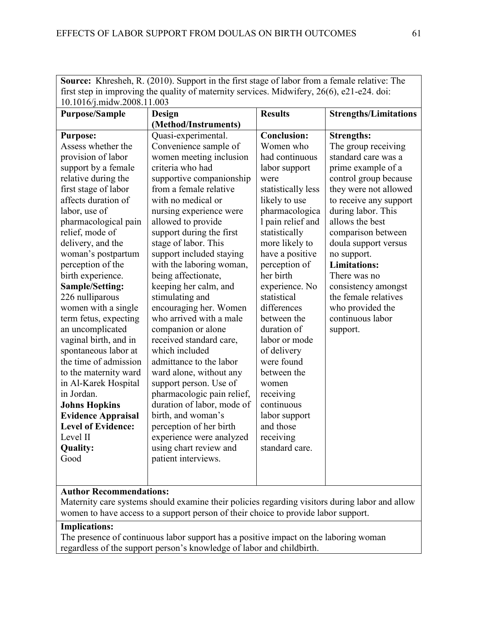| $\mathbf{S}$ out $\mathbf{C}$ . Kineshen, K. (2010). Support in the first stage of fabor from a female relative. The |                            |                    |                              |
|----------------------------------------------------------------------------------------------------------------------|----------------------------|--------------------|------------------------------|
| first step in improving the quality of maternity services. Midwifery, 26(6), e21-e24. doi:                           |                            |                    |                              |
| 10.1016/j.midw.2008.11.003                                                                                           |                            |                    |                              |
| <b>Purpose/Sample</b>                                                                                                | Design                     | <b>Results</b>     | <b>Strengths/Limitations</b> |
|                                                                                                                      | (Method/Instruments)       |                    |                              |
| <b>Purpose:</b>                                                                                                      | Quasi-experimental.        | <b>Conclusion:</b> | <b>Strengths:</b>            |
| Assess whether the                                                                                                   | Convenience sample of      | Women who          | The group receiving          |
| provision of labor                                                                                                   | women meeting inclusion    | had continuous     | standard care was a          |
| support by a female                                                                                                  | criteria who had           | labor support      | prime example of a           |
| relative during the                                                                                                  | supportive companionship   | were               | control group because        |
| first stage of labor                                                                                                 | from a female relative     | statistically less | they were not allowed        |
| affects duration of                                                                                                  | with no medical or         | likely to use      | to receive any support       |
| labor, use of                                                                                                        | nursing experience were    | pharmacologica     | during labor. This           |
| pharmacological pain                                                                                                 | allowed to provide         | I pain relief and  | allows the best              |
| relief, mode of                                                                                                      | support during the first   | statistically      | comparison between           |
| delivery, and the                                                                                                    | stage of labor. This       | more likely to     | doula support versus         |
| woman's postpartum                                                                                                   | support included staying   | have a positive    | no support.                  |
| perception of the                                                                                                    | with the laboring woman,   | perception of      | <b>Limitations:</b>          |
| birth experience.                                                                                                    | being affectionate,        | her birth          | There was no                 |
| Sample/Setting:                                                                                                      | keeping her calm, and      | experience. No     | consistency amongst          |
| 226 nulliparous                                                                                                      | stimulating and            | statistical        | the female relatives         |
| women with a single                                                                                                  | encouraging her. Women     | differences        | who provided the             |
| term fetus, expecting                                                                                                | who arrived with a male    | between the        | continuous labor             |
| an uncomplicated                                                                                                     | companion or alone         | duration of        | support.                     |
| vaginal birth, and in                                                                                                | received standard care,    | labor or mode      |                              |
| spontaneous labor at                                                                                                 | which included             | of delivery        |                              |
| the time of admission                                                                                                | admittance to the labor    | were found         |                              |
| to the maternity ward                                                                                                | ward alone, without any    | between the        |                              |
| in Al-Karek Hospital                                                                                                 | support person. Use of     | women              |                              |
| in Jordan.                                                                                                           | pharmacologic pain relief, | receiving          |                              |
| <b>Johns Hopkins</b>                                                                                                 | duration of labor, mode of | continuous         |                              |
| <b>Evidence Appraisal</b>                                                                                            | birth, and woman's         | labor support      |                              |
| <b>Level of Evidence:</b>                                                                                            | perception of her birth    | and those          |                              |
| Level II                                                                                                             | experience were analyzed   | receiving          |                              |
| <b>Quality:</b>                                                                                                      | using chart review and     | standard care.     |                              |
| Good                                                                                                                 | patient interviews.        |                    |                              |
|                                                                                                                      |                            |                    |                              |
|                                                                                                                      |                            |                    |                              |

**Source:** Khresheh, R. (2010). Support in the first stage of labor from a female relative: The

# **Author Recommendations:**

Maternity care systems should examine their policies regarding visitors during labor and allow women to have access to a support person of their choice to provide labor support.

# **Implications:**

The presence of continuous labor support has a positive impact on the laboring woman regardless of the support person's knowledge of labor and childbirth.

┑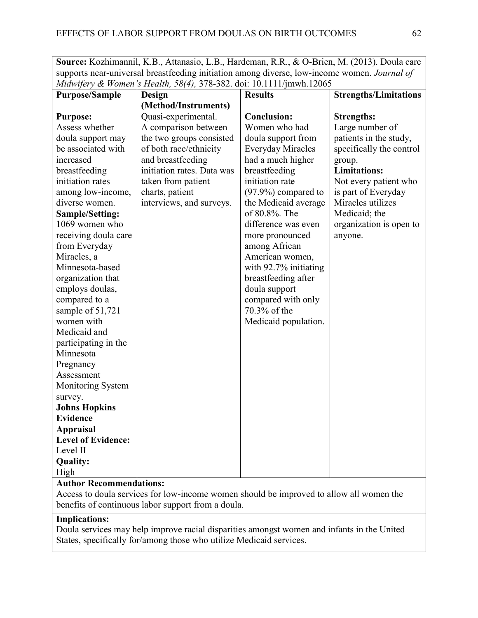**Source:** Kozhimannil, K.B., Attanasio, L.B., Hardeman, R.R., & O-Brien, M. (2013). Doula care supports near-universal breastfeeding initiation among diverse, low-income women. *Journal of Midwifery & Women's Health, 58(4),* 378-382. doi: 10.1111/jmwh.12065

| <b>Purpose/Sample</b>          | Design                     | <b>Results</b>           | <b>Strengths/Limitations</b> |
|--------------------------------|----------------------------|--------------------------|------------------------------|
|                                | (Method/Instruments)       |                          |                              |
| <b>Purpose:</b>                | Quasi-experimental.        | <b>Conclusion:</b>       | <b>Strengths:</b>            |
| Assess whether                 | A comparison between       | Women who had            | Large number of              |
| doula support may              | the two groups consisted   | doula support from       | patients in the study,       |
| be associated with             | of both race/ethnicity     | <b>Everyday Miracles</b> | specifically the control     |
| increased                      | and breastfeeding          | had a much higher        | group.                       |
| breastfeeding                  | initiation rates. Data was | breastfeeding            | <b>Limitations:</b>          |
| initiation rates               | taken from patient         | initiation rate          | Not every patient who        |
| among low-income,              | charts, patient            | $(97.9\%)$ compared to   | is part of Everyday          |
| diverse women.                 | interviews, and surveys.   | the Medicaid average     | Miracles utilizes            |
| Sample/Setting:                |                            | of 80.8%. The            | Medicaid; the                |
| 1069 women who                 |                            | difference was even      | organization is open to      |
| receiving doula care           |                            | more pronounced          | anyone.                      |
| from Everyday                  |                            | among African            |                              |
| Miracles, a                    |                            | American women,          |                              |
| Minnesota-based                |                            | with 92.7% initiating    |                              |
| organization that              |                            | breastfeeding after      |                              |
| employs doulas,                |                            | doula support            |                              |
| compared to a                  |                            | compared with only       |                              |
| sample of 51,721               |                            | 70.3% of the             |                              |
| women with                     |                            | Medicaid population.     |                              |
| Medicaid and                   |                            |                          |                              |
| participating in the           |                            |                          |                              |
| Minnesota                      |                            |                          |                              |
| Pregnancy                      |                            |                          |                              |
| Assessment                     |                            |                          |                              |
| <b>Monitoring System</b>       |                            |                          |                              |
| survey.                        |                            |                          |                              |
| <b>Johns Hopkins</b>           |                            |                          |                              |
| <b>Evidence</b>                |                            |                          |                              |
| <b>Appraisal</b>               |                            |                          |                              |
| <b>Level of Evidence:</b>      |                            |                          |                              |
| Level II                       |                            |                          |                              |
| <b>Quality:</b>                |                            |                          |                              |
| High                           |                            |                          |                              |
| <b>Author Recommendations:</b> |                            |                          |                              |

Access to doula services for low-income women should be improved to allow all women the benefits of continuous labor support from a doula.

# **Implications:**

Doula services may help improve racial disparities amongst women and infants in the United States, specifically for/among those who utilize Medicaid services.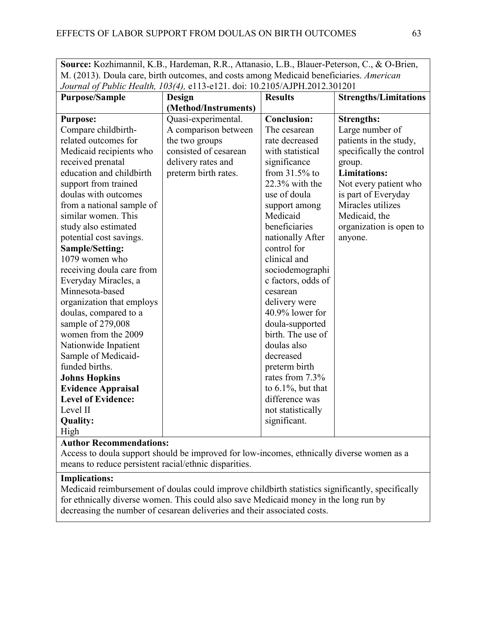**Source:** Kozhimannil, K.B., Hardeman, R.R., Attanasio, L.B., Blauer-Peterson, C., & O-Brien, M. (2013). Doula care, birth outcomes, and costs among Medicaid beneficiaries. *American Journal of Public Health, 103(4),* e113-e121. doi: 10.2105/AJPH.2012.301201

| <b>Purpose/Sample</b>     | <b>Design</b>         | <b>Results</b>        | <b>Strengths/Limitations</b> |
|---------------------------|-----------------------|-----------------------|------------------------------|
|                           | (Method/Instruments)  |                       |                              |
| <b>Purpose:</b>           | Quasi-experimental.   | <b>Conclusion:</b>    | <b>Strengths:</b>            |
| Compare childbirth-       | A comparison between  | The cesarean          | Large number of              |
| related outcomes for      | the two groups        | rate decreased        | patients in the study,       |
| Medicaid recipients who   | consisted of cesarean | with statistical      | specifically the control     |
| received prenatal         | delivery rates and    | significance          | group.                       |
| education and childbirth  | preterm birth rates.  | from $31.5\%$ to      | <b>Limitations:</b>          |
| support from trained      |                       | $22.3\%$ with the     | Not every patient who        |
| doulas with outcomes      |                       | use of doula          | is part of Everyday          |
| from a national sample of |                       | support among         | Miracles utilizes            |
| similar women. This       |                       | Medicaid              | Medicaid, the                |
| study also estimated      |                       | beneficiaries         | organization is open to      |
| potential cost savings.   |                       | nationally After      | anyone.                      |
| <b>Sample/Setting:</b>    |                       | control for           |                              |
| 1079 women who            |                       | clinical and          |                              |
| receiving doula care from |                       | sociodemographi       |                              |
| Everyday Miracles, a      |                       | c factors, odds of    |                              |
| Minnesota-based           |                       | cesarean              |                              |
| organization that employs |                       | delivery were         |                              |
| doulas, compared to a     |                       | 40.9% lower for       |                              |
| sample of 279,008         |                       | doula-supported       |                              |
| women from the 2009       |                       | birth. The use of     |                              |
| Nationwide Inpatient      |                       | doulas also           |                              |
| Sample of Medicaid-       |                       | decreased             |                              |
| funded births.            |                       | preterm birth         |                              |
| <b>Johns Hopkins</b>      |                       | rates from 7.3%       |                              |
| <b>Evidence Appraisal</b> |                       | to $6.1\%$ , but that |                              |
| <b>Level of Evidence:</b> |                       | difference was        |                              |
| Level II                  |                       | not statistically     |                              |
| <b>Quality:</b>           |                       | significant.          |                              |
| High                      |                       |                       |                              |

## **Author Recommendations:**

Access to doula support should be improved for low-incomes, ethnically diverse women as a means to reduce persistent racial/ethnic disparities.

## **Implications:**

Medicaid reimbursement of doulas could improve childbirth statistics significantly, specifically for ethnically diverse women. This could also save Medicaid money in the long run by decreasing the number of cesarean deliveries and their associated costs.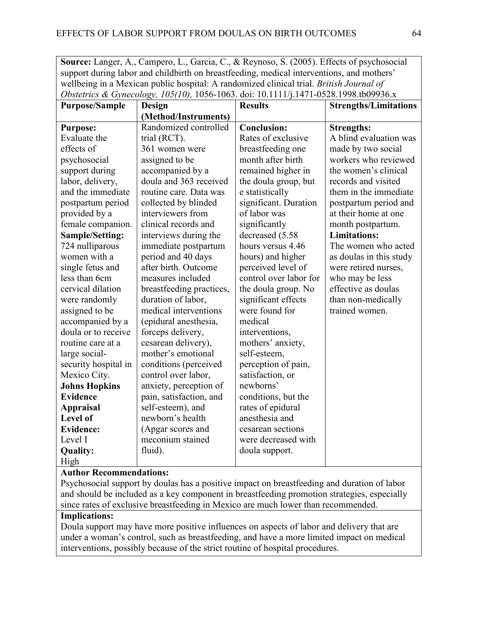**Source:** Langer, A., Campero, L., Garcia, C., & Reynoso, S. (2005). Effects of psychosocial support during labor and childbirth on breastfeeding, medical interventions, and mothers' wellbeing in a Mexican public hospital: A randomized clinical trial. *British Journal of Obstetrics & Gynecology, 105(10),* 1056-1063. doi: 10.1111/j.1471-0528.1998.tb09936.x

| <b>Purpose/Sample</b> | Design                   | <b>Results</b>         | <b>Strengths/Limitations</b> |
|-----------------------|--------------------------|------------------------|------------------------------|
|                       | (Method/Instruments)     |                        |                              |
| <b>Purpose:</b>       | Randomized controlled    | <b>Conclusion:</b>     | <b>Strengths:</b>            |
| Evaluate the          | trial (RCT).             | Rates of exclusive     | A blind evaluation was       |
| effects of            | 361 women were           | breastfeeding one      | made by two social           |
| psychosocial          | assigned to be           | month after birth      | workers who reviewed         |
| support during        | accompanied by a         | remained higher in     | the women's clinical         |
| labor, delivery,      | doula and 363 received   | the doula group, but   | records and visited          |
| and the immediate     | routine care. Data was   | e statistically        | them in the immediate        |
| postpartum period     | collected by blinded     | significant. Duration  | postpartum period and        |
| provided by a         | interviewers from        | of labor was           | at their home at one         |
| female companion.     | clinical records and     | significantly          | month postpartum.            |
| Sample/Setting:       | interviews during the    | decreased (5.58)       | <b>Limitations:</b>          |
| 724 nulliparous       | immediate postpartum     | hours versus 4.46      | The women who acted          |
| women with a          | period and 40 days       | hours) and higher      | as doulas in this study      |
| single fetus and      | after birth. Outcome     | perceived level of     | were retired nurses,         |
| less than 6cm         | measures included        | control over labor for | who may be less              |
| cervical dilation     | breastfeeding practices, | the doula group. No    | effective as doulas          |
| were randomly         | duration of labor,       | significant effects    | than non-medically           |
| assigned to be        | medical interventions    | were found for         | trained women.               |
| accompanied by a      | (epidural anesthesia,    | medical                |                              |
| doula or to receive   | forceps delivery,        | interventions,         |                              |
| routine care at a     | cesarean delivery),      | mothers' anxiety,      |                              |
| large social-         | mother's emotional       | self-esteem,           |                              |
| security hospital in  | conditions (perceived    | perception of pain,    |                              |
| Mexico City.          | control over labor,      | satisfaction, or       |                              |
| <b>Johns Hopkins</b>  | anxiety, perception of   | newborns'              |                              |
| <b>Evidence</b>       | pain, satisfaction, and  | conditions, but the    |                              |
| <b>Appraisal</b>      | self-esteem), and        | rates of epidural      |                              |
| Level of              | newborn's health         | anesthesia and         |                              |
| <b>Evidence:</b>      | (Apgar scores and        | cesarean sections      |                              |
| Level I               | meconium stained         | were decreased with    |                              |
| <b>Quality:</b>       | fluid).                  | doula support.         |                              |
| High                  |                          |                        |                              |

## **Author Recommendations:**

Psychosocial support by doulas has a positive impact on breastfeeding and duration of labor and should be included as a key component in breastfeeding promotion strategies, especially since rates of exclusive breastfeeding in Mexico are much lower than recommended.

# **Implications:**

Doula support may have more positive influences on aspects of labor and delivery that are under a woman's control, such as breastfeeding, and have a more limited impact on medical interventions, possibly because of the strict routine of hospital procedures.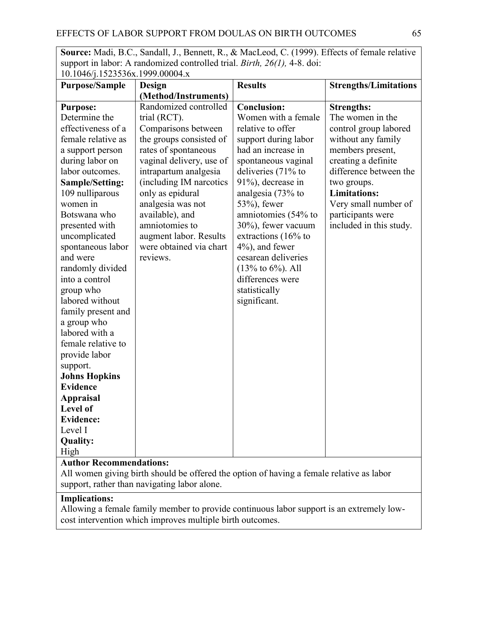**Source:** Madi, B.C., Sandall, J., Bennett, R., & MacLeod, C. (1999). Effects of female relative support in labor: A randomized controlled trial. *Birth, 26(1),* 4-8. doi:  $10.1046$ /j.1523536x.1999.00004.x

| <b>Purpose/Sample</b>          | <b>Design</b>            | <b>Results</b>         | <b>Strengths/Limitations</b> |
|--------------------------------|--------------------------|------------------------|------------------------------|
|                                | (Method/Instruments)     |                        |                              |
| <b>Purpose:</b>                | Randomized controlled    | <b>Conclusion:</b>     | <b>Strengths:</b>            |
| Determine the                  | trial (RCT).             | Women with a female    | The women in the             |
| effectiveness of a             | Comparisons between      | relative to offer      | control group labored        |
| female relative as             | the groups consisted of  | support during labor   | without any family           |
| a support person               | rates of spontaneous     | had an increase in     | members present,             |
| during labor on                | vaginal delivery, use of | spontaneous vaginal    | creating a definite          |
| labor outcomes.                | intrapartum analgesia    | deliveries (71% to     | difference between the       |
| <b>Sample/Setting:</b>         | (including IM narcotics  | 91%), decrease in      | two groups.                  |
| 109 nulliparous                | only as epidural         | analgesia (73% to      | <b>Limitations:</b>          |
| women in                       | analgesia was not        | $53\%$ ), fewer        | Very small number of         |
| Botswana who                   | available), and          | amniotomies (54% to    | participants were            |
| presented with                 | amniotomies to           | 30%), fewer vacuum     | included in this study.      |
| uncomplicated                  | augment labor. Results   | extractions $(16\%$ to |                              |
| spontaneous labor              | were obtained via chart  | $4\%$ ), and fewer     |                              |
| and were                       | reviews.                 | cesarean deliveries    |                              |
| randomly divided               |                          | $(13%$ to 6%). All     |                              |
| into a control                 |                          | differences were       |                              |
| group who                      |                          | statistically          |                              |
| labored without                |                          | significant.           |                              |
| family present and             |                          |                        |                              |
| a group who                    |                          |                        |                              |
| labored with a                 |                          |                        |                              |
| female relative to             |                          |                        |                              |
| provide labor                  |                          |                        |                              |
| support.                       |                          |                        |                              |
| <b>Johns Hopkins</b>           |                          |                        |                              |
| <b>Evidence</b>                |                          |                        |                              |
| <b>Appraisal</b>               |                          |                        |                              |
| Level of                       |                          |                        |                              |
| <b>Evidence:</b>               |                          |                        |                              |
| Level I                        |                          |                        |                              |
| <b>Quality:</b>                |                          |                        |                              |
| High                           |                          |                        |                              |
| <b>Author Recommendations:</b> |                          |                        |                              |

All women giving birth should be offered the option of having a female relative as labor support, rather than navigating labor alone.

# **Implications:**

Allowing a female family member to provide continuous labor support is an extremely lowcost intervention which improves multiple birth outcomes.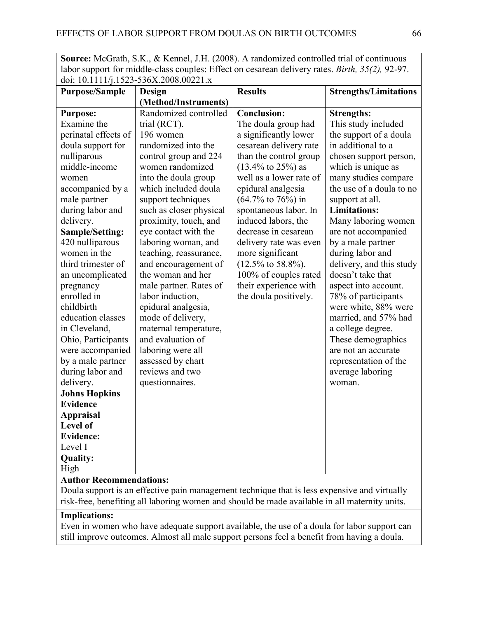**Source:** McGrath, S.K., & Kennel, J.H. (2008). A randomized controlled trial of continuous labor support for middle-class couples: Effect on cesarean delivery rates. *Birth, 35(2),* 92-97. doi: 10.1111/j.1523-536X.2008.00221.x

| <b>Purpose/Sample</b>          | <b>Design</b>           | <b>Results</b>                 | <b>Strengths/Limitations</b> |
|--------------------------------|-------------------------|--------------------------------|------------------------------|
|                                | (Method/Instruments)    |                                |                              |
| <b>Purpose:</b>                | Randomized controlled   | <b>Conclusion:</b>             | <b>Strengths:</b>            |
| Examine the                    | trial (RCT).            | The doula group had            | This study included          |
| perinatal effects of           | 196 women               | a significantly lower          | the support of a doula       |
| doula support for              | randomized into the     | cesarean delivery rate         | in additional to a           |
| nulliparous                    | control group and 224   | than the control group         | chosen support person,       |
| middle-income                  | women randomized        | $(13.4\% \text{ to } 25\%)$ as | which is unique as           |
| women                          | into the doula group    | well as a lower rate of        | many studies compare         |
| accompanied by a               | which included doula    | epidural analgesia             | the use of a doula to no     |
| male partner                   | support techniques      | $(64.7\% \text{ to } 76\%)$ in | support at all.              |
| during labor and               | such as closer physical | spontaneous labor. In          | <b>Limitations:</b>          |
| delivery.                      | proximity, touch, and   | induced labors, the            | Many laboring women          |
| Sample/Setting:                | eye contact with the    | decrease in cesarean           | are not accompanied          |
| 420 nulliparous                | laboring woman, and     | delivery rate was even         | by a male partner            |
| women in the                   | teaching, reassurance,  | more significant               | during labor and             |
| third trimester of             | and encouragement of    | $(12.5\% \text{ to } 58.8\%).$ | delivery, and this study     |
| an uncomplicated               | the woman and her       | 100% of couples rated          | doesn't take that            |
| pregnancy                      | male partner. Rates of  | their experience with          | aspect into account.         |
| enrolled in                    | labor induction,        | the doula positively.          | 78% of participants          |
| childbirth                     | epidural analgesia,     |                                | were white, 88% were         |
| education classes              | mode of delivery,       |                                | married, and 57% had         |
| in Cleveland,                  | maternal temperature,   |                                | a college degree.            |
| Ohio, Participants             | and evaluation of       |                                | These demographics           |
| were accompanied               | laboring were all       |                                | are not an accurate          |
| by a male partner              | assessed by chart       |                                | representation of the        |
| during labor and               | reviews and two         |                                | average laboring             |
| delivery.                      | questionnaires.         |                                | woman.                       |
| <b>Johns Hopkins</b>           |                         |                                |                              |
| <b>Evidence</b>                |                         |                                |                              |
| <b>Appraisal</b>               |                         |                                |                              |
| Level of                       |                         |                                |                              |
| <b>Evidence:</b>               |                         |                                |                              |
| Level I                        |                         |                                |                              |
| <b>Quality:</b>                |                         |                                |                              |
| High                           |                         |                                |                              |
| <b>Author Recommendations:</b> |                         |                                |                              |

Doula support is an effective pain management technique that is less expensive and virtually risk-free, benefiting all laboring women and should be made available in all maternity units.

# **Implications:**

Even in women who have adequate support available, the use of a doula for labor support can still improve outcomes. Almost all male support persons feel a benefit from having a doula.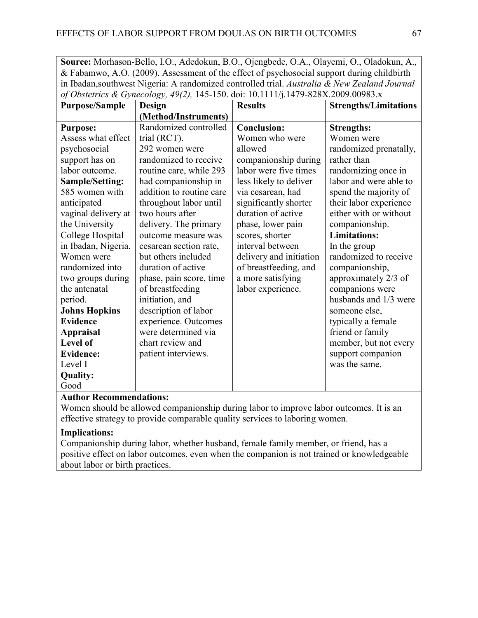**Source:** Morhason-Bello, I.O., Adedokun, B.O., Ojengbede, O.A., Olayemi, O., Oladokun, A., & Fabamwo, A.O. (2009). Assessment of the effect of psychosocial support during childbirth in Ibadan,southwest Nigeria: A randomized controlled trial. *Australia & New Zealand Journal of Obstetrics & Gynecology, 49(2),* 145-150. doi: 10.1111/j.1479-828X.2009.00983.x

| <b>Purpose/Sample</b>  | <b>Design</b>            | <b>Results</b>          | <b>Strengths/Limitations</b> |
|------------------------|--------------------------|-------------------------|------------------------------|
|                        | (Method/Instruments)     |                         |                              |
| <b>Purpose:</b>        | Randomized controlled    | <b>Conclusion:</b>      | <b>Strengths:</b>            |
| Assess what effect     | trial (RCT).             | Women who were          | Women were                   |
| psychosocial           | 292 women were           | allowed                 | randomized prenatally,       |
| support has on         | randomized to receive    | companionship during    | rather than                  |
| labor outcome.         | routine care, while 293  | labor were five times   | randomizing once in          |
| <b>Sample/Setting:</b> | had companionship in     | less likely to deliver  | labor and were able to       |
| 585 women with         | addition to routine care | via cesarean, had       | spend the majority of        |
| anticipated            | throughout labor until   | significantly shorter   | their labor experience       |
| vaginal delivery at    | two hours after          | duration of active      | either with or without       |
| the University         | delivery. The primary    | phase, lower pain       | companionship.               |
| College Hospital       | outcome measure was      | scores, shorter         | <b>Limitations:</b>          |
| in Ibadan, Nigeria.    | cesarean section rate,   | interval between        | In the group                 |
| Women were             | but others included      | delivery and initiation | randomized to receive        |
| randomized into        | duration of active       | of breastfeeding, and   | companionship,               |
| two groups during      | phase, pain score, time  | a more satisfying       | approximately 2/3 of         |
| the antenatal          | of breastfeeding         | labor experience.       | companions were              |
| period.                | initiation, and          |                         | husbands and 1/3 were        |
| <b>Johns Hopkins</b>   | description of labor     |                         | someone else,                |
| <b>Evidence</b>        | experience. Outcomes     |                         | typically a female           |
| <b>Appraisal</b>       | were determined via      |                         | friend or family             |
| Level of               | chart review and         |                         | member, but not every        |
| <b>Evidence:</b>       | patient interviews.      |                         | support companion            |
| Level I                |                          |                         | was the same.                |
| <b>Quality:</b>        |                          |                         |                              |
| Good                   |                          |                         |                              |

## **Author Recommendations:**

Women should be allowed companionship during labor to improve labor outcomes. It is an effective strategy to provide comparable quality services to laboring women.

## **Implications:**

Companionship during labor, whether husband, female family member, or friend, has a positive effect on labor outcomes, even when the companion is not trained or knowledgeable about labor or birth practices.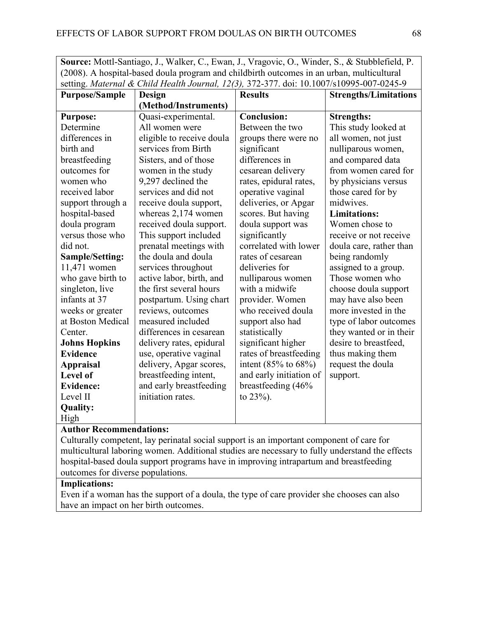**Source:** Mottl-Santiago, J., Walker, C., Ewan, J., Vragovic, O., Winder, S., & Stubblefield, P. (2008). A hospital-based doula program and childbirth outcomes in an urban, multicultural setting. *Maternal & Child Health Journal, 12(3),* 372-377. doi: 10.1007/s10995-007-0245-9

| <b>Purpose/Sample</b> | Design                    | <b>Results</b>           | <b>Strengths/Limitations</b> |
|-----------------------|---------------------------|--------------------------|------------------------------|
|                       | (Method/Instruments)      |                          |                              |
| <b>Purpose:</b>       | Quasi-experimental.       | <b>Conclusion:</b>       | <b>Strengths:</b>            |
| Determine             | All women were            | Between the two          | This study looked at         |
| differences in        | eligible to receive doula | groups there were no     | all women, not just          |
| birth and             | services from Birth       | significant              | nulliparous women,           |
| breastfeeding         | Sisters, and of those     | differences in           | and compared data            |
| outcomes for          | women in the study        | cesarean delivery        | from women cared for         |
| women who             | 9,297 declined the        | rates, epidural rates,   | by physicians versus         |
| received labor        | services and did not      | operative vaginal        | those cared for by           |
| support through a     | receive doula support,    | deliveries, or Apgar     | midwives.                    |
| hospital-based        | whereas $2,174$ women     | scores. But having       | <b>Limitations:</b>          |
| doula program         | received doula support.   | doula support was        | Women chose to               |
| versus those who      | This support included     | significantly            | receive or not receive       |
| did not.              | prenatal meetings with    | correlated with lower    | doula care, rather than      |
| Sample/Setting:       | the doula and doula       | rates of cesarean        | being randomly               |
| 11,471 women          | services throughout       | deliveries for           | assigned to a group.         |
| who gave birth to     | active labor, birth, and  | nulliparous women        | Those women who              |
| singleton, live       | the first several hours   | with a midwife           | choose doula support         |
| infants at 37         | postpartum. Using chart   | provider. Women          | may have also been           |
| weeks or greater      | reviews, outcomes         | who received doula       | more invested in the         |
| at Boston Medical     | measured included         | support also had         | type of labor outcomes       |
| Center.               | differences in cesarean   | statistically            | they wanted or in their      |
| <b>Johns Hopkins</b>  | delivery rates, epidural  | significant higher       | desire to breastfeed,        |
| <b>Evidence</b>       | use, operative vaginal    | rates of breastfeeding   | thus making them             |
| <b>Appraisal</b>      | delivery, Apgar scores,   | intent $(85%$ to $68%$ ) | request the doula            |
| <b>Level of</b>       | breastfeeding intent,     | and early initiation of  | support.                     |
| <b>Evidence:</b>      | and early breastfeeding   | breastfeeding (46%       |                              |
| Level II              | initiation rates.         | to $23%$ ).              |                              |
| <b>Quality:</b>       |                           |                          |                              |
| High                  |                           |                          |                              |

# **Author Recommendations:**

Culturally competent, lay perinatal social support is an important component of care for multicultural laboring women. Additional studies are necessary to fully understand the effects hospital-based doula support programs have in improving intrapartum and breastfeeding outcomes for diverse populations.

## **Implications:**

Even if a woman has the support of a doula, the type of care provider she chooses can also have an impact on her birth outcomes.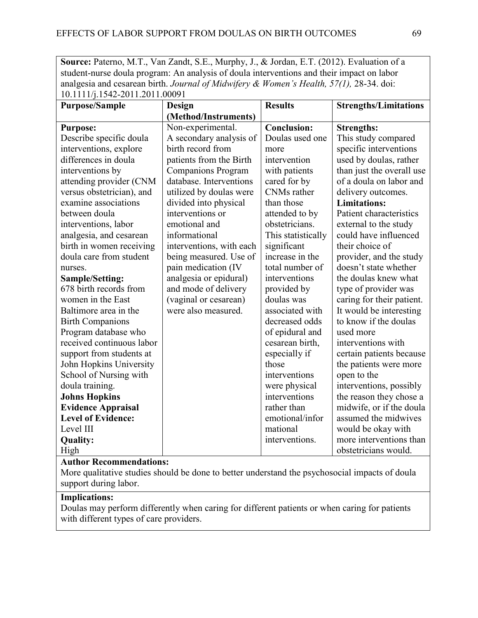Source: Paterno, M.T., Van Zandt, S.E., Murphy, J., & Jordan, E.T. (2012). Evaluation of a student-nurse doula program: An analysis of doula interventions and their impact on labor analgesia and cesarean birth. *Journal of Midwifery & Women's Health, 57(1),* 28-34. doi: 10.1111/j.1542-2011.2011.00091

| <b>Purpose/Sample</b>     | Design                    | <b>Results</b>     | <b>Strengths/Limitations</b> |
|---------------------------|---------------------------|--------------------|------------------------------|
|                           | (Method/Instruments)      |                    |                              |
| <b>Purpose:</b>           | Non-experimental.         | <b>Conclusion:</b> | <b>Strengths:</b>            |
| Describe specific doula   | A secondary analysis of   | Doulas used one    | This study compared          |
| interventions, explore    | birth record from         | more               | specific interventions       |
| differences in doula      | patients from the Birth   | intervention       | used by doulas, rather       |
| interventions by          | <b>Companions Program</b> | with patients      | than just the overall use    |
| attending provider (CNM   | database. Interventions   | cared for by       | of a doula on labor and      |
| versus obstetrician), and | utilized by doulas were   | <b>CNMs</b> rather | delivery outcomes.           |
| examine associations      | divided into physical     | than those         | <b>Limitations:</b>          |
| between doula             | interventions or          | attended to by     | Patient characteristics      |
| interventions, labor      | emotional and             | obstetricians.     | external to the study        |
| analgesia, and cesarean   | informational             | This statistically | could have influenced        |
| birth in women receiving  | interventions, with each  | significant        | their choice of              |
| doula care from student   | being measured. Use of    | increase in the    | provider, and the study      |
| nurses.                   | pain medication (IV       | total number of    | doesn't state whether        |
| Sample/Setting:           | analgesia or epidural)    | interventions      | the doulas knew what         |
| 678 birth records from    | and mode of delivery      | provided by        | type of provider was         |
| women in the East         | (vaginal or cesarean)     | doulas was         | caring for their patient.    |
| Baltimore area in the     | were also measured.       | associated with    | It would be interesting      |
| <b>Birth Companions</b>   |                           | decreased odds     | to know if the doulas        |
| Program database who      |                           | of epidural and    | used more                    |
| received continuous labor |                           | cesarean birth,    | interventions with           |
| support from students at  |                           | especially if      | certain patients because     |
| John Hopkins University   |                           | those              | the patients were more       |
| School of Nursing with    |                           | interventions      | open to the                  |
| doula training.           |                           | were physical      | interventions, possibly      |
| <b>Johns Hopkins</b>      |                           | interventions      | the reason they chose a      |
| <b>Evidence Appraisal</b> |                           | rather than        | midwife, or if the doula     |
| <b>Level of Evidence:</b> |                           | emotional/infor    | assumed the midwives         |
| Level III                 |                           | mational           | would be okay with           |
| <b>Quality:</b>           |                           | interventions.     | more interventions than      |
| High                      |                           |                    | obstetricians would.         |

#### **Author Recommendations:**

More qualitative studies should be done to better understand the psychosocial impacts of doula support during labor.

# **Implications:**

Doulas may perform differently when caring for different patients or when caring for patients with different types of care providers.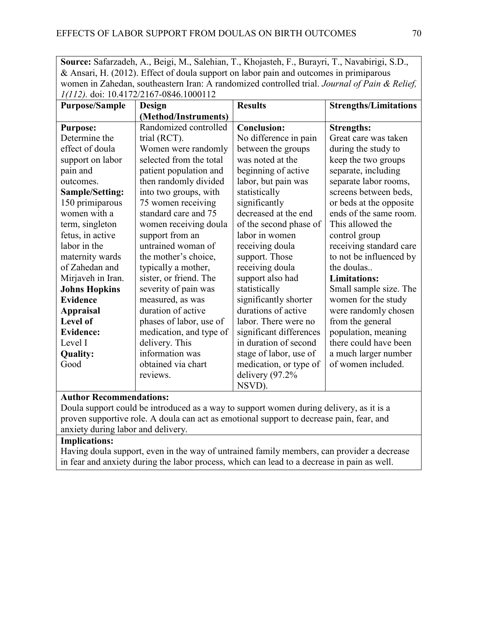**Source:** Safarzadeh, A., Beigi, M., Salehian, T., Khojasteh, F., Burayri, T., Navabirigi, S.D., & Ansari, H. (2012). Effect of doula support on labor pain and outcomes in primiparous women in Zahedan, southeastern Iran: A randomized controlled trial. *Journal of Pain & Relief, 1(112).* doi: 10.4172/2167-0846.1000112

| <b>Purpose/Sample</b> | $1(112)$ . a.s. 10. 11/2/210/0010.100011.<br><b>Design</b> | <b>Results</b>          | <b>Strengths/Limitations</b> |
|-----------------------|------------------------------------------------------------|-------------------------|------------------------------|
|                       | (Method/Instruments)                                       |                         |                              |
| <b>Purpose:</b>       | Randomized controlled                                      | <b>Conclusion:</b>      | <b>Strengths:</b>            |
| Determine the         | trial (RCT).                                               | No difference in pain   | Great care was taken         |
| effect of doula       | Women were randomly                                        | between the groups      | during the study to          |
| support on labor      | selected from the total                                    | was noted at the        | keep the two groups          |
| pain and              | patient population and                                     | beginning of active     | separate, including          |
| outcomes.             | then randomly divided                                      | labor, but pain was     | separate labor rooms,        |
| Sample/Setting:       | into two groups, with                                      | statistically           | screens between beds,        |
| 150 primiparous       | 75 women receiving                                         | significantly           | or beds at the opposite      |
| women with a          | standard care and 75                                       | decreased at the end    | ends of the same room.       |
| term, singleton       | women receiving doula                                      | of the second phase of  | This allowed the             |
| fetus, in active      | support from an                                            | labor in women          | control group                |
| labor in the          | untrained woman of                                         | receiving doula         | receiving standard care      |
| maternity wards       | the mother's choice,                                       | support. Those          | to not be influenced by      |
| of Zahedan and        | typically a mother,                                        | receiving doula         | the doulas                   |
| Mirjaveh in Iran.     | sister, or friend. The                                     | support also had        | <b>Limitations:</b>          |
| <b>Johns Hopkins</b>  | severity of pain was                                       | statistically           | Small sample size. The       |
| <b>Evidence</b>       | measured, as was                                           | significantly shorter   | women for the study          |
| <b>Appraisal</b>      | duration of active                                         | durations of active     | were randomly chosen         |
| <b>Level of</b>       | phases of labor, use of                                    | labor. There were no    | from the general             |
| <b>Evidence:</b>      | medication, and type of                                    | significant differences | population, meaning          |
| Level I               | delivery. This                                             | in duration of second   | there could have been        |
| <b>Quality:</b>       | information was                                            | stage of labor, use of  | a much larger number         |
| Good                  | obtained via chart                                         | medication, or type of  | of women included.           |
|                       | reviews.                                                   | delivery $(97.2%$       |                              |
|                       |                                                            | NSVD).                  |                              |

## **Author Recommendations:**

Doula support could be introduced as a way to support women during delivery, as it is a proven supportive role. A doula can act as emotional support to decrease pain, fear, and anxiety during labor and delivery.

## **Implications:**

Having doula support, even in the way of untrained family members, can provider a decrease in fear and anxiety during the labor process, which can lead to a decrease in pain as well.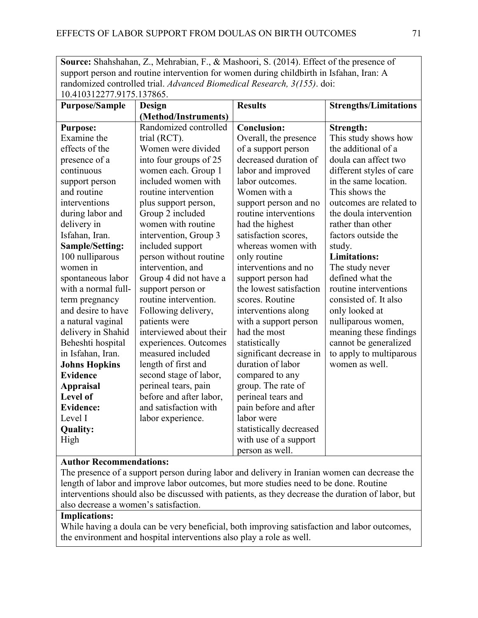**Source:** Shahshahan, Z., Mehrabian, F., & Mashoori, S. (2014). Effect of the presence of support person and routine intervention for women during childbirth in Isfahan, Iran: A randomized controlled trial. *Advanced Biomedical Research, 3(155)*. doi: 10.410312277.9175.137865.

| IU.4IUJI2277.7I7J.IJ70UJ. |                         |                         |                              |
|---------------------------|-------------------------|-------------------------|------------------------------|
| <b>Purpose/Sample</b>     | <b>Design</b>           | <b>Results</b>          | <b>Strengths/Limitations</b> |
|                           | (Method/Instruments)    |                         |                              |
| <b>Purpose:</b>           | Randomized controlled   | <b>Conclusion:</b>      | Strength:                    |
| Examine the               | trial (RCT).            | Overall, the presence   | This study shows how         |
| effects of the            | Women were divided      | of a support person     | the additional of a          |
| presence of a             | into four groups of 25  | decreased duration of   | doula can affect two         |
| continuous                | women each. Group 1     | labor and improved      | different styles of care     |
| support person            | included women with     | labor outcomes.         | in the same location.        |
| and routine               | routine intervention    | Women with a            | This shows the               |
| interventions             | plus support person,    | support person and no   | outcomes are related to      |
| during labor and          | Group 2 included        | routine interventions   | the doula intervention       |
| delivery in               | women with routine      | had the highest         | rather than other            |
| Isfahan, Iran.            | intervention, Group 3   | satisfaction scores,    | factors outside the          |
| Sample/Setting:           | included support        | whereas women with      | study.                       |
| 100 nulliparous           | person without routine  | only routine            | <b>Limitations:</b>          |
| women in                  | intervention, and       | interventions and no    | The study never              |
| spontaneous labor         | Group 4 did not have a  | support person had      | defined what the             |
| with a normal full-       | support person or       | the lowest satisfaction | routine interventions        |
| term pregnancy            | routine intervention.   | scores. Routine         | consisted of. It also        |
| and desire to have        | Following delivery,     | interventions along     | only looked at               |
| a natural vaginal         | patients were           | with a support person   | nulliparous women,           |
| delivery in Shahid        | interviewed about their | had the most            | meaning these findings       |
| Beheshti hospital         | experiences. Outcomes   | statistically           | cannot be generalized        |
| in Isfahan, Iran.         | measured included       | significant decrease in | to apply to multiparous      |
| <b>Johns Hopkins</b>      | length of first and     | duration of labor       | women as well.               |
| <b>Evidence</b>           | second stage of labor,  | compared to any         |                              |
| <b>Appraisal</b>          | perineal tears, pain    | group. The rate of      |                              |
| Level of                  | before and after labor, | perineal tears and      |                              |
| <b>Evidence:</b>          | and satisfaction with   | pain before and after   |                              |
| Level I                   | labor experience.       | labor were              |                              |
| <b>Quality:</b>           |                         | statistically decreased |                              |
| High                      |                         | with use of a support   |                              |
|                           |                         | person as well.         |                              |

# **Author Recommendations:**

The presence of a support person during labor and delivery in Iranian women can decrease the length of labor and improve labor outcomes, but more studies need to be done. Routine interventions should also be discussed with patients, as they decrease the duration of labor, but also decrease a women's satisfaction.

# **Implications:**

While having a doula can be very beneficial, both improving satisfaction and labor outcomes, the environment and hospital interventions also play a role as well.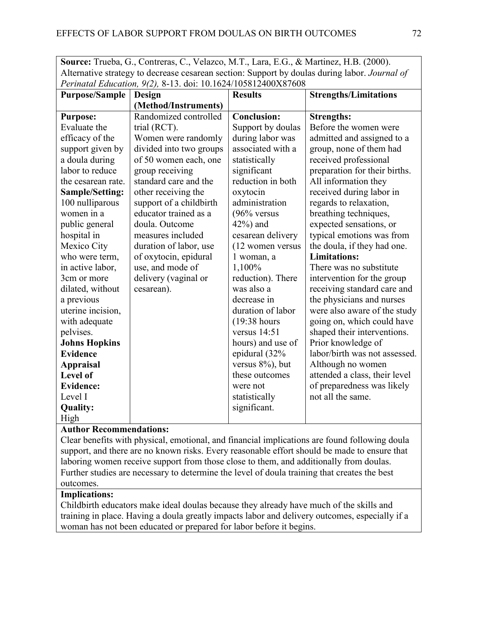| <b>Source:</b> Trueba, G., Contreras, C., Velazco, M.T., Lara, E.G., & Martinez, H.B. (2000).        |
|------------------------------------------------------------------------------------------------------|
| Alternative strategy to decrease cesarean section: Support by doulas during labor. <i>Journal of</i> |
| Perinatal Education, 9(2), 8-13. doi: 10.1624/105812400X87608                                        |

|                       | 1 Chinani Bancanon, 7(2), 6-15. aoi. 10.1024/1050124002107000 |                    |                               |
|-----------------------|---------------------------------------------------------------|--------------------|-------------------------------|
| <b>Purpose/Sample</b> | Design                                                        | <b>Results</b>     | <b>Strengths/Limitations</b>  |
|                       | (Method/Instruments)                                          |                    |                               |
| <b>Purpose:</b>       | Randomized controlled                                         | <b>Conclusion:</b> | <b>Strengths:</b>             |
| Evaluate the          | trial (RCT).                                                  | Support by doulas  | Before the women were         |
| efficacy of the       | Women were randomly                                           | during labor was   | admitted and assigned to a    |
| support given by      | divided into two groups                                       | associated with a  | group, none of them had       |
| a doula during        | of 50 women each, one                                         | statistically      | received professional         |
| labor to reduce       | group receiving                                               | significant        | preparation for their births. |
| the cesarean rate.    | standard care and the                                         | reduction in both  | All information they          |
| Sample/Setting:       | other receiving the                                           | oxytocin           | received during labor in      |
| 100 nulliparous       | support of a childbirth                                       | administration     | regards to relaxation,        |
| women in a            | educator trained as a                                         | $(96\%$ versus     | breathing techniques,         |
| public general        | doula. Outcome                                                | $42\%$ ) and       | expected sensations, or       |
| hospital in           | measures included                                             | cesarean delivery  | typical emotions was from     |
| Mexico City           | duration of labor, use                                        | (12 women versus   | the doula, if they had one.   |
| who were term,        | of oxytocin, epidural                                         | 1 woman, a         | <b>Limitations:</b>           |
| in active labor,      | use, and mode of                                              | 1,100%             | There was no substitute       |
| 3cm or more           | delivery (vaginal or                                          | reduction). There  | intervention for the group    |
| dilated, without      | cesarean).                                                    | was also a         | receiving standard care and   |
| a previous            |                                                               | decrease in        | the physicians and nurses     |
| uterine incision,     |                                                               | duration of labor  | were also aware of the study  |
| with adequate         |                                                               | $(19:38)$ hours    | going on, which could have    |
| pelvises.             |                                                               | versus $14:51$     | shaped their interventions.   |
| <b>Johns Hopkins</b>  |                                                               | hours) and use of  | Prior knowledge of            |
| <b>Evidence</b>       |                                                               | epidural (32%      | labor/birth was not assessed. |
| <b>Appraisal</b>      |                                                               | versus 8%), but    | Although no women             |
| Level of              |                                                               | these outcomes     | attended a class, their level |
| <b>Evidence:</b>      |                                                               | were not           | of preparedness was likely    |
| Level I               |                                                               | statistically      | not all the same.             |
| <b>Quality:</b>       |                                                               | significant.       |                               |
| High                  |                                                               |                    |                               |

## **Author Recommendations:**

Clear benefits with physical, emotional, and financial implications are found following doula support, and there are no known risks. Every reasonable effort should be made to ensure that laboring women receive support from those close to them, and additionally from doulas. Further studies are necessary to determine the level of doula training that creates the best outcomes.

## **Implications:**

Childbirth educators make ideal doulas because they already have much of the skills and training in place. Having a doula greatly impacts labor and delivery outcomes, especially if a woman has not been educated or prepared for labor before it begins.